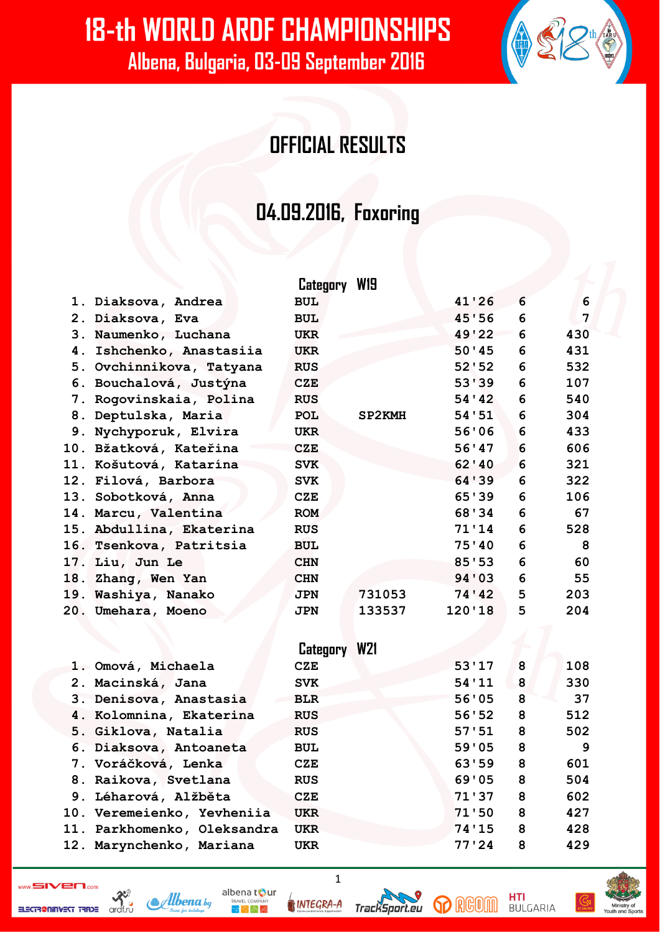#### **OFFICIAL RESULTS**

#### **04.09.2016, Foxoring**

|                          | Category W19 |        |         |   |     |
|--------------------------|--------------|--------|---------|---|-----|
| 1. Diaksova, Andrea      | <b>BUL</b>   |        | 41'26   | 6 | 6   |
| 2. Diaksova, Eva         | <b>BUL</b>   |        | 45'56   | 6 | 7   |
| 3. Naumenko, Luchana     | <b>UKR</b>   |        | 49'22   | 6 | 430 |
| 4. Ishchenko, Anastasiia | <b>UKR</b>   |        | 50'45   | 6 | 431 |
| 5. Ovchinnikova, Tatyana | <b>RUS</b>   |        | 52'52   | 6 | 532 |
| 6. Bouchalová, Justýna   | <b>CZE</b>   |        | 53'39   | 6 | 107 |
| 7. Rogovinskaia, Polina  | <b>RUS</b>   |        | 54'42   | 6 | 540 |
| 8. Deptulska, Maria      | <b>POL</b>   | SP2KMH | 54'51   | 6 | 304 |
| 9. Nychyporuk, Elvira    | <b>UKR</b>   |        | 56'06   | 6 | 433 |
| 10. Bžatková, Kateřina   | <b>CZE</b>   |        | 56'47   | 6 | 606 |
| 11. Košutová, Katarína   | <b>SVK</b>   |        | 62'40   | 6 | 321 |
| 12. Filová, Barbora      | <b>SVK</b>   |        | 64 ' 39 | 6 | 322 |
| 13. Sobotková, Anna      | CZE          |        | 65'39   | 6 | 106 |
| 14. Marcu, Valentina     | <b>ROM</b>   |        | 68'34   | 6 | 67  |
| 15. Abdullina, Ekaterina | <b>RUS</b>   |        | 71'14   | 6 | 528 |
| 16. Tsenkova, Patritsia  | <b>BUL</b>   |        | 75'40   | 6 | 8   |
| 17. Liu, Jun Le          | <b>CHN</b>   |        | 85'53   | 6 | 60  |
| 18. Zhang, Wen Yan       | <b>CHN</b>   |        | 94'03   | 6 | 55  |
| 19. Washiya, Nanako      | <b>JPN</b>   | 731053 | 74'42   | 5 | 203 |
| 20. Umehara, Moeno       | <b>JPN</b>   | 133537 | 120'18  | 5 | 204 |
|                          |              |        |         |   |     |

|                             | <b>W21</b><br>Category |       |   |     |
|-----------------------------|------------------------|-------|---|-----|
| 1. Omová, Michaela          | CZE                    | 53'17 | 8 | 108 |
| 2. Macinská, Jana           | <b>SVK</b>             | 54'11 | 8 | 330 |
| 3. Denisova, Anastasia      | <b>BLR</b>             | 56'05 | 8 | 37  |
| 4. Kolomnina, Ekaterina     | <b>RUS</b>             | 56'52 | 8 | 512 |
| 5. Giklova, Natalia         | <b>RUS</b>             | 57'51 | 8 | 502 |
| 6. Diaksova, Antoaneta      | <b>BUL</b>             | 59'05 | 8 | 9   |
| 7. Voráčková, Lenka         | CZE                    | 63'59 | 8 | 601 |
| 8. Raikova, Svetlana        | <b>RUS</b>             | 69'05 | 8 | 504 |
| 9. Léharová, Alžběta        | CZE                    | 71'37 | 8 | 602 |
| 10. Veremeienko, Yevheniia  | <b>UKR</b>             | 71'50 | 8 | 427 |
| 11. Parkhomenko, Oleksandra | <b>UKR</b>             | 74'15 | 8 | 428 |
| 12. Marynchenko, Mariana    | <b>UKR</b>             | 77'24 | 8 | 429 |

1

 $\sum_{\text{ordf.rd}}$ ELECTR@NINVEST TRADE



albena tour **INTEGRA-A** 

⋜Ѷ∧⋹



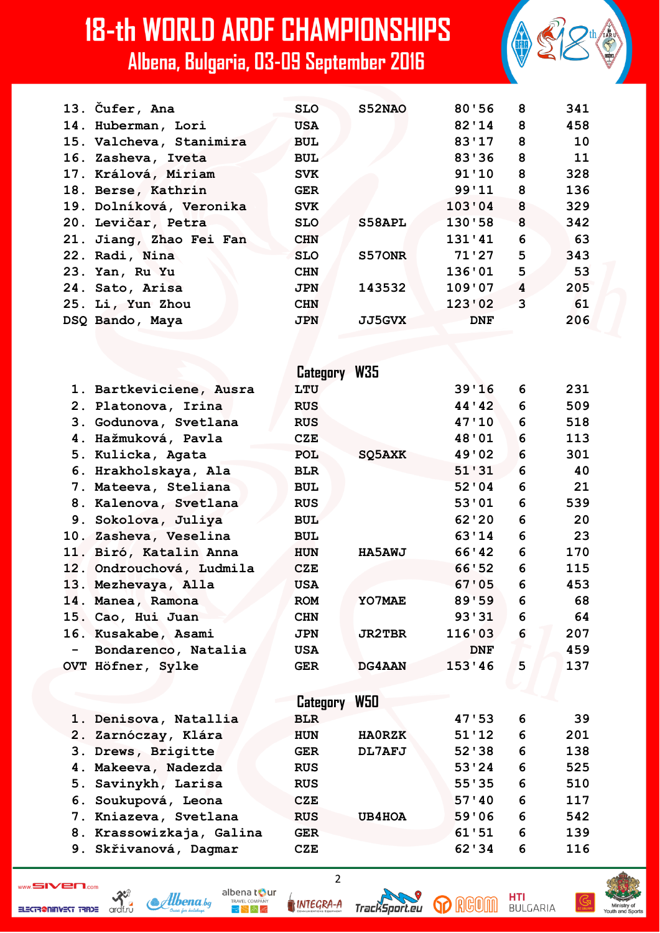| 13. Čufer, Ana          | <b>SLO</b> | S52NAO        | 80'56      | 8                       | 341 |
|-------------------------|------------|---------------|------------|-------------------------|-----|
| 14. Huberman, Lori      | <b>USA</b> |               | 82'14      | $_{\rm 8}$              | 458 |
| 15. Valcheva, Stanimira | <b>BUL</b> |               | 83'17      | 8                       | 10  |
| 16. Zasheva, Iveta      | <b>BUL</b> |               | 83'36      | 8                       | 11  |
| 17. Králová, Miriam     | <b>SVK</b> |               | 91'10      | 8                       | 328 |
| 18. Berse, Kathrin      | <b>GER</b> |               | 99'11      | 8                       | 136 |
| 19. Dolníková, Veronika | <b>SVK</b> |               | 103'04     | $\overline{\mathbf{8}}$ | 329 |
| 20. Levičar, Petra      | <b>SLO</b> | S58APL        | 130'58     | $\overline{\mathbf{8}}$ | 342 |
| 21. Jiang, Zhao Fei Fan | <b>CHN</b> |               | 131'41     | 6                       | 63  |
| 22. Radi, Nina          | <b>SLO</b> | S570NR        | 71'27      | 5                       | 343 |
| 23. Yan, Ru Yu          | <b>CHN</b> |               | 136'01     | 5                       | 53  |
| 24. Sato, Arisa         | <b>JPN</b> | 143532        | 109'07     | $\overline{\mathbf{4}}$ | 205 |
| 25. Li, Yun Zhou        | <b>CHN</b> |               | 123'02     | $\overline{3}$          | 61  |
| DSQ Bando, Maya         | <b>JPN</b> | <b>JJ5GVX</b> | <b>DNF</b> |                         | 206 |
|                         |            |               |            |                         |     |

|     |                          | Category W35 |               |            |   |     |
|-----|--------------------------|--------------|---------------|------------|---|-----|
|     | 1. Bartkeviciene, Ausra  | LTU          |               | 39'16      | 6 | 231 |
|     | 2. Platonova, Irina      | <b>RUS</b>   |               | 44'42      | 6 | 509 |
|     | 3. Godunova, Svetlana    | <b>RUS</b>   |               | 47'10      | 6 | 518 |
|     | 4. Hažmuková, Pavla      | <b>CZE</b>   |               | 48'01      | 6 | 113 |
|     | 5. Kulicka, Agata        | <b>POL</b>   | SQ5AXK        | 49'02      | 6 | 301 |
|     | 6. Hrakholskaya, Ala     | <b>BLR</b>   |               | 51'31      | 6 | 40  |
|     | 7. Mateeva, Steliana     | <b>BUL</b>   |               | 52'04      | 6 | 21  |
|     | 8. Kalenova, Svetlana    | <b>RUS</b>   |               | 53'01      | 6 | 539 |
|     | 9. Sokolova, Juliya      | <b>BUL</b>   |               | 62'20      | 6 | 20  |
|     | 10. Zasheva, Veselina    | <b>BUL</b>   |               | 63'14      | 6 | 23  |
|     | 11. Biró, Katalin Anna   | <b>HUN</b>   | <b>HA5AWJ</b> | 66'42      | 6 | 170 |
|     | 12. Ondrouchová, Ludmila | <b>CZE</b>   |               | 66'52      | 6 | 115 |
|     | 13. Mezhevaya, Alla      | <b>USA</b>   |               | 67'05      | 6 | 453 |
|     | 14. Manea, Ramona        | <b>ROM</b>   | YO7MAE        | 89'59      | 6 | 68  |
|     | 15. Cao, Hui Juan        | <b>CHN</b>   |               | 93'31      | 6 | 64  |
|     | 16. Kusakabe, Asami      | <b>JPN</b>   | <b>JR2TBR</b> | 116'03     | 6 | 207 |
| $-$ | Bondarenco, Natalia      | <b>USA</b>   |               | <b>DNF</b> |   | 459 |
|     | OVT Höfner, Sylke        | <b>GER</b>   | DG4AAN        | 153'46     | 5 | 137 |
|     |                          |              |               |            |   |     |
|     |                          | Category     | W50           |            |   |     |
|     | 1. Denisova, Natallia    | <b>BLR</b>   |               | 47'53      | 6 | 39  |
|     | 2. Zarnóczay, Klára      | <b>HUN</b>   | <b>HAORZK</b> | 51'12      | 6 | 201 |
|     | 3. Drews, Brigitte       | <b>GER</b>   | DL7AFJ        | 52'38      | 6 | 138 |
|     | 4. Makeeva, Nadezda      | <b>RUS</b>   |               | 53'24      | 6 | 525 |
|     | 5. Savinykh, Larisa      | <b>RUS</b>   |               | 55'35      | 6 | 510 |

- **6. Soukupová, Leona CZE 57'40 6 117**
- **7. Kniazeva, Svetlana RUS UB4HOA 59'06 6 542**
- **8. Krassowizkaja, Galina GER 61'51 6 139**
- **9. Skřivanová, Dagmar CZE 62'34 6 116**

ELECTR@NINVEST TRADE



ardf.ru



TrackSport.eu

2



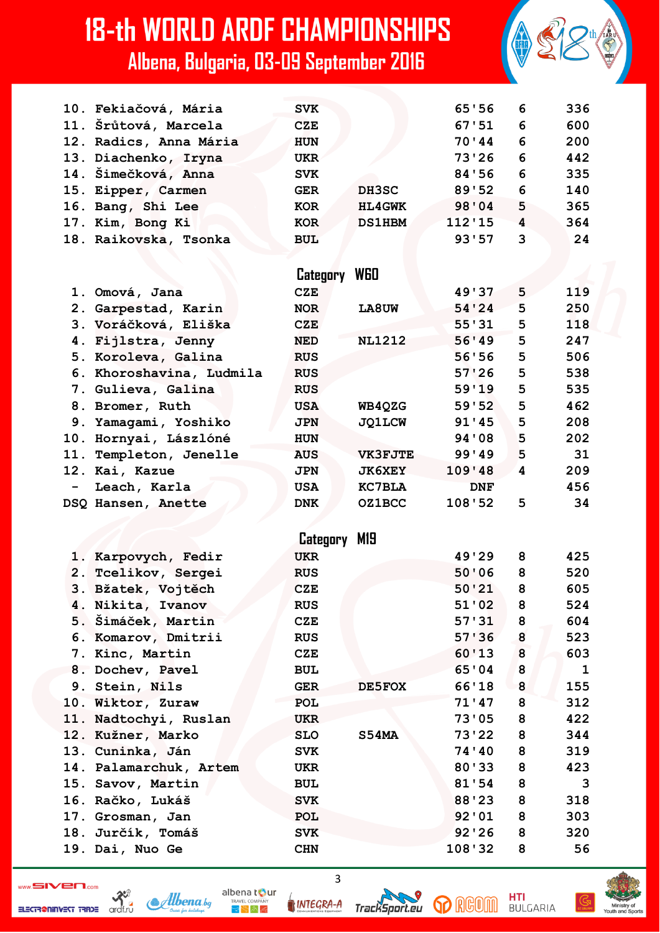|     | 10. Fekiačová, Mária     | <b>SVK</b> |                | 65'56      | 6 | 336          |
|-----|--------------------------|------------|----------------|------------|---|--------------|
|     | 11. Šrůtová, Marcela     | <b>CZE</b> |                | 67:51      | 6 | 600          |
|     | 12. Radics, Anna Mária   | <b>HUN</b> |                | 70'44      | 6 | 200          |
|     | 13. Diachenko, Iryna     | <b>UKR</b> |                | 73'26      | 6 | 442          |
|     | 14. Šimečková, Anna      | <b>SVK</b> |                | 84'56      | 6 | 335          |
| 15. | Eipper, Carmen           | <b>GER</b> | DH3SC          | 89'52      | 6 | 140          |
|     | 16. Bang, Shi Lee        | <b>KOR</b> | <b>HL4GWK</b>  | 98'04      | 5 | 365          |
|     | 17. Kim, Bong Ki         | <b>KOR</b> | <b>DS1HBM</b>  | 112'15     | 4 | 364          |
|     | 18. Raikovska, Tsonka    | <b>BUL</b> |                | 93'57      | 3 | 24           |
|     |                          |            |                |            |   |              |
|     |                          | Category   | WGO            |            |   |              |
|     |                          | <b>CZE</b> |                | 49'37      | 5 | 119          |
|     | 1. Omová, Jana           |            | LA8UW          | 54'24      | 5 | 250          |
|     | 2. Garpestad, Karin      | <b>NOR</b> |                | 55'31      | 5 | 118          |
|     | 3. Voráčková, Eliška     | <b>CZE</b> |                |            |   |              |
|     | 4. Fijlstra, Jenny       | <b>NED</b> | <b>NL1212</b>  | 56'49      | 5 | 247          |
|     | 5. Koroleva, Galina      | <b>RUS</b> |                | 56'56      | 5 | 506          |
|     | 6. Khoroshavina, Ludmila | <b>RUS</b> |                | 57'26      | 5 | 538          |
|     | 7. Gulieva, Galina       | <b>RUS</b> |                | 59'19      | 5 | 535          |
|     | 8. Bromer, Ruth          | <b>USA</b> | <b>WB4QZG</b>  | 59'52      | 5 | 462          |
|     | 9. Yamagami, Yoshiko     | <b>JPN</b> | <b>JQ1LCW</b>  | 91'45      | 5 | 208          |
|     | 10. Hornyai, Lászlóné    | <b>HUN</b> |                | 94 ' 08    | 5 | 202          |
|     | 11. Templeton, Jenelle   | <b>AUS</b> | <b>VK3FJTE</b> | 99'49      | 5 | 31           |
|     | 12. Kai, Kazue           | <b>JPN</b> | <b>JK6XEY</b>  | 109'48     | 4 | 209          |
|     | Leach, Karla             | <b>USA</b> | <b>KC7BLA</b>  | <b>DNF</b> |   | 456          |
|     | DSQ Hansen, Anette       | <b>DNK</b> | <b>OZ1BCC</b>  | 108'52     | 5 | 34           |
|     |                          |            |                |            |   |              |
|     |                          | Category   | M19            |            |   |              |
|     | 1. Karpovych, Fedir      | <b>UKR</b> |                | 49'29      | 8 | 425          |
|     | 2. Tcelikov, Sergei      | <b>RUS</b> |                | 50'06      | 8 | 520          |
|     | 3. Bžatek, Vojtěch       | <b>CZE</b> |                | 50'21      | 8 | 605          |
|     | 4. Nikita, Ivanov        | <b>RUS</b> |                | 51'02      | 8 | 524          |
|     | 5. Šimáček, Martin       | <b>CZE</b> |                | 57'31      | 8 | 604          |
|     | 6. Komarov, Dmitrii      | <b>RUS</b> |                | 57'36      | 8 | 523          |
|     | 7. Kinc, Martin          | <b>CZE</b> |                | 60'13      | 8 | 603          |
|     | 8. Dochev, Pavel         | <b>BUL</b> |                | 65'04      | 8 | $\mathbf{1}$ |
|     | 9. Stein, Nils           | <b>GER</b> | DE5FOX         | 66'18      | 8 | 155          |
|     | 10. Wiktor, Zuraw        | POL        |                | 71'47      | 8 | 312          |
|     | 11. Nadtochyi, Ruslan    | UKR        |                | 73'05      | 8 | 422          |
|     | 12. Kužner, Marko        | <b>SLO</b> | S54MA          | 73'22      | 8 | 344          |
|     | 13. Cuninka, Ján         | <b>SVK</b> |                | 74'40      | 8 | 319          |
|     | 14. Palamarchuk, Artem   | <b>UKR</b> |                | 80'33      | 8 | 423          |
|     | 15. Savov, Martin        | <b>BUL</b> |                | 81'54      | 8 | $\mathbf{3}$ |
|     | 16. Račko, Lukáš         | <b>SVK</b> |                | 88'23      | 8 | 318          |
|     | 17. Grosman, Jan         | POL        |                | 92'01      | 8 | 303          |
|     | 18. Jurčík, Tomáš        | <b>SVK</b> |                | 92'26      | 8 | 320          |
|     | 19. Dai, Nuo Ge          | <b>CHN</b> |                | 108'32     | 8 | 56           |
|     |                          |            |                |            |   |              |



Albena.bg

albena tour  $R_{\rm F}$   $\approx$   $R_{\rm F}$ 

 $\overline{3}$ 

**p** RGOM

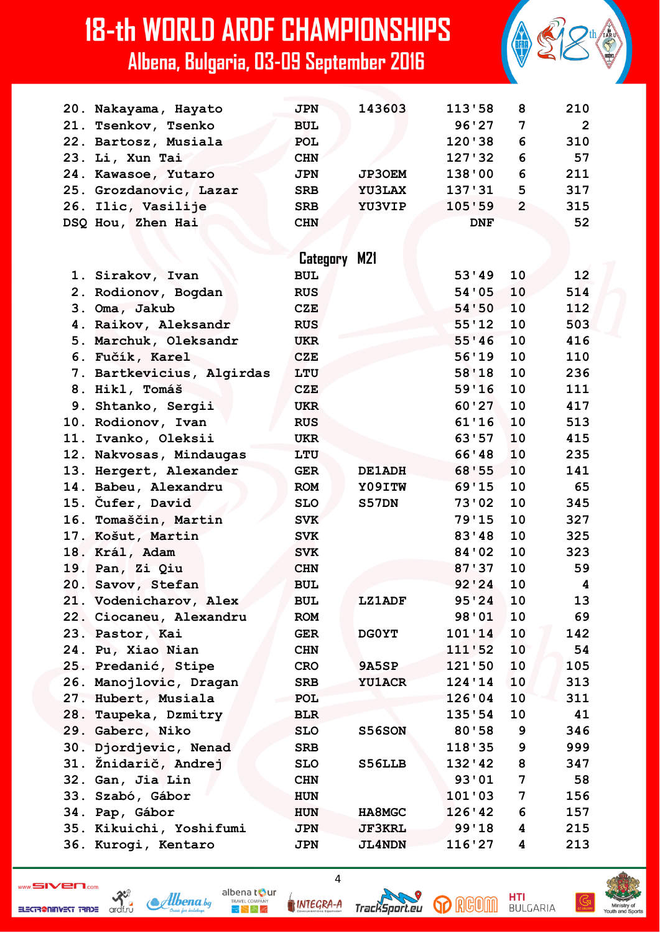|     | 20. Nakayama, Hayato      | <b>JPN</b>          | 143603        | 113'58     | 8              | 210            |
|-----|---------------------------|---------------------|---------------|------------|----------------|----------------|
|     | 21. Tsenkov, Tsenko       | <b>BUL</b>          |               | 96'27      | 7              | $\overline{2}$ |
|     | 22. Bartosz, Musiala      | <b>POL</b>          |               | 120'38     | 6              | 310            |
|     | 23. Li, Xun Tai           | <b>CHN</b>          |               | 127 ' 32   | 6              | 57             |
|     | 24. Kawasoe, Yutaro       | <b>JPN</b>          | <b>JP3OEM</b> | 138'00     | 6              | 211            |
|     | 25. Grozdanovic, Lazar    | <b>SRB</b>          | <b>YU3LAX</b> | 137'31     | 5              | 317            |
|     | 26. Ilic, Vasilije        | <b>SRB</b>          | YU3VIP        | 105'59     | $\overline{2}$ | 315            |
|     | DSQ Hou, Zhen Hai         | <b>CHN</b>          |               | <b>DNF</b> |                | 52             |
|     |                           |                     |               |            |                |                |
|     |                           | <b>Category M21</b> |               |            |                |                |
|     | 1. Sirakov, Ivan          | <b>BUL</b>          |               | 53'49      | 10             | 12             |
|     | 2. Rodionov, Bogdan       | <b>RUS</b>          |               | 54'05      | 10             | 514            |
|     | 3. Oma, Jakub             | <b>CZE</b>          |               | 54'50      | 10             | 112            |
|     | 4. Raikov, Aleksandr      | <b>RUS</b>          |               | 55'12      | 10             | 503            |
|     | 5. Marchuk, Oleksandr     | UKR                 |               | 55'36      | 10             | 416            |
|     | 6. Fučík, Karel           | <b>CZE</b>          |               | 56'19      | 10             | 110            |
|     |                           | LTU                 |               | 58'18      | 10             | 236            |
|     | 7. Bartkevicius, Algirdas |                     |               | 59'16      | 10             |                |
|     | 8. Hikl, Tomáš            | <b>CZE</b>          |               | 60'27      | 10             | 111<br>417     |
|     | 9. Shtanko, Sergii        | <b>UKR</b>          |               | 61'16      | 10             |                |
|     | 10. Rodionov, Ivan        | <b>RUS</b>          |               |            |                | 513            |
|     | 11. Ivanko, Oleksii       | <b>UKR</b>          |               | 63'57      | 10             | 415            |
|     | 12. Nakvosas, Mindaugas   | LTU                 |               | 66'48      | 10             | 235            |
| 13. | Hergert, Alexander        | <b>GER</b>          | DE1ADH        | 68'55      | 10             | 141            |
|     | 14. Babeu, Alexandru      | <b>ROM</b>          | Y09ITW        | 69'15      | 10             | 65             |
|     | 15. Čufer, David          | <b>SLO</b>          | S57DN         | 73'02      | 10             | 345            |
|     | 16. Tomaščin, Martin      | <b>SVK</b>          |               | 79'15      | 10             | 327            |
|     | 17. Košut, Martin         | <b>SVK</b>          |               | 83'48      | 10             | 325            |
|     | 18. Král, Adam            | <b>SVK</b>          |               | 84'02      | 10             | 323            |
|     | 19. Pan, Zi Qiu           | <b>CHN</b>          |               | 87'37      | 10             | 59             |
|     | 20. Savov, Stefan         | <b>BUL</b>          |               | 92'24      | 10             | 4              |
|     | 21. Vodenicharov, Alex    | <b>BUL</b>          | <b>LZ1ADF</b> | 95'24      | 10             | 13             |
|     | 22. Ciocaneu, Alexandru   | <b>ROM</b>          |               | 98'01      | 10             | 69             |
|     | 23. Pastor, Kai           | <b>GER</b>          | DG0YT         | 101'14     | 10             | 142            |
|     | 24. Pu, Xiao Nian         | <b>CHN</b>          |               | 111'52     | 10             | 54             |
|     | 25. Predanić, Stipe       | CRO                 | <b>9A5SP</b>  | 121'50     | 10             | 105            |
|     | 26. Manojlovic, Dragan    | <b>SRB</b>          | <b>YU1ACR</b> | 124'14     | 10             | 313            |
|     | 27. Hubert, Musiala       | POL                 |               | 126'04     | 10             | 311            |
|     | 28. Taupeka, Dzmitry      | <b>BLR</b>          |               | 135'54     | 10             | 41             |
|     | 29. Gaberc, Niko          | <b>SLO</b>          | S56SON        | 80'58      | 9              | 346            |
|     | 30. Djordjevic, Nenad     | <b>SRB</b>          |               | 118'35     | 9              | 999            |
|     | 31. Žnidarič, Andrej      | <b>SLO</b>          | S56LLB        | 132'42     | 8              | 347            |
|     | 32. Gan, Jia Lin          | <b>CHN</b>          |               | 93'01      | 7              | 58             |
| 33. | Szabó, Gábor              | <b>HUN</b>          |               | 101'03     | 7              | 156            |
|     | 34. Pap, Gábor            | <b>HUN</b>          | HA8MGC        | 126'42     | 6              | 157            |
|     | 35. Kikuichi, Yoshifumi   | <b>JPN</b>          | <b>JF3KRL</b> | 99'18      | 4              | 215            |
|     | 36. Kurogi, Kentaro       | <b>JPN</b>          | <b>JL4NDN</b> | 116'27     | 4              | 213            |
|     |                           |                     |               |            |                |                |

ELECTRONINGST TRACE archive

Albena.bg

albena tour INTEGRA-A

 $R_{\rm F}$   $\approx$   $R_{\rm F}$ 

TrackSport.eu

 $\overline{4}$ 

**p** RGOM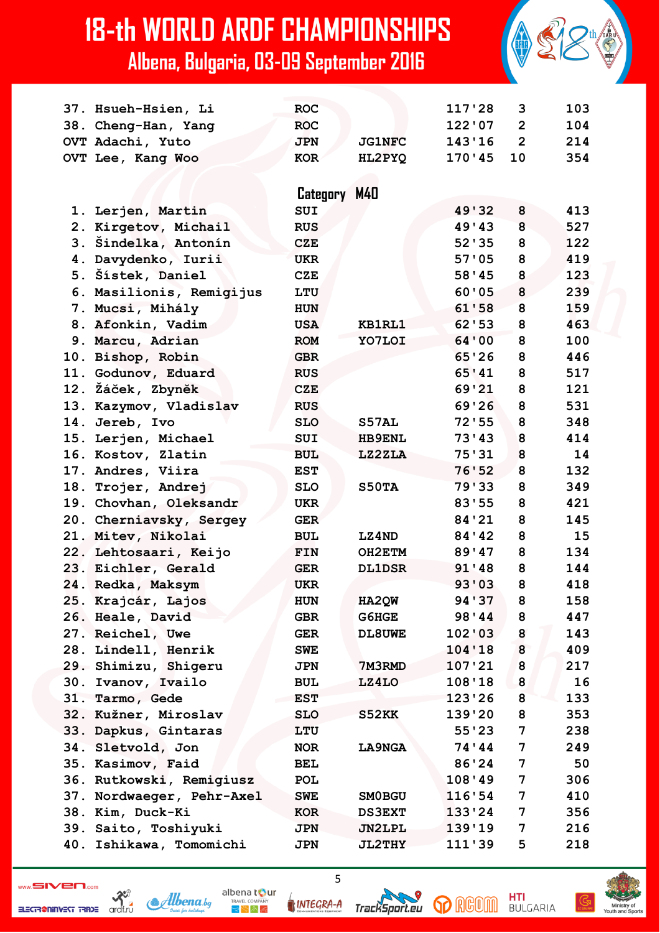|     | 37. Hsueh-Hsien, Li      | <b>ROC</b> |               | 117'28  | 3              | 103 |
|-----|--------------------------|------------|---------------|---------|----------------|-----|
|     | 38. Cheng-Han, Yang      | <b>ROC</b> |               | 122'07  | $\overline{2}$ | 104 |
|     | OVT Adachi, Yuto         | <b>JPN</b> | <b>JG1NFC</b> | 143'16  | $\overline{2}$ | 214 |
|     | OVT Lee, Kang Woo        | <b>KOR</b> | HL2PYQ        | 170'45  | 10             | 354 |
|     |                          |            |               |         |                |     |
|     |                          | Category   | M40           |         |                |     |
|     | 1. Lerjen, Martin        | SUI        |               | 49'32   | 8              | 413 |
|     | 2. Kirgetov, Michail     | <b>RUS</b> |               | 49'43   | 8              | 527 |
|     | 3. Šindelka, Antonín     | <b>CZE</b> |               | 52'35   | 8              | 122 |
|     | 4. Davydenko, Iurii      | <b>UKR</b> |               | 57'05   | 8              | 419 |
|     | 5. Šístek, Daniel        | <b>CZE</b> |               | 58'45   | 8              | 123 |
|     | 6. Masilionis, Remigijus | LTU        |               | 60'05   | 8              | 239 |
|     | 7. Mucsi, Mihály         | <b>HUN</b> |               | 61'58   | 8              | 159 |
|     | 8. Afonkin, Vadim        | <b>USA</b> | KB1RL1        | 62'53   | 8              | 463 |
|     | 9. Marcu, Adrian         | <b>ROM</b> | YO7LOI        | 64'00   | 8              | 100 |
|     | 10. Bishop, Robin        | <b>GBR</b> |               | 65'26   | 8              | 446 |
|     | 11. Godunov, Eduard      | <b>RUS</b> |               | 65'41   | 8              | 517 |
|     | 12. Žáček, Zbyněk        | <b>CZE</b> |               | 69'21   | 8              | 121 |
|     | 13. Kazymov, Vladislav   | <b>RUS</b> |               | 69'26   | 8              | 531 |
|     | 14. Jereb, Ivo           | <b>SLO</b> | S57AL         | 72'55   | 8              | 348 |
|     | 15. Lerjen, Michael      | <b>SUI</b> | <b>HB9ENL</b> | 73'13   | 8              | 414 |
| 16. | Kostov, Zlatin           | <b>BUL</b> | LZ2ZLA        | 75'31   | 8              | 14  |
|     | 17. Andres, Viira        | <b>EST</b> |               | 76'52   | 8              | 132 |
|     | 18. Trojer, Andrej       | <b>SLO</b> | S50TA         | 79'33   | 8              | 349 |
|     | 19. Chovhan, Oleksandr   | <b>UKR</b> |               | 83'55   | 8              | 421 |
|     | 20. Cherniavsky, Sergey  | <b>GER</b> |               | 84'21   | 8              | 145 |
| 21. | Mitev, Nikolai           | <b>BUL</b> | LZ4ND         | 84 ' 42 | 8              | 15  |
|     | 22. Lehtosaari, Keijo    | FIN        | OH2ETM        | 89'47   | 8              | 134 |
|     | 23. Eichler, Gerald      | <b>GER</b> | <b>DL1DSR</b> | 91'48   | 8              | 144 |
|     | 24. Redka, Maksym        | <b>UKR</b> |               | 93'03   | 8              | 418 |
|     | 25. Krajcár, Lajos       | HUN        | HA2QW         | 94'37   | 8              | 158 |
|     | 26. Heale, David         | <b>GBR</b> | G6HGE         | 98'44   | 8              | 447 |
|     | 27. Reichel, Uwe         | <b>GER</b> | DL8UWE        | 102'03  | 8              | 143 |
| 28. | Lindell, Henrik          | <b>SWE</b> |               | 104'18  | 8              | 409 |
|     | 29. Shimizu, Shigeru     | JPN        | 7M3RMD        | 107'21  | 8              | 217 |
| 30. | Ivanov, Ivailo           | <b>BUL</b> | LZ4LO         | 108'18  | 8              | 16  |
|     | 31. Tarmo, Gede          | <b>EST</b> |               | 123'26  | 8              | 133 |
| 32. | Kužner, Miroslav         | <b>SLO</b> | S52KK         | 139'20  | 8              | 353 |
| 33. | Dapkus, Gintaras         | LTU        |               | 55'23   | 7              | 238 |
| 34. | Sletvold, Jon            | <b>NOR</b> | <b>LA9NGA</b> | 74'44   | 7              | 249 |
|     | 35. Kasimov, Faid        | <b>BEL</b> |               | 86'24   | 7              | 50  |
| 36. | Rutkowski, Remigiusz     | <b>POL</b> |               | 108'49  | 7              | 306 |
| 37. | Nordwaeger, Pehr-Axel    | <b>SWE</b> | SM0BGU        | 116'54  | 7              | 410 |
|     | 38. Kim, Duck-Ki         | <b>KOR</b> | <b>DS3EXT</b> | 133'24  | 7              | 356 |
|     | 39. Saito, Toshiyuki     | <b>JPN</b> | JN2LPL        | 139'19  | 7              | 216 |
| 40. | Ishikawa, Tomomichi      | <b>JPN</b> | <b>JL2THY</b> | 111'39  | 5              | 218 |





 $\sum_{\substack{\text{ordf.r.t.}\n\alpha}}$ ELECTR@NINVEST TRADE

albena tour Albena.bg  $R_{\rm F}$   $\approx$   $R_{\rm F}$ 

INTEGRA-A

 $\overline{5}$ 

TrackSport.eu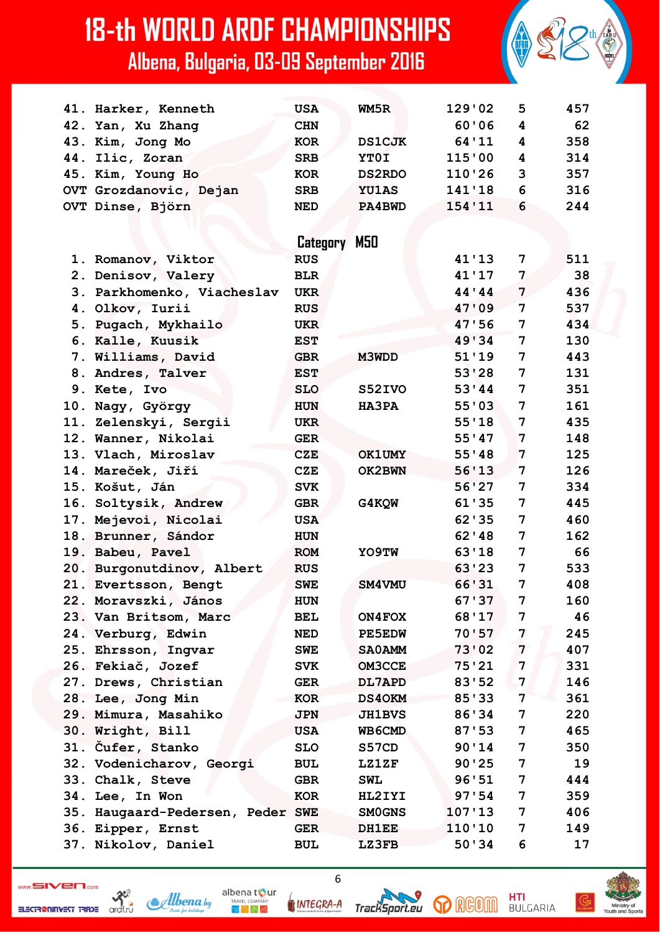|     | 41. Harker, Kenneth          | <b>USA</b> | WM5R          | 129'02  | 5              | 457 |
|-----|------------------------------|------------|---------------|---------|----------------|-----|
|     | 42. Yan, Xu Zhang            | <b>CHN</b> |               | 60'06   | 4              | 62  |
|     | 43. Kim, Jong Mo             | <b>KOR</b> | <b>DS1CJK</b> | 64'11   | 4              | 358 |
|     | 44. Ilic, Zoran              | <b>SRB</b> | YT0I          | 115'00  | 4              | 314 |
|     | 45. Kim, Young Ho            | <b>KOR</b> | <b>DS2RDO</b> | 110'26  | 3              | 357 |
|     | OVT Grozdanovic, Dejan       | <b>SRB</b> | <b>YU1AS</b>  | 141'18  | 6              | 316 |
|     | OVT Dinse, Björn             | <b>NED</b> | PA4BWD        | 154'11  | 6              | 244 |
|     |                              |            |               |         |                |     |
|     |                              | Category   | M50           |         |                |     |
|     | 1. Romanov, Viktor           | <b>RUS</b> |               | 41'13   | 7              | 511 |
|     | 2. Denisov, Valery           | <b>BLR</b> |               | 41'17   | 7              | 38  |
|     | 3. Parkhomenko, Viacheslav   | <b>UKR</b> |               | 44'44   | 7              | 436 |
|     | 4. Olkov, Iurii              | <b>RUS</b> |               | 47'09   | 7              | 537 |
|     | 5. Pugach, Mykhailo          | <b>UKR</b> |               | 47'56   | 7              | 434 |
|     | 6. Kalle, Kuusik             | <b>EST</b> |               | 49'34   | 7              | 130 |
|     | 7. Williams, David           | <b>GBR</b> | M3WDD         | 51'19   | 7              | 443 |
|     | 8. Andres, Talver            | <b>EST</b> |               | 53'28   | 7              | 131 |
|     | 9. Kete, Ivo                 | <b>SLO</b> | S52IVO        | 53'44   | 7              | 351 |
|     | 10. Nagy, György             | <b>HUN</b> | <b>HA3PA</b>  | 55'03   | 7              | 161 |
|     | 11. Zelenskyi, Sergii        | UKR        |               | 55'18   | 7              | 435 |
|     | 12. Wanner, Nikolai          | <b>GER</b> |               | 55'47   | 7              | 148 |
|     | 13. Vlach, Miroslav          | <b>CZE</b> | <b>OK1UMY</b> | 55'38   | 7              | 125 |
|     | 14. Mareček, Jiří            | <b>CZE</b> | OK2BWN        | 56'13   | 7              | 126 |
|     | 15. Košut, Ján               | <b>SVK</b> |               | 56'27   | 7              | 334 |
|     | 16. Soltysik, Andrew         | <b>GBR</b> | G4KQW         | 61'35   | 7              | 445 |
|     | 17. Mejevoi, Nicolai         | <b>USA</b> |               | 62 ' 35 | 7              | 460 |
|     | 18. Brunner, Sándor          | <b>HUN</b> |               | 62'18   | 7              | 162 |
|     | 19. Babeu, Pavel             | <b>ROM</b> | YO9TW         | 63'18   | 7              | 66  |
|     | 20. Burgonutdinov, Albert    | <b>RUS</b> |               | 63'23   | 7              | 533 |
|     | 21. Evertsson, Bengt         | <b>SWE</b> | SM4VMU        | 66'31   | 7              | 408 |
|     | 22. Moravszki, János         | <b>HUN</b> |               | 67'37   | 7              | 160 |
|     | 23. Van Britsom, Marc        | <b>BEL</b> | ON4FOX        | 68'17   | 7              | 46  |
|     | 24. Verburg, Edwin           | <b>NED</b> | <b>PE5EDW</b> | 70'57   | 7              | 245 |
| 25. | Ehrsson, Ingvar              | <b>SWE</b> | <b>SAOAMM</b> | 73'02   | $\overline{7}$ | 407 |
|     | 26. Fekiač, Jozef            | <b>SVK</b> | <b>OM3CCE</b> | 75'21   | 7              | 331 |
|     | 27. Drews, Christian         | <b>GER</b> | DL7APD        | 83'52   | 7              | 146 |
|     | 28. Lee, Jong Min            | KOR        | <b>DS40KM</b> | 85'33   | 7              | 361 |
|     | 29. Mimura, Masahiko         | <b>JPN</b> | <b>JH1BVS</b> | 86'34   | 7              | 220 |
|     | 30. Wright, Bill             | <b>USA</b> | WB6CMD        | 87'53   | 7              | 465 |
| 31. | Cufer, Stanko                | <b>SLO</b> | S57CD         | 90'14   | 7              | 350 |
|     | 32. Vodenicharov, Georgi     | <b>BUL</b> | <b>LZ1ZF</b>  | 90'25   | 7              | 19  |
|     | 33. Chalk, Steve             | <b>GBR</b> | <b>SWL</b>    | 96'51   | 7              | 444 |
| 34. | Lee, In Won                  | <b>KOR</b> | HL2IYI        | 97'54   | 7              | 359 |
| 35. | Haugaard-Pedersen, Peder SWE |            | <b>SMOGNS</b> | 107'13  | 7              | 406 |
|     | 36. Eipper, Ernst            | <b>GER</b> | <b>DH1EE</b>  | 110'10  | 7              | 149 |
|     | 37. Nikolov, Daniel          | <b>BUL</b> | <b>LZ3FB</b>  | 50'34   | 6              | 17  |

ELECTR@NINVEST TRADE

 $\sum_{\substack{\text{ordf.r.t.}\n\alpha}}$ 



INTEGRA-A

 $6\phantom{a}$ 

TrackSport.eu

**HTI**<br>BULGARIA **p** RGOM

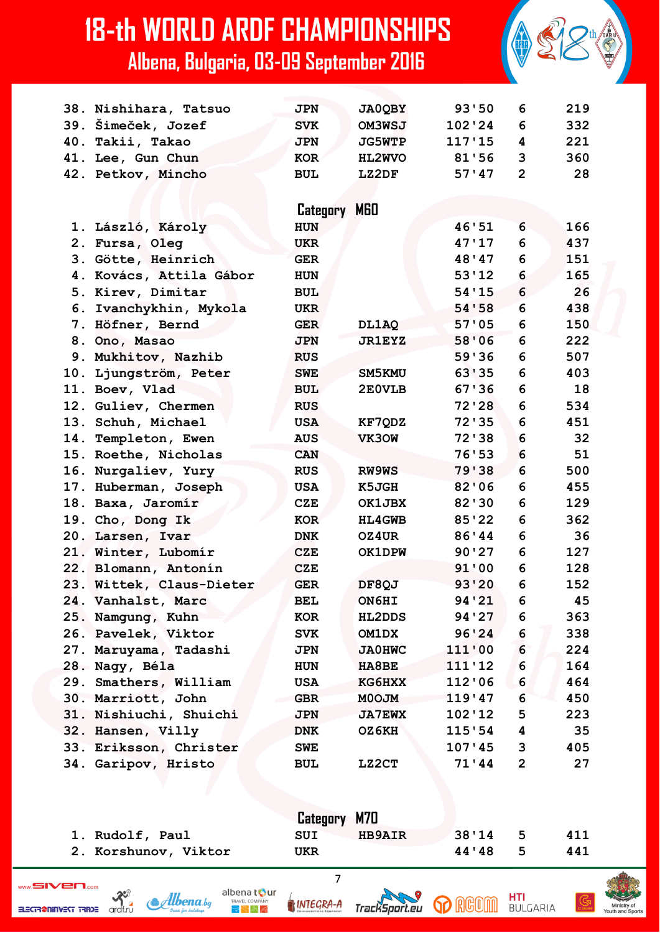

|                      | Category M70         |       |     |
|----------------------|----------------------|-------|-----|
| 1. Rudolf, Paul      | <b>HB9AIR</b><br>SUI | 38'14 | 411 |
| 2. Korshunov, Viktor | UKR                  | 44'48 | 441 |

 $\overline{7}$ 

ardf.ri

INTEGRA-A

albena t**o**ur

 $3 - 2 - 2$ 

**& Albena** be



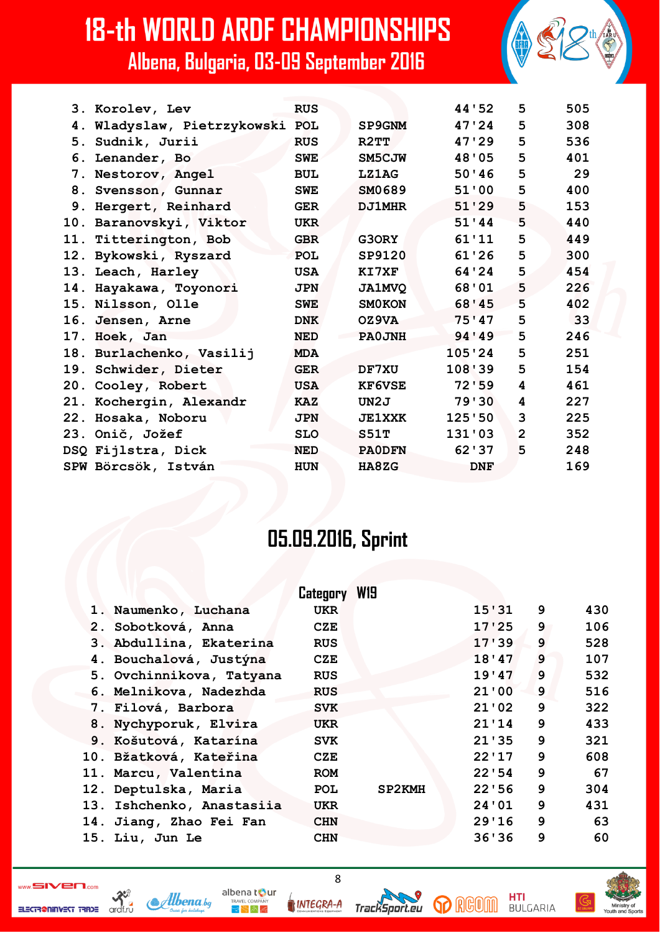|  | 3. Korolev, Lev                 | <b>RUS</b> |               | 44'52      | 5              | 505 |
|--|---------------------------------|------------|---------------|------------|----------------|-----|
|  | 4. Wladyslaw, Pietrzykowski POL |            | <b>SP9GNM</b> | 47'24      | 5              | 308 |
|  | 5. Sudnik, Jurii                | <b>RUS</b> | R2TT          | 47'29      | 5              | 536 |
|  | 6. Lenander, Bo                 | <b>SWE</b> | SM5CJW        | 48'05      | 5              | 401 |
|  | 7. Nestorov, Angel              | <b>BUL</b> | LZ1AG         | 50'36      | 5              | 29  |
|  | 8. Svensson, Gunnar             | <b>SWE</b> | SM0689        | 51'00      | 5              | 400 |
|  | 9. Hergert, Reinhard            | <b>GER</b> | <b>DJ1MHR</b> | 51'29      | 5              | 153 |
|  | 10. Baranovskyi, Viktor         | <b>UKR</b> |               | 51'44      | 5              | 440 |
|  | 11. Titterington, Bob           | <b>GBR</b> | G30RY         | 61'11      | 5              | 449 |
|  | 12. Bykowski, Ryszard           | <b>POL</b> | SP9120        | 61'26      | 5              | 300 |
|  | 13. Leach, Harley               | <b>USA</b> | KI7XF         | 64'24      | 5              | 454 |
|  | 14. Hayakawa, Toyonori          | <b>JPN</b> | <b>JA1MVQ</b> | 68'01      | 5              | 226 |
|  | 15. Nilsson, Olle               | <b>SWE</b> | <b>SMOKON</b> | 68'45      | 5              | 402 |
|  | 16. Jensen, Arne                | <b>DNK</b> | OZ9VA         | 75'47      | 5              | 33  |
|  | 17. Hoek, Jan                   | <b>NED</b> | PA0JNH        | 94 ' 49    | 5              | 246 |
|  | 18. Burlachenko, Vasilij        | <b>MDA</b> |               | 105'24     | 5              | 251 |
|  | 19. Schwider, Dieter            | <b>GER</b> | DF7XU         | 108'39     | 5              | 154 |
|  | 20. Cooley, Robert              | <b>USA</b> | <b>KF6VSE</b> | 72'59      | 4              | 461 |
|  | 21. Kochergin, Alexandr         | <b>KAZ</b> | UN2J          | 79'30      | 4              | 227 |
|  | 22. Hosaka, Noboru              | <b>JPN</b> | <b>JE1XXK</b> | 125'50     | 3              | 225 |
|  | 23. Onič, Jožef                 | <b>SLO</b> | S51T          | 131'03     | $\overline{2}$ | 352 |
|  | DSQ Fijlstra, Dick              | <b>NED</b> | <b>PAODFN</b> | 62'37      | 5              | 248 |
|  | SPW Börcsök, István             | <b>HUN</b> | HA8ZG         | <b>DNF</b> |                | 169 |
|  |                                 |            |               |            |                |     |

#### **05.09.2016, Sprint**

|                           | Category   | W <sub>19</sub> |       |   |     |
|---------------------------|------------|-----------------|-------|---|-----|
| 1. Naumenko, Luchana      | <b>UKR</b> |                 | 15'31 | 9 | 430 |
| 2. Sobotková, Anna        | CZE        |                 | 17'25 | 9 | 106 |
| 3. Abdullina, Ekaterina   | <b>RUS</b> |                 | 17'39 | 9 | 528 |
| 4. Bouchalová, Justýna    | CZE        |                 | 18'47 | 9 | 107 |
| 5. Ovchinnikova, Tatyana  | <b>RUS</b> |                 | 19'47 | 9 | 532 |
| 6. Melnikova, Nadezhda    | <b>RUS</b> |                 | 21'00 | 9 | 516 |
| 7. Filová, Barbora        | <b>SVK</b> |                 | 21'02 | 9 | 322 |
| 8. Nychyporuk, Elvira     | <b>UKR</b> |                 | 21'14 | 9 | 433 |
| 9. Košutová, Katarína     | <b>SVK</b> |                 | 21'35 | 9 | 321 |
| 10. Bžatková, Kateřina    | CZE        |                 | 22'17 | 9 | 608 |
| 11. Marcu, Valentina      | <b>ROM</b> |                 | 22'54 | 9 | 67  |
| 12. Deptulska, Maria      | <b>POL</b> | SP2KMH          | 22'56 | 9 | 304 |
| 13. Ishchenko, Anastasiia | <b>UKR</b> |                 | 24'01 | 9 | 431 |
| 14. Jiang, Zhao Fei Fan   | <b>CHN</b> |                 | 29'16 | 9 | 63  |
| 15. Liu, Jun Le           | <b>CHN</b> |                 | 36'36 | 9 | 60  |

8

ELECTR@NINVEST TRADE

 $\mathcal{R}^3$ 



**INTEGRA-A** 

albena tour

 $\mathbb{R} \searrow \mathbb{A}$ 





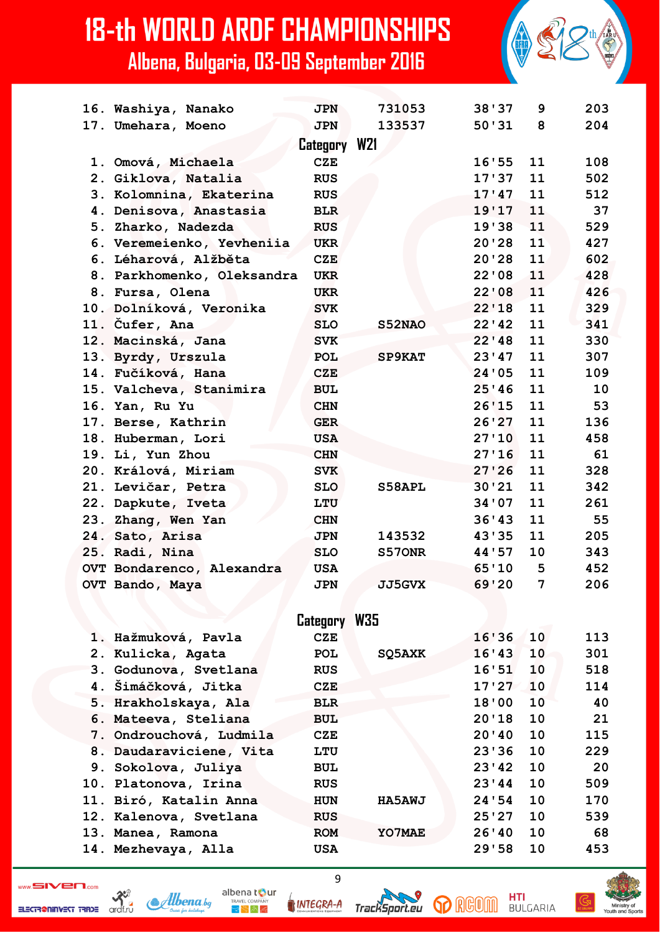| 16. Washiya, Nanako        | <b>JPN</b> | 731053        | 38'37        | 9              | 203 |
|----------------------------|------------|---------------|--------------|----------------|-----|
| 17. Umehara, Moeno         | <b>JPN</b> | 133537        | 50'31        | 8              | 204 |
|                            |            |               |              |                |     |
| 1. Omová, Michaela         | <b>CZE</b> |               | 16'55        | 11             | 108 |
| 2. Giklova, Natalia        | <b>RUS</b> |               | 17'37        | 11             | 502 |
| 3. Kolomnina, Ekaterina    | <b>RUS</b> |               | 17'47        | 11             | 512 |
| 4. Denisova, Anastasia     | <b>BLR</b> |               | 19'17        | 11             | 37  |
| 5. Zharko, Nadezda         | <b>RUS</b> |               | 19'38        | 11             | 529 |
| 6. Veremeienko, Yevheniia  | <b>UKR</b> |               | 20'28        | 11             | 427 |
| 6. Léharová, Alžběta       | <b>CZE</b> |               | 20'28        | 11             | 602 |
| 8. Parkhomenko, Oleksandra | <b>UKR</b> |               | 22'08        | 11             | 428 |
| 8. Fursa, Olena            | <b>UKR</b> |               | 22'08        | 11             | 426 |
| 10. Dolníková, Veronika    | <b>SVK</b> |               | 22'18        | 11             | 329 |
| 11. Čufer, Ana             | <b>SLO</b> | S52NAO        | 22'42        | 11             | 341 |
| 12. Macinská, Jana         | <b>SVK</b> |               | 22'18        | 11             | 330 |
| 13. Byrdy, Urszula         | <b>POL</b> | <b>SP9KAT</b> | 23'47        | 11             | 307 |
| 14. Fučíková, Hana         | <b>CZE</b> |               | 24'05        | 11             | 109 |
| 15. Valcheva, Stanimira    | <b>BUL</b> |               | 25'46        | 11             | 10  |
| 16. Yan, Ru Yu             | <b>CHN</b> |               | 26'15        | 11             | 53  |
| 17. Berse, Kathrin         | <b>GER</b> |               | 26'27        | 11             | 136 |
| 18. Huberman, Lori         | <b>USA</b> |               | 27'10        | 11             | 458 |
| 19. Li, Yun Zhou           | <b>CHN</b> |               | 27'16        | 11             | 61  |
| 20. Králová, Miriam        | <b>SVK</b> |               | 27'26        | 11             | 328 |
| 21. Levičar, Petra         | <b>SLO</b> | S58APL        | 30'21        | 11             | 342 |
| 22. Dapkute, Iveta         | LTU        |               | 34'07        | 11             | 261 |
| 23. Zhang, Wen Yan         | <b>CHN</b> |               | 36'43        | 11             | 55  |
| 24. Sato, Arisa            | <b>JPN</b> | 143532        | 43'35        | 11             | 205 |
| 25. Radi, Nina             | <b>SLO</b> | S570NR        | 44 ' 57      | 10             | 343 |
| OVT Bondarenco, Alexandra  | <b>USA</b> |               | 65'10        | 5              | 452 |
| OVT Bando, Maya            | <b>JPN</b> | <b>JJ5GVX</b> | 69'20        | $\overline{7}$ | 206 |
|                            |            |               | Category W21 |                |     |

|                         | Category   | <b>W35</b>    |             |     |
|-------------------------|------------|---------------|-------------|-----|
| 1. Hažmuková, Pavla     | <b>CZE</b> |               | 10<br>16'36 | 113 |
| 2. Kulicka, Agata       | <b>POL</b> | SQ5AXK        | 16'43<br>10 | 301 |
| 3. Godunova, Svetlana   | <b>RUS</b> |               | 10<br>16'51 | 518 |
| 4. Šimáčková, Jitka     | <b>CZE</b> |               | 17'27<br>10 | 114 |
| 5. Hrakholskaya, Ala    | <b>BLR</b> |               | 10<br>18'00 | 40  |
| 6. Mateeva, Steliana    | <b>BUL</b> |               | 10<br>20'18 | 21  |
| 7. Ondrouchová, Ludmila | <b>CZE</b> |               | 10<br>20'40 | 115 |
| 8. Daudaraviciene, Vita | LTU        |               | 23'36<br>10 | 229 |
| 9. Sokolova, Juliya     | <b>BUL</b> |               | 10<br>23'42 | 20  |
| 10. Platonova, Irina    | <b>RUS</b> |               | 10<br>23'44 | 509 |
| 11. Biró, Katalin Anna  | <b>HUN</b> | <b>HA5AWJ</b> | 10<br>24'54 | 170 |
| 12. Kalenova, Svetlana  | <b>RUS</b> |               | 10<br>25'27 | 539 |
| 13. Manea, Ramona       | <b>ROM</b> | YO7MAE        | 10<br>26'40 | 68  |
| 14. Mezhevaya, Alla     | <b>USA</b> |               | 10<br>29'58 | 453 |

9

ELECTRONINGST TRIDE archive

Albena.bg

albena tour INTEGRA-A

 $R_{\rm F}$   $\approx$   $R_{\rm F}$ 



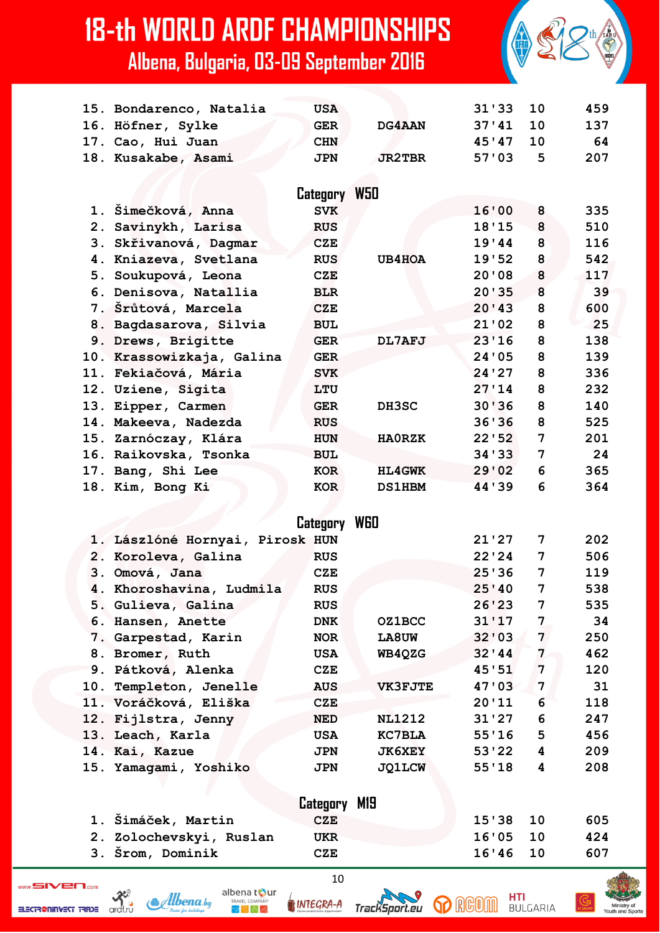|    | 15. Bondarenco, Natalia         | <b>USA</b>   |                | 31'33   | 10             | 459 |
|----|---------------------------------|--------------|----------------|---------|----------------|-----|
|    | 16. Höfner, Sylke               | <b>GER</b>   | DG4AAN         | 37'41   | 10             | 137 |
|    | 17. Cao, Hui Juan               | <b>CHN</b>   |                | 45'47   | 10             | 64  |
|    | 18. Kusakabe, Asami             | <b>JPN</b>   | <b>JR2TBR</b>  | 57'03   | 5              | 207 |
|    |                                 |              |                |         |                |     |
|    |                                 | Category W50 |                |         |                |     |
|    | 1. Šimečková, Anna              | <b>SVK</b>   |                | 16'00   | 8              | 335 |
|    |                                 |              |                |         |                | 510 |
|    | 2. Savinykh, Larisa             | <b>RUS</b>   |                | 18'15   | 8              |     |
|    | 3. Skřivanová, Dagmar           | <b>CZE</b>   |                | 19'44   | 8              | 116 |
|    | 4. Kniazeva, Svetlana           | <b>RUS</b>   | UB4HOA         | 19'52   | 8              | 542 |
|    | 5. Soukupová, Leona             | <b>CZE</b>   |                | 20'08   | 8              | 117 |
|    | 6. Denisova, Natallia           | <b>BLR</b>   |                | 20'35   | 8              | 39  |
|    | 7. Šrůtová, Marcela             | <b>CZE</b>   |                | 20'43   | 8              | 600 |
|    | 8. Bagdasarova, Silvia          | <b>BUL</b>   |                | 21'02   | 8              | 25  |
|    | 9. Drews, Brigitte              | <b>GER</b>   | DL7AFJ         | 23'16   | 8              | 138 |
|    | 10. Krassowizkaja, Galina       | <b>GER</b>   |                | 24'05   | 8              | 139 |
|    | 11. Fekiačová, Mária            | <b>SVK</b>   |                | 24'27   | 8              | 336 |
|    | 12. Uziene, Sigita              | LTU          |                | 27'14   | 8              | 232 |
|    | 13. Eipper, Carmen              | <b>GER</b>   | DH3SC          | 30'36   | 8              | 140 |
|    | 14. Makeeva, Nadezda            | <b>RUS</b>   |                | 36'36   | 8              | 525 |
|    | 15. Zarnóczay, Klára            | <b>HUN</b>   | <b>HAORZK</b>  | 22'52   | 7              | 201 |
|    | 16. Raikovska, Tsonka           | <b>BUL</b>   |                | 34 ' 33 | 7              | 24  |
|    | 17. Bang, Shi Lee               | <b>KOR</b>   | <b>HL4GWK</b>  | 29'02   | 6              | 365 |
|    | 18. Kim, Bong Ki                | KOR          | <b>DS1HBM</b>  | 44 ' 39 | 6              | 364 |
|    |                                 |              |                |         |                |     |
|    |                                 | Category     | <b>WGO</b>     |         |                |     |
|    | 1. Lászlóné Hornyai, Pirosk HUN |              |                | 21'27   | 7              | 202 |
|    | 2. Koroleva, Galina             | <b>RUS</b>   |                | 22'24   | 7              | 506 |
|    | 3. Omová, Jana                  | <b>CZE</b>   |                | 25'36   | 7              | 119 |
|    | 4. Khoroshavina, Ludmila        | <b>RUS</b>   |                | 25'40   | 7              | 538 |
|    | 5. Gulieva, Galina              | <b>RUS</b>   |                | 26'23   | 7              | 535 |
|    |                                 |              | <b>OZ1BCC</b>  | 31'17   | $\overline{7}$ | 34  |
|    | 6. Hansen, Anette               | <b>DNK</b>   |                |         | $\mathbf{7}$   |     |
|    | 7. Garpestad, Karin             | <b>NOR</b>   | <b>LA8UW</b>   | 32'03   |                | 250 |
|    | 8. Bromer, Ruth                 | <b>USA</b>   | WB4QZG         | 32'44   | $\mathbf{7}$   | 462 |
|    | 9. Pátková, Alenka              | <b>CZE</b>   |                | 45'51   | $\overline{7}$ | 120 |
|    | 10. Templeton, Jenelle          | <b>AUS</b>   | <b>VK3FJTE</b> | 47'03   | 7              | 31  |
|    | 11. Voráčková, Eliška           | <b>CZE</b>   |                | 20'11   | 6              | 118 |
|    | 12. Fijlstra, Jenny             | <b>NED</b>   | <b>NL1212</b>  | 31'27   | 6              | 247 |
|    | 13. Leach, Karla                | <b>USA</b>   | <b>KC7BLA</b>  | 55'16   | 5              | 456 |
|    | 14. Kai, Kazue                  | <b>JPN</b>   | <b>JK6XEY</b>  | 53'22   | 4              | 209 |
|    | 15. Yamagami, Yoshiko           | <b>JPN</b>   | <b>JQ1LCW</b>  | 55'18   | 4              | 208 |
|    |                                 |              |                |         |                |     |
|    |                                 | Category     | <b>M19</b>     |         |                |     |
|    | 1. Šimáček, Martin              | <b>CZE</b>   |                | 15'38   | 10             | 605 |
|    | 2. Zolochevskyi, Ruslan         | UKR          |                | 16'05   | 10             | 424 |
| 3. | Šrom, Dominik                   | <b>CZE</b>   |                | 16'46   | 10             | 607 |
|    |                                 |              |                |         |                |     |
|    |                                 | 10           |                |         |                |     |

 $\frac{32}{x}$ 

 $\mathcal{A}$ lbenaby

albena tour **INTEGRA-A** 

 $\mathbb{R}^{\mathbb{N},\mathbb{A}}$ 



**p** Reom

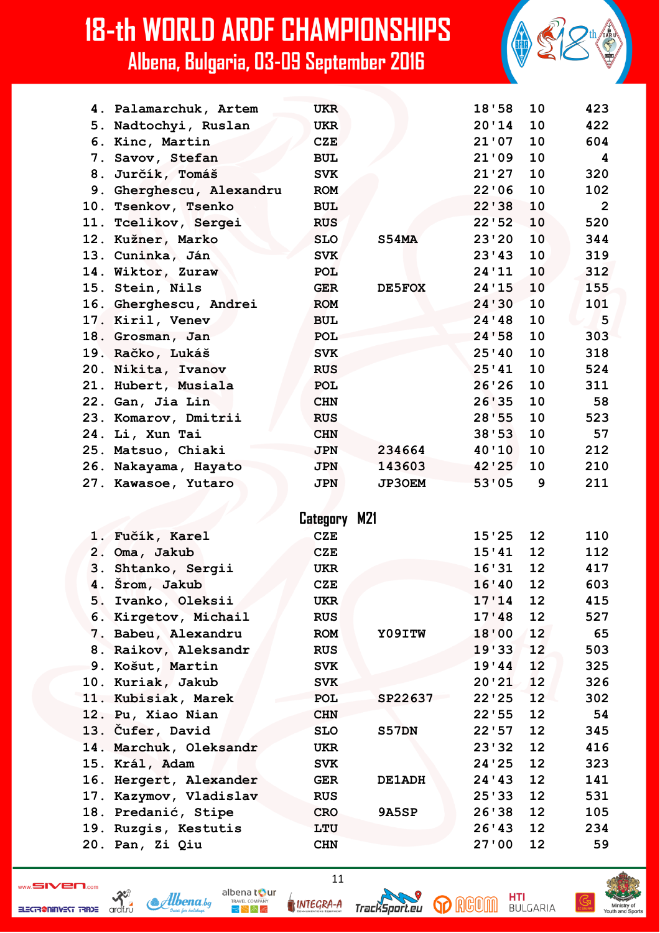| 4. Palamarchuk, Artem    | <b>UKR</b>   |               | 18'58   | 10 | 423          |
|--------------------------|--------------|---------------|---------|----|--------------|
| 5. Nadtochyi, Ruslan     | <b>UKR</b>   |               | 20'14   | 10 | 422          |
| 6. Kinc, Martin          | <b>CZE</b>   |               | 21'07   | 10 | 604          |
| 7. Savov, Stefan         | <b>BUL</b>   |               | 21'09   | 10 | 4            |
| 8. Jurčík, Tomáš         | <b>SVK</b>   |               | 21'27   | 10 | 320          |
| 9. Gherghescu, Alexandru | <b>ROM</b>   |               | 22'06   | 10 | 102          |
| 10. Tsenkov, Tsenko      | <b>BUL</b>   |               | 22'38   | 10 | $\mathbf{2}$ |
| 11. Tcelikov, Sergei     | <b>RUS</b>   |               | 22'52   | 10 | 520          |
| 12. Kužner, Marko        | <b>SLO</b>   | S54MA         | 23'20   | 10 | 344          |
| 13. Cuninka, Ján         | <b>SVK</b>   |               | 23'43   | 10 | 319          |
| 14. Wiktor, Zuraw        | <b>POL</b>   |               | 24'11   | 10 | 312          |
| 15. Stein, Nils          | <b>GER</b>   | DE5FOX        | 24'15   | 10 | 155          |
| 16. Gherghescu, Andrei   | <b>ROM</b>   |               | 24 ' 30 | 10 | 101          |
| 17. Kiril, Venev         | <b>BUL</b>   |               | 24'48   | 10 | $-5$         |
| 18. Grosman, Jan         | POL          |               | 24'58   | 10 | 303          |
| 19. Račko, Lukáš         | <b>SVK</b>   |               | 25'40   | 10 | 318          |
| 20. Nikita, Ivanov       | <b>RUS</b>   |               | 25'41   | 10 | 524          |
| 21. Hubert, Musiala      | POL          |               | 26'26   | 10 | 311          |
| 22. Gan, Jia Lin         | <b>CHN</b>   |               | 26'35   | 10 | 58           |
| 23. Komarov, Dmitrii     | <b>RUS</b>   |               | 28'55   | 10 | 523          |
| 24. Li, Xun Tai          | <b>CHN</b>   |               | 38'53   | 10 | 57           |
| 25. Matsuo, Chiaki       | <b>JPN</b>   | 234664        | 40'10   | 10 | 212          |
| 26. Nakayama, Hayato     | <b>JPN</b>   | 143603        | 42'25   | 10 | 210          |
| 27. Kawasoe, Yutaro      | <b>JPN</b>   | <b>JP3OEM</b> | 53'05   | 9  | 211          |
|                          |              |               |         |    |              |
|                          | Category M21 |               |         |    |              |
| 1. Fučík, Karel          | <b>CZE</b>   |               | 15'25   | 12 | 110          |
| 2. Oma, Jakub            | <b>CZE</b>   |               | 15'41   | 12 | 112          |
| 3. Shtanko, Sergii       | <b>UKR</b>   |               | 16'31   | 12 | 417          |
| 4. Šrom, Jakub           | <b>CZE</b>   |               | 16'40   | 12 | 603          |
| 5. Ivanko, Oleksii       | <b>UKR</b>   |               | 17'14   | 12 | 415          |
| 6. Kirgetov, Michail     | <b>RUS</b>   |               | 17'48   | 12 | 527          |
| 7. Babeu, Alexandru      | <b>ROM</b>   | Y09ITW        | 18'00   | 12 | 65           |
| 8. Raikov, Aleksandr     | <b>RUS</b>   |               | 19'33   | 12 | 503          |
| 9. Košut, Martin         | <b>SVK</b>   |               | 19'44   | 12 | 325          |
| 10. Kuriak, Jakub        | <b>SVK</b>   |               | 20'21   | 12 | 326          |
| 11. Kubisiak, Marek      | POL          | SP22637       | 22'25   | 12 | 302          |
| 12. Pu, Xiao Nian        | <b>CHN</b>   |               | 22'55   | 12 | 54           |
| 13. Čufer, David         | <b>SLO</b>   | S57DN         | 22'57   | 12 | 345          |
| 14. Marchuk, Oleksandr   | UKR          |               | 23'32   | 12 | 416          |
| 15. Král, Adam           | <b>SVK</b>   |               | 24'25   | 12 | 323          |
| 16. Hergert, Alexander   | <b>GER</b>   | <b>DE1ADH</b> | 24 ' 43 | 12 | 141          |
| 17. Kazymov, Vladislav   | <b>RUS</b>   |               | 25'33   | 12 | 531          |
| 18. Predanić, Stipe      | <b>CRO</b>   | 9A5SP         | 26'38   | 12 | 105          |
| 19. Ruzgis, Kestutis     | LTU          |               | 26'43   | 12 | 234          |
| 20. Pan, Zi Qiu          | <b>CHN</b>   |               | 27'00   | 12 | 59           |
|                          |              |               |         |    |              |

 $\sum_{\substack{\text{and for} \\ \text{and for}}}$ ELECTR@NINVEST TRADE

Albena.bg

albena tour INTEGRA-A

 $\mathbb{R}^{\mathbb{N}}$  in Eq

TrackSport.eu

11

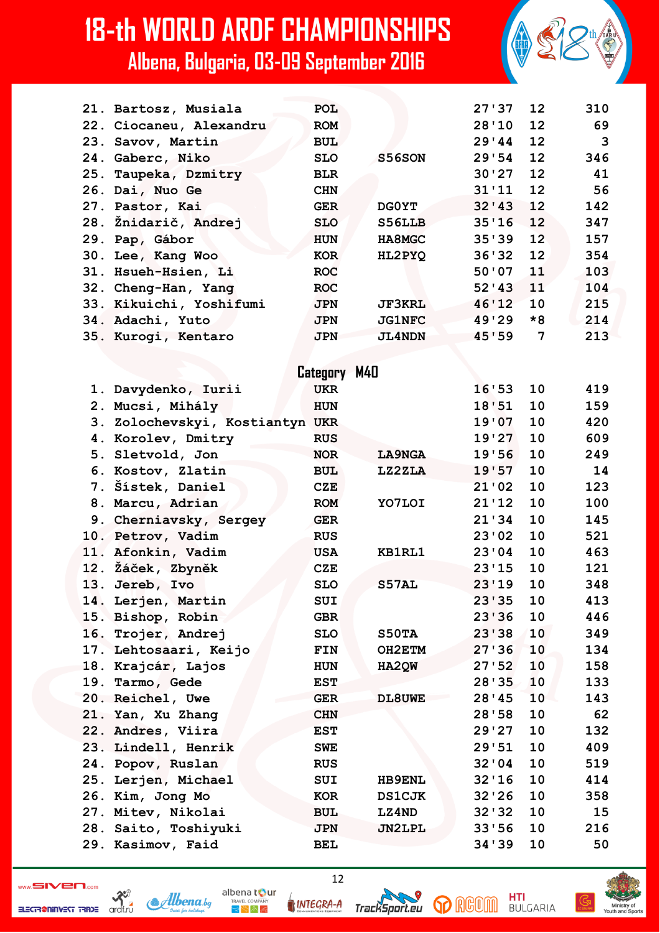| 21. Bartosz, Musiala    | <b>POL</b> |               | $27'37$ 12 |      | 310 |
|-------------------------|------------|---------------|------------|------|-----|
| 22. Ciocaneu, Alexandru | <b>ROM</b> |               | 28'10 12   |      | 69  |
| 23. Savov, Martin       | <b>BUL</b> |               | 29'44      | 12   | 3   |
| 24. Gaberc, Niko        | <b>SLO</b> | S56SON        | 29'54      | 12   | 346 |
| 25. Taupeka, Dzmitry    | <b>BLR</b> |               | $30'27$ 12 |      | 41  |
| 26. Dai, Nuo Ge         | <b>CHN</b> |               | 31'11      | 12   | 56  |
| 27. Pastor, Kai         | <b>GER</b> | <b>DGOYT</b>  | 32' 43' 12 |      | 142 |
| 28. Žnidarič, Andrej    | <b>SLO</b> | S56LLB        | $35'16$ 12 |      | 347 |
| 29. Pap, Gábor          | <b>HUN</b> | <b>HA8MGC</b> | 35'39 12   |      | 157 |
| 30. Lee, Kang Woo       | <b>KOR</b> | HL2PYQ        | 36'32 12   |      | 354 |
| 31. Hsueh-Hsien, Li     | <b>ROC</b> |               | 50'07      | 11   | 103 |
| 32. Cheng-Han, Yang     | <b>ROC</b> |               | 52'3       | 11   | 104 |
| 33. Kikuichi, Yoshifumi | <b>JPN</b> | <b>JF3KRL</b> | 46'12      | 10   | 215 |
| 34. Adachi, Yuto        | <b>JPN</b> | <b>JG1NFC</b> | 49'29      | $*8$ | 214 |
| 35. Kurogi, Kentaro     | <b>JPN</b> | <b>JL4NDN</b> | 45'59      | 7    | 213 |
|                         |            |               |            |      |     |

|     |                                 | Category M40 |               |       |    |     |
|-----|---------------------------------|--------------|---------------|-------|----|-----|
|     | 1. Davydenko, Iurii             | <b>UKR</b>   |               | 16'53 | 10 | 419 |
|     | 2. Mucsi, Mihály                | <b>HUN</b>   |               | 18'51 | 10 | 159 |
|     | 3. Zolochevskyi, Kostiantyn UKR |              |               | 19'07 | 10 | 420 |
|     | 4. Korolev, Dmitry              | <b>RUS</b>   |               | 19'27 | 10 | 609 |
|     | 5. Sletvold, Jon                | <b>NOR</b>   | <b>LA9NGA</b> | 19'56 | 10 | 249 |
|     | 6. Kostov, Zlatin               | <b>BUL</b>   | LZ2ZLA        | 19'57 | 10 | 14  |
|     | 7. Šístek, Daniel               | <b>CZE</b>   |               | 21'02 | 10 | 123 |
|     | 8. Marcu, Adrian                | <b>ROM</b>   | YO7LOI        | 21'12 | 10 | 100 |
|     | 9. Cherniavsky, Sergey          | <b>GER</b>   |               | 21'34 | 10 | 145 |
|     | 10. Petrov, Vadim               | <b>RUS</b>   |               | 23'02 | 10 | 521 |
| 11. | Afonkin, Vadim                  | <b>USA</b>   | KB1RL1        | 23'04 | 10 | 463 |
|     | 12. Žáček, Zbyněk               | <b>CZE</b>   |               | 23'15 | 10 | 121 |
|     | 13. Jereb, Ivo                  | <b>SLO</b>   | S57AL         | 23'19 | 10 | 348 |
| 14. | Lerjen, Martin                  | SUI          |               | 23'35 | 10 | 413 |
|     | 15. Bishop, Robin               | <b>GBR</b>   |               | 23'36 | 10 | 446 |
|     | 16. Trojer, Andrej              | <b>SLO</b>   | S50TA         | 23'38 | 10 | 349 |
|     | 17. Lehtosaari, Keijo           | FIN          | OH2ETM        | 27'36 | 10 | 134 |
| 18. | Krajcár, Lajos                  | <b>HUN</b>   | HA2QW         | 27'52 | 10 | 158 |
|     | 19. Tarmo, Gede                 | <b>EST</b>   |               | 28'35 | 10 | 133 |
|     | 20. Reichel, Uwe                | <b>GER</b>   | DL8UWE        | 28'45 | 10 | 143 |
|     | 21. Yan, Xu Zhang               | <b>CHN</b>   |               | 28'58 | 10 | 62  |
|     | 22. Andres, Viira               | <b>EST</b>   |               | 29'27 | 10 | 132 |
|     | 23. Lindell, Henrik             | <b>SWE</b>   |               | 29'51 | 10 | 409 |
|     | 24. Popov, Ruslan               | <b>RUS</b>   |               | 32'04 | 10 | 519 |
|     | 25. Lerjen, Michael             | SUI          | <b>HB9ENL</b> | 32'16 | 10 | 414 |
|     | 26. Kim, Jong Mo                | <b>KOR</b>   | <b>DS1CJK</b> | 32'26 | 10 | 358 |
|     | 27. Mitev, Nikolai              | <b>BUL</b>   | LZ4ND         | 32'32 | 10 | 15  |
|     | 28. Saito, Toshiyuki            | <b>JPN</b>   | <b>JN2LPL</b> | 33'56 | 10 | 216 |
|     | 29. Kasimov, Faid               | <b>BEL</b>   |               | 34'39 | 10 | 50  |

 $\sum_{\text{card.}r\cup\text{ }}$ ELECTR@NINVEST TRADE

Albena.bq

albena tour INTEGRA-A

 $\mathbb{R}^{\mathbb{N}}$  in Eq



 $12$ 

**p** RGOM

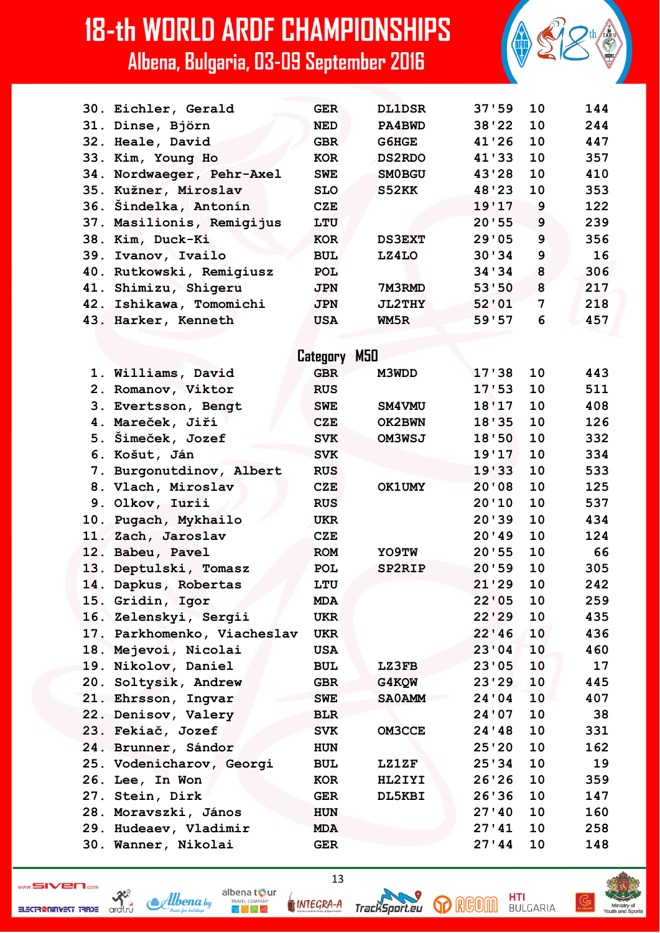| 30. Eichler, Gerald         | <b>GER</b>   | <b>DL1DSR</b> | 37'59   | 10 | 144 |
|-----------------------------|--------------|---------------|---------|----|-----|
| 31. Dinse, Björn            | <b>NED</b>   | PA4BWD        | 38'22   | 10 | 244 |
| 32. Heale, David            | <b>GBR</b>   | G6HGE         | 41'26   | 10 | 447 |
| 33. Kim, Young Ho           | <b>KOR</b>   | <b>DS2RDO</b> | 41'33   | 10 | 357 |
| 34. Nordwaeger, Pehr-Axel   | <b>SWE</b>   | <b>SMOBGU</b> | 43'28   | 10 | 410 |
| 35. Kužner, Miroslav        | <b>SLO</b>   | S52KK         | 48'23   | 10 | 353 |
| 36. Sindelka, Antonín       | CZE          |               | 19'17   | 9  | 122 |
| 37. Masilionis, Remigijus   | LTU          |               | 20'55   | 9  | 239 |
| 38. Kim, Duck-Ki            | <b>KOR</b>   | <b>DS3EXT</b> | 29'05   | 9  | 356 |
| 39. Ivanov, Ivailo          | <b>BUL</b>   | LZ4LO         | 30'34   | 9  | 16  |
| 40. Rutkowski, Remigiusz    | <b>POL</b>   |               | 34'34   | 8  | 306 |
| 41. Shimizu, Shigeru        | <b>JPN</b>   | 7M3RMD        | 53'50   | 8  | 217 |
| 42. Ishikawa, Tomomichi     | <b>JPN</b>   | <b>JL2THY</b> | 52'01   | 7  | 218 |
| 43. Harker, Kenneth         | <b>USA</b>   | WM5R          | 59'57   | 6  | 457 |
|                             |              |               |         |    |     |
|                             | Category M50 |               |         |    |     |
|                             | <b>GBR</b>   |               | 17'38   | 10 | 443 |
| 1. Williams, David          |              | M3WDD         | 17:53   | 10 | 511 |
| 2. Romanov, Viktor          | <b>RUS</b>   |               |         | 10 | 408 |
| 3. Evertsson, Bengt         | <b>SWE</b>   | SM4VMU        | 18'17   |    |     |
| 4. Mareček, Jiří            | <b>CZE</b>   | OK2BWN        | 18'35   | 10 | 126 |
| 5. Šimeček, Jozef           | <b>SVK</b>   | OM3WSJ        | 18'50   | 10 | 332 |
| 6. Košut, Ján               | <b>SVK</b>   |               | 19'17   | 10 | 334 |
| 7. Burgonutdinov, Albert    | <b>RUS</b>   |               | 19'33   | 10 | 533 |
| 8. Vlach, Miroslav          | CZE          | <b>OK1UMY</b> | 20'08   | 10 | 125 |
| 9. Olkov, Iurii             | <b>RUS</b>   |               | 20'10   | 10 | 537 |
| 10. Pugach, Mykhailo        | <b>UKR</b>   |               | 20'39   | 10 | 434 |
| 11. Zach, Jaroslav          | <b>CZE</b>   |               | 20'39   | 10 | 124 |
| 12. Babeu, Pavel            | <b>ROM</b>   | YO9TW         | 20'55   | 10 | 66  |
| 13. Deptulski, Tomasz       | <b>POL</b>   | SP2RIP        | 20'59   | 10 | 305 |
| 14. Dapkus, Robertas        | LTU          |               | 21'29   | 10 | 242 |
| 15. Gridin, Igor            | MDA          |               | 22'05   | 10 | 259 |
| 16. Zelenskyi, Sergii       | <b>UKR</b>   |               | 22'29   | 10 | 435 |
| 17. Parkhomenko, Viacheslav | <b>UKR</b>   |               | 22'46   | 10 | 436 |
| 18. Mejevoi, Nicolai        | <b>USA</b>   |               | 23'04   | 10 | 460 |
| 19. Nikolov, Daniel         | <b>BUL</b>   | LZ3FB         | 23'05   | 10 | 17  |
| 20. Soltysik, Andrew        | <b>GBR</b>   | G4KQW         | 23'29   | 10 | 445 |
| 21. Ehrsson, Ingvar         | <b>SWE</b>   | <b>SAOAMM</b> | 24'04   | 10 | 407 |
| 22. Denisov, Valery         | <b>BLR</b>   |               | 24 ' 07 | 10 | 38  |
| 23. Fekiač, Jozef           | <b>SVK</b>   | <b>OM3CCE</b> | 24 ' 48 | 10 | 331 |
| 24. Brunner, Sándor         | <b>HUN</b>   |               | 25'20   | 10 | 162 |
| 25. Vodenicharov, Georgi    | <b>BUL</b>   | <b>LZ1ZF</b>  | 25'34   | 10 | 19  |
| 26. Lee, In Won             | KOR          | HL2IYI        | 26'26   | 10 | 359 |
| 27. Stein, Dirk             | <b>GER</b>   | DL5KBI        | 26'36   | 10 | 147 |
| 28. Moravszki, János        | <b>HUN</b>   |               | 27'40   | 10 | 160 |
| 29. Hudeaev, Vladimir       | MDA          |               | 27'41   | 10 | 258 |
| 30. Wanner, Nikolai         | <b>GER</b>   |               | 27'44   | 10 | 148 |
|                             |              |               |         |    |     |

ELECTR@NINVEST TRADE

 $\frac{32}{x^{1.7}}$ 

albena tour Albena.bg  $R_{\rm F}$   $\approx$   $R_{\rm F}$ 

INTEGRA-A

13

**HTI**<br>BULGARIA **p** RGOM

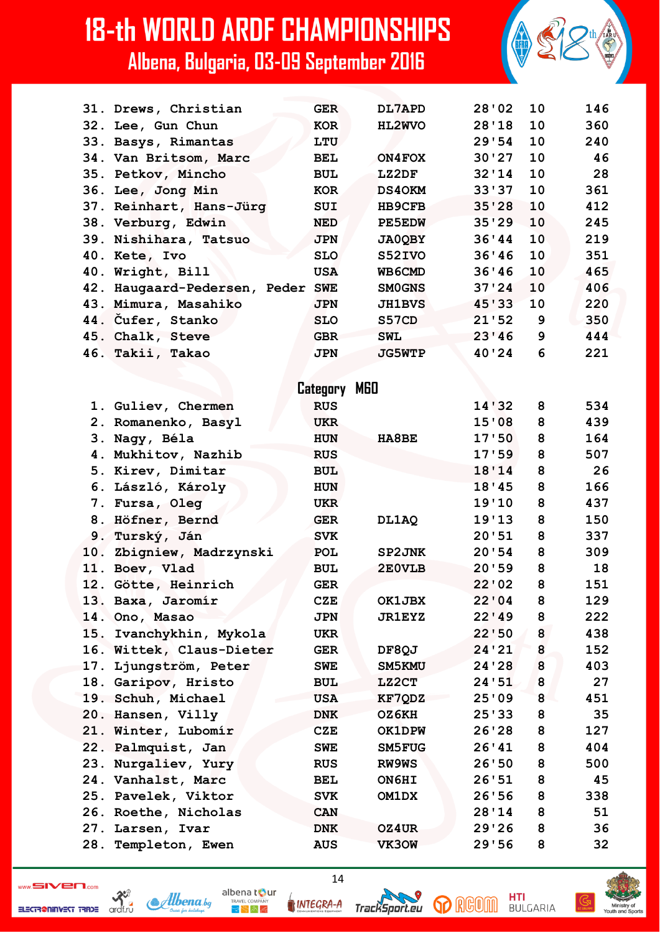|     | 31. Drews, Christian             | <b>GER</b>      | DL7APD        | 28'02 | 10 | 146 |
|-----|----------------------------------|-----------------|---------------|-------|----|-----|
|     | 32. Lee, Gun Chun                | <b>KOR</b>      | HL2WVO        | 28'18 | 10 | 360 |
|     | 33. Basys, Rimantas              | LTU             |               | 29'54 | 10 | 240 |
|     | 34. Van Britsom, Marc            | BEL             | ON4FOX        | 30'27 | 10 | 46  |
|     | 35. Petkov, Mincho               | <b>BUL</b>      | LZ2DF         | 32'14 | 10 | 28  |
|     | 36. Lee, Jong Min                | <b>KOR</b>      | <b>DS40KM</b> | 33'37 | 10 | 361 |
|     | 37. Reinhart, Hans-Jürg          | SUI             | <b>HB9CFB</b> | 35'28 | 10 | 412 |
|     | 38. Verburg, Edwin               | <b>NED</b>      | <b>PE5EDW</b> | 35'29 | 10 | 245 |
|     | 39. Nishihara, Tatsuo            | <b>JPN</b>      | <b>JA0QBY</b> | 36'44 | 10 | 219 |
|     | 40. Kete, Ivo                    | <b>SLO</b>      | S52IVO        | 36'36 | 10 | 351 |
| 40. | Wright, Bill                     | <b>USA</b>      | WB6CMD        | 36'46 | 10 | 465 |
|     | 42. Haugaard-Pedersen, Peder SWE |                 | <b>SMOGNS</b> | 37'24 | 10 | 406 |
|     | 43. Mimura, Masahiko             | <b>JPN</b>      | <b>JH1BVS</b> | 45'33 | 10 | 220 |
|     | 44. Cufer, Stanko                | <b>SLO</b>      | S57CD         | 21'52 | 9  | 350 |
|     | 45. Chalk, Steve                 | <b>GBR</b>      | <b>SWL</b>    | 23'46 | 9  | 444 |
|     | 46. Takii, Takao                 | <b>JPN</b>      | <b>JG5WTP</b> | 40'24 | 6  | 221 |
|     |                                  |                 |               |       |    |     |
|     |                                  | MGO<br>Category |               |       |    |     |
|     | 1. Guliev, Chermen               | <b>RUS</b>      |               | 14'32 | 8  | 534 |
|     | 2. Romanenko, Basyl              | <b>UKR</b>      |               | 15'08 | 8  | 439 |
|     | 3. Nagy, Béla                    | <b>HUN</b>      | HA8BE         | 17'50 | 8  | 164 |
|     | 4. Mukhitov, Nazhib              | <b>RUS</b>      |               | 17'59 | 8  | 507 |
| 5.  | Kirev, Dimitar                   | <b>BUL</b>      |               | 18'14 | 8  | 26  |
|     | 6. László, Károly                | <b>HUN</b>      |               | 18'45 | 8  | 166 |
|     | 7. Fursa, Oleg                   | <b>UKR</b>      |               | 19'10 | 8  | 437 |
|     | 8. Höfner, Bernd                 | <b>GER</b>      | DL1AQ         | 19'13 | 8  | 150 |
|     | 9. Turský, Ján                   | <b>SVK</b>      |               | 20'51 | 8  | 337 |
|     | 10. Zbigniew, Madrzynski         | <b>POL</b>      | SP2JNK        | 20'54 | 8  | 309 |
|     | 11. Boev, Vlad                   | <b>BUL</b>      | 2E0VLB        | 20'59 | 8  | 18  |
|     | 12. Götte, Heinrich              | <b>GER</b>      |               | 22'02 | 8  | 151 |
|     | 13. Baxa, Jaromír                | <b>CZE</b>      | OK1JBX        | 22'04 | 8  | 129 |
|     | 14. Ono, Masao                   | <b>JPN</b>      | <b>JR1EYZ</b> | 22'19 | 8  | 222 |
| 15. | Ivanchykhin, Mykola              | <b>UKR</b>      |               | 22'50 | 8  | 438 |
| 16. | Wittek, Claus-Dieter             | <b>GER</b>      | DF8QJ         | 24'21 | 8  | 152 |
| 17. | Ljungström, Peter                | <b>SWE</b>      | SM5KMU        | 24'28 | 8  | 403 |
| 18. | Garipov, Hristo                  | <b>BUL</b>      | LZ2CT         | 24'51 | 8  | 27  |
|     | 19. Schuh, Michael               | <b>USA</b>      | KF7QDZ        | 25'09 | 8  | 451 |
|     | 20. Hansen, Villy                | <b>DNK</b>      | OZ6KH         | 25'33 | 8  | 35  |
|     | 21. Winter, Lubomír              | <b>CZE</b>      | <b>OK1DPW</b> | 26'28 | 8  | 127 |
|     | 22. Palmquist, Jan               | <b>SWE</b>      | SM5FUG        | 26'41 | 8  | 404 |
|     | 23. Nurgaliev, Yury              | <b>RUS</b>      | RW9WS         | 26'50 | 8  | 500 |
|     | 24. Vanhalst, Marc               | <b>BEL</b>      | ON6HI         | 26'51 | 8  | 45  |
| 25. | Pavelek, Viktor                  | <b>SVK</b>      | OM1DX         | 26'56 | 8  | 338 |
|     | 26. Roethe, Nicholas             | <b>CAN</b>      |               | 28'14 | 8  | 51  |
| 27. | Larsen, Ivar                     | <b>DNK</b>      | OZ4UR         | 29'26 | 8  | 36  |
|     | 28. Templeton, Ewen              | <b>AUS</b>      | VK30W         | 29'56 | 8  | 32  |

ELECTR@NINVEST TRADE

 $\sum_{\substack{\text{and for} \\ \text{and for}}}$ Albena.bg albena tour INTEGRA-A

 $R_{\rm F}$   $\approx$   $R_{\rm F}$ 



14

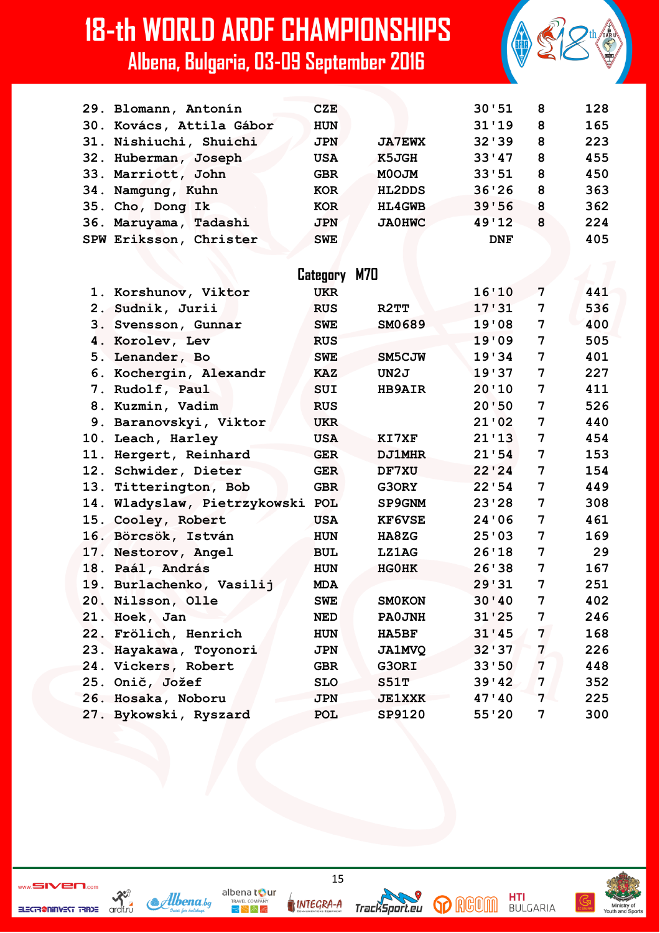| 29. Blomann, Antonín     |                                  | <b>CZE</b>   |               | 30'51      | 8 | 128 |
|--------------------------|----------------------------------|--------------|---------------|------------|---|-----|
| 30. Kovács, Attila Gábor |                                  | HUN          |               | 31'19      | 8 | 165 |
| 31. Nishiuchi, Shuichi   |                                  | <b>JPN</b>   | <b>JA7EWX</b> | 32'39      | 8 | 223 |
| 32. Huberman, Joseph     |                                  | <b>USA</b>   | K5JGH         | 33'47      | 8 | 455 |
| 33. Marriott, John       |                                  | <b>GBR</b>   | <b>MOOJM</b>  | 33'51      | 8 | 450 |
| 34. Namgung, Kuhn        |                                  | <b>KOR</b>   | <b>HL2DDS</b> | 36'26      | 8 | 363 |
| 35. Cho, Dong Ik         |                                  | <b>KOR</b>   | <b>HL4GWB</b> | 39'56      | 8 | 362 |
| 36. Maruyama, Tadashi    |                                  | <b>JPN</b>   | <b>JA0HWC</b> | 49'12      | 8 | 224 |
| SPW Eriksson, Christer   |                                  | <b>SWE</b>   |               | <b>DNF</b> |   | 405 |
|                          |                                  |              |               |            |   |     |
|                          |                                  | Category M70 |               |            |   |     |
| 1. Korshunov, Viktor     |                                  | <b>UKR</b>   |               | 16'10      | 7 | 441 |
| 2. Sudnik, Jurii         |                                  | <b>RUS</b>   | R2TT          | 17'31      | 7 | 536 |
| 3. Svensson, Gunnar      |                                  | <b>SWE</b>   | SM0689        | 19'08      | 7 | 400 |
| 4. Korolev, Lev          |                                  | <b>RUS</b>   |               | 19'09      | 7 | 505 |
| 5. Lenander, Bo          |                                  | <b>SWE</b>   | SM5CJW        | 19'34      | 7 | 401 |
| 6. Kochergin, Alexandr   |                                  | <b>KAZ</b>   | UN2J          | 19'37      | 7 | 227 |
| 7. Rudolf, Paul          |                                  | <b>SUI</b>   | <b>HB9AIR</b> | 20'10      | 7 | 411 |
| 8. Kuzmin, Vadim         |                                  | <b>RUS</b>   |               | 20'50      | 7 | 526 |
| 9. Baranovskyi, Viktor   |                                  | <b>UKR</b>   |               | 21'02      | 7 | 440 |
| 10. Leach, Harley        |                                  | <b>USA</b>   | KI7XF         | 21'13      | 7 | 454 |
| 11. Hergert, Reinhard    |                                  | <b>GER</b>   | <b>DJ1MHR</b> | 21'54      | 7 | 153 |
| 12. Schwider, Dieter     |                                  | <b>GER</b>   | DF7XU         | 22'24      | 7 | 154 |
| 13. Titterington, Bob    |                                  | <b>GBR</b>   | G3ORY         | 22'54      | 7 | 449 |
|                          | 14. Wladyslaw, Pietrzykowski POL |              | <b>SP9GNM</b> | 23'28      | 7 | 308 |
| 15. Cooley, Robert       |                                  | <b>USA</b>   | <b>KF6VSE</b> | 24'06      | 7 | 461 |
| 16. Börcsök, István      |                                  | <b>HUN</b>   | <b>HA8ZG</b>  | 25'03      | 7 | 169 |
| 17. Nestorov, Angel      |                                  | <b>BUL</b>   | <b>LZ1AG</b>  | 26'18      | 7 | 29  |
| 18. Paál, András         |                                  | <b>HUN</b>   | <b>HGOHK</b>  | 26'38      | 7 | 167 |
| 19. Burlachenko, Vasilij |                                  | <b>MDA</b>   |               | 29'31      | 7 | 251 |
| 20. Nilsson, Olle        |                                  | <b>SWE</b>   | <b>SMOKON</b> | 30'40      | 7 | 402 |
| 21. Hoek, Jan            |                                  | <b>NED</b>   | <b>PAOJNH</b> | 31'25      | 7 | 246 |
| 22. Frölich, Henrich     |                                  | HUN          | <b>HA5BF</b>  | 31'45      | 7 | 168 |
| 23. Hayakawa, Toyonori   |                                  | <b>JPN</b>   | <b>JA1MVQ</b> | 32'37      | 7 | 226 |
| 24. Vickers, Robert      |                                  | <b>GBR</b>   | G3ORI         | 33'50      | 7 | 448 |
| 25. Onič, Jožef          |                                  | <b>SLO</b>   | S51T          | 39'42      | 7 | 352 |
| 26. Hosaka, Noboru       |                                  | <b>JPN</b>   | <b>JE1XXK</b> | 47'40      | 7 | 225 |
| 27. Bykowski, Ryszard    |                                  | POL          | SP9120        | 55'20      | 7 | 300 |

ELECTR@NINVEST TRADE



15

**INTEGRA-A** 

albena tour

 $\bigtriangledown \bigtriangledown \bigtriangleup \bigwedge \mathcal{A}$ 

TrackSport.eu



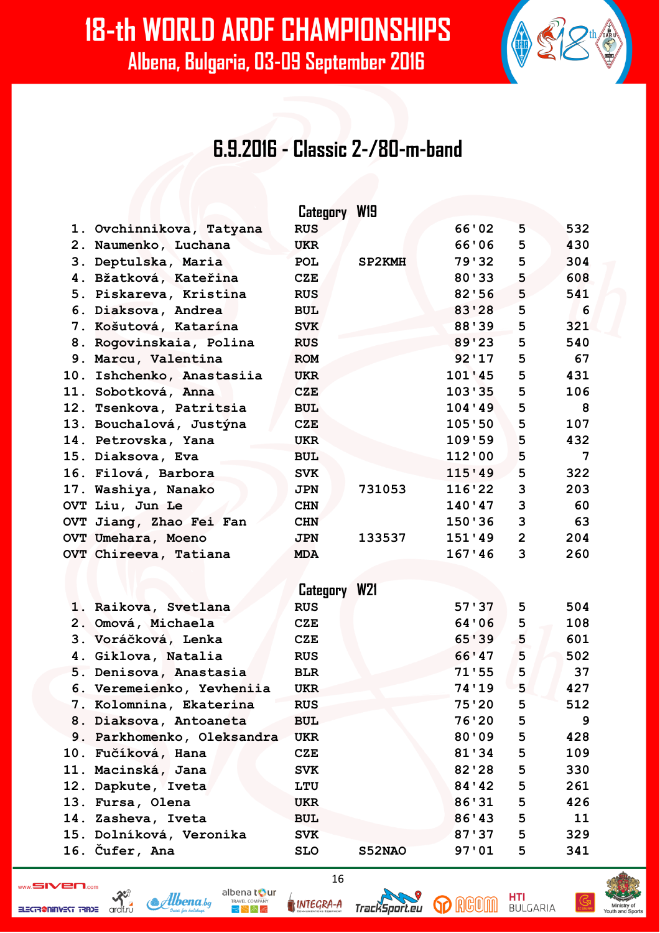#### **6.9.2016 - Classic 2-/80-m-band**

|     |                            | Category W19 |               |         |                |     |
|-----|----------------------------|--------------|---------------|---------|----------------|-----|
|     | 1. Ovchinnikova, Tatyana   | <b>RUS</b>   |               | 66'02   | 5              | 532 |
|     | 2. Naumenko, Luchana       | <b>UKR</b>   |               | 66'06   | 5              | 430 |
|     | 3. Deptulska, Maria        | <b>POL</b>   | <b>SP2KMH</b> | 79'32   | 5              | 304 |
|     | 4. Bžatková, Kateřina      | CZE          |               | 80'33   | 5              | 608 |
|     | 5. Piskareva, Kristina     | <b>RUS</b>   |               | 82'56   | 5              | 541 |
|     | 6. Diaksova, Andrea        | <b>BUL</b>   |               | 83'28   | 5              | 6   |
|     | 7. Košutová, Katarína      | <b>SVK</b>   |               | 88'39   | 5              | 321 |
|     | 8. Rogovinskaia, Polina    | <b>RUS</b>   |               | 89'23   | 5              | 540 |
|     | 9. Marcu, Valentina        | <b>ROM</b>   |               | 92'17   | 5              | 67  |
|     | 10. Ishchenko, Anastasiia  | <b>UKR</b>   |               | 101'45  | 5              | 431 |
|     | 11. Sobotková, Anna        | <b>CZE</b>   |               | 103'35  | 5              | 106 |
|     | 12. Tsenkova, Patritsia    | <b>BUL</b>   |               | 104'49  | 5              | 8   |
|     | 13. Bouchalová, Justýna    | CZE          |               | 105'50  | 5              | 107 |
|     | 14. Petrovska, Yana        | <b>UKR</b>   |               | 109'59  | 5              | 432 |
|     | 15. Diaksova, Eva          | <b>BUL</b>   |               | 112'00  | 5              | 7   |
|     | 16. Filová, Barbora        | <b>SVK</b>   |               | 115'49  | 5              | 322 |
|     | 17. Washiya, Nanako        | <b>JPN</b>   | 731053        | 116'22  | 3              | 203 |
|     | OVT Liu, Jun Le            | <b>CHN</b>   |               | 140'47  | 3              | 60  |
|     | OVT Jiang, Zhao Fei Fan    | <b>CHN</b>   |               | 150'36  | 3              | 63  |
|     | OVT Umehara, Moeno         | <b>JPN</b>   | 133537        | 151'49  | $\overline{2}$ | 204 |
|     | OVT Chireeva, Tatiana      | <b>MDA</b>   |               | 167'46  | $\mathbf{3}$   | 260 |
|     |                            |              |               |         |                |     |
|     |                            | Category W21 |               |         |                |     |
|     | 1. Raikova, Svetlana       | <b>RUS</b>   |               | 57'37   | 5              | 504 |
|     | 2. Omová, Michaela         | <b>CZE</b>   |               | 64'06   | 5              | 108 |
|     | 3. Voráčková, Lenka        | CZE          |               | 65'39   | 5              | 601 |
|     | 4. Giklova, Natalia        | <b>RUS</b>   |               | 66'47   | 5              | 502 |
|     | 5. Denisova, Anastasia     | <b>BLR</b>   |               | 71'55   | 5              | 37  |
|     | 6. Veremeienko, Yevheniia  | <b>UKR</b>   |               | 74'19   | 5              | 427 |
|     | 7. Kolomnina, Ekaterina    | <b>RUS</b>   |               | 75'20   | 5              | 512 |
|     | 8. Diaksova, Antoaneta     | <b>BUL</b>   |               | 76'20   | 5              | 9   |
|     | 9. Parkhomenko, Oleksandra | <b>UKR</b>   |               | 80'09   | 5              | 428 |
|     | 10. Fučíková, Hana         | <b>CZE</b>   |               | 81'34   | 5              | 109 |
| 11. | Macinská, Jana             | <b>SVK</b>   |               | 82'28   | 5              | 330 |
|     | 12. Dapkute, Iveta         | LTU          |               | 84 ' 42 | 5              | 261 |
|     | 13. Fursa, Olena           | <b>UKR</b>   |               | 86'31   | 5              | 426 |
|     | 14. Zasheva, Iveta         | <b>BUL</b>   |               | 86'43   | 5              | 11  |
|     | 15. Dolníková, Veronika    | <b>SVK</b>   |               | 87'37   | 5              | 329 |
|     | 16. Čufer, Ana             | <b>SLO</b>   | S52NAO        | 97'01   | 5              | 341 |

ELECTR@NINVEST TRADE

 $\mathcal{R}^3$  $\mathcal{A}$ lbena bg



 $8 - 2 - 2$ 

16

**GD** RGOM

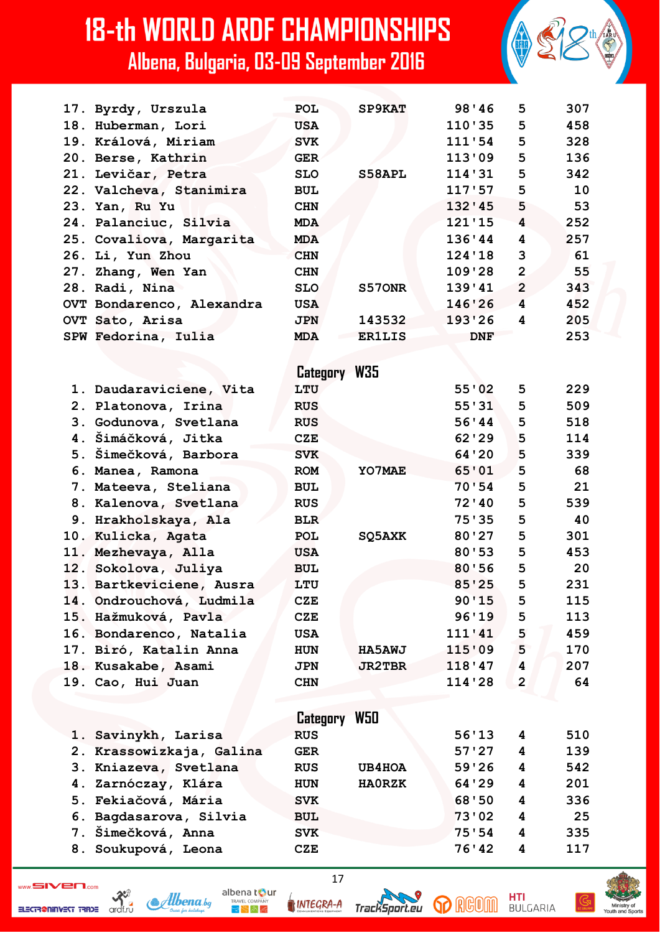| 17. Byrdy, Urszula        | <b>POL</b>   | <b>SP9KAT</b> | 98'46      | 5              | 307 |
|---------------------------|--------------|---------------|------------|----------------|-----|
| 18. Huberman, Lori        | <b>USA</b>   |               | 110'35     | 5              | 458 |
| 19. Králová, Miriam       | <b>SVK</b>   |               | 111'54     | 5              | 328 |
| 20. Berse, Kathrin        | <b>GER</b>   |               | 113'09     | 5              | 136 |
| 21. Levičar, Petra        | <b>SLO</b>   | S58APL        | 114'31     | 5              | 342 |
| 22. Valcheva, Stanimira   | <b>BUL</b>   |               | 117'57     | 5              | 10  |
| 23. Yan, Ru Yu            | <b>CHN</b>   |               | 132'45     | 5              | 53  |
| 24. Palanciuc, Silvia     | <b>MDA</b>   |               | 121'15     | 4              | 252 |
| 25. Covaliova, Margarita  | <b>MDA</b>   |               | 136'44     | 4              | 257 |
| 26. Li, Yun Zhou          | <b>CHN</b>   |               | 124'18     | 3              | 61  |
| 27. Zhang, Wen Yan        | <b>CHN</b>   |               | 109'28     | $\overline{2}$ | 55  |
| 28. Radi, Nina            | <b>SLO</b>   | S570NR        | 139'41     | $\overline{2}$ | 343 |
| OVT Bondarenco, Alexandra | <b>USA</b>   |               | 146'26     | 4              | 452 |
| <b>OVT Sato, Arisa</b>    | <b>JPN</b>   | 143532        | 193'26     | 4              | 205 |
| SPW Fedorina, Iulia       | <b>MDA</b>   | <b>ER1LIS</b> | <b>DNF</b> |                | 253 |
|                           |              |               |            |                |     |
|                           | Category W35 |               |            |                |     |
| 1. Daudaraviciene, Vita   | LTU          |               | 55'02      | 5              | 229 |
| 2. Platonova, Irina       | <b>RUS</b>   |               | 55'31      | 5              | 509 |
| 3. Godunova, Svetlana     | <b>RUS</b>   |               | 56'44      | 5              | 518 |
| 4. Šimáčková, Jitka       | <b>CZE</b>   |               | 62'29      | 5              | 114 |
| 5. Simečková, Barbora     | <b>SVK</b>   |               | 64'20      | 5              | 339 |
| 6. Manea, Ramona          | <b>ROM</b>   | YO7MAE        | 65'01      | 5              | 68  |
| 7. Mateeva, Steliana      | <b>BUL</b>   |               | 70:54      | 5              | 21  |
| 8. Kalenova, Svetlana     | <b>RUS</b>   |               | 72'10      | 5              | 539 |
| 9. Hrakholskaya, Ala      | <b>BLR</b>   |               | 75'35      | 5              | 40  |
| 10. Kulicka, Agata        | POL          | SQ5AXK        | 80'27      | 5              | 301 |
| 11. Mezhevaya, Alla       | <b>USA</b>   |               | 80'53      | 5              | 453 |
| 12. Sokolova, Juliya      | <b>BUL</b>   |               | 80'56      | 5              | 20  |
| 13. Bartkeviciene, Ausra  | LTU          |               | 85'25      | 5              | 231 |
| 14. Ondrouchová, Ludmila  | <b>CZE</b>   |               | 90'15      | 5              | 115 |
| 15. Hažmuková, Pavla      | <b>CZE</b>   |               | 96'19      | 5              | 113 |
| 16. Bondarenco, Natalia   | <b>USA</b>   |               | 111'41     | 5              | 459 |
| 17. Biró, Katalin Anna    | <b>HUN</b>   | <b>HA5AWJ</b> | 115'09     | 5              | 170 |
| 18. Kusakabe, Asami       | <b>JPN</b>   | <b>JR2TBR</b> | 118'47     | 4              | 207 |
| 19. Cao, Hui Juan         | <b>CHN</b>   |               | 114'28     | $\mathbf{2}$   | 64  |
|                           |              |               |            |                |     |
|                           | Category     | W50           |            |                |     |
| 1. Savinykh, Larisa       | <b>RUS</b>   |               | 56'13      | 4              | 510 |
| 2. Krassowizkaja, Galina  | <b>GER</b>   |               | 57'27      | 4              | 139 |
| 3. Kniazeva, Svetlana     | <b>RUS</b>   | <b>UB4HOA</b> | 59'26      | 4              | 542 |
| 4. Zarnóczay, Klára       | <b>HUN</b>   | <b>HAORZK</b> | 64'29      | 4              | 201 |
| 5. Fekiačová, Mária       | <b>SVK</b>   |               | 68'50      | 4              | 336 |
| 6. Bagdasarova, Silvia    | <b>BUL</b>   |               | 73'02      | 4              | 25  |
| 7. Šimečková, Anna        | <b>SVK</b>   |               | 75:54      | 4              | 335 |
| 8. Soukupová, Leona       | <b>CZE</b>   |               | 76'42      | 4              | 117 |
|                           |              |               |            |                |     |

ELECTR@NINVEST TRADE

 $\frac{1}{\sqrt{2}}$ Albena.bg albena tour INTEGRA-A

 $\bigtriangledown \bigtriangledown \bigwedge \bigtriangledown \bigtriangleup$ 



17

**p** RGOM

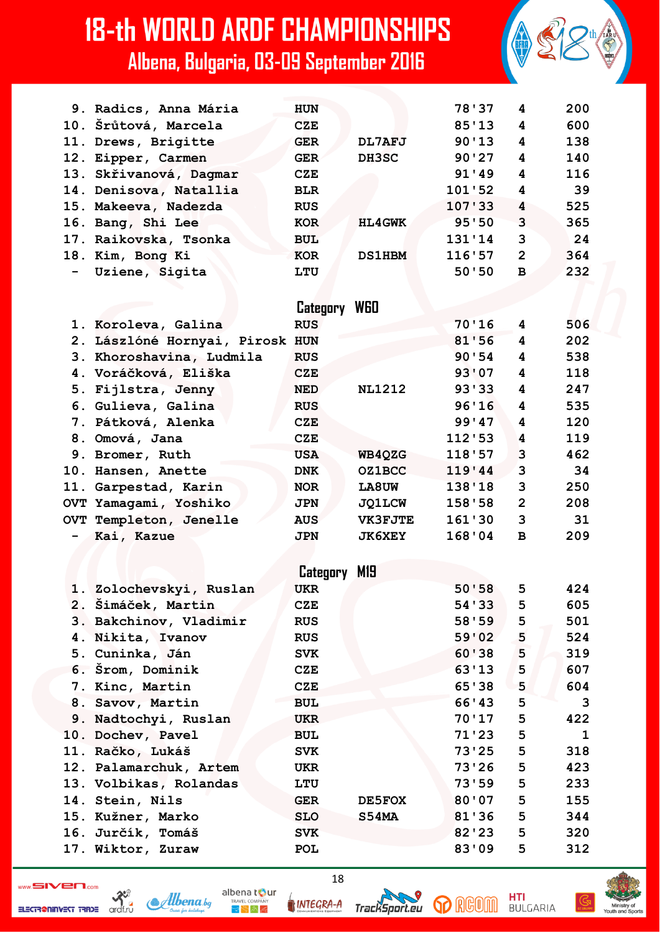|     | 9. Radics, Anna Mária           | <b>HUN</b> |                | 78'37  | 4              | 200 |
|-----|---------------------------------|------------|----------------|--------|----------------|-----|
|     | 10. Šrůtová, Marcela            | <b>CZE</b> |                | 85'13  | 4              | 600 |
|     | 11. Drews, Brigitte             | <b>GER</b> | DL7AFJ         | 90'13  | 4              | 138 |
|     | 12. Eipper, Carmen              | <b>GER</b> | DH3SC          | 90'27  | 4              | 140 |
|     | 13. Skřivanová, Dagmar          | <b>CZE</b> |                | 91'49  | 4              | 116 |
|     | 14. Denisova, Natallia          | <b>BLR</b> |                | 101'52 | 4              | 39  |
| 15. | Makeeva, Nadezda                | <b>RUS</b> |                | 107'33 | 4              | 525 |
|     | 16. Bang, Shi Lee               | <b>KOR</b> | <b>HL4GWK</b>  | 95'50  | 3              | 365 |
|     | 17. Raikovska, Tsonka           | <b>BUL</b> |                | 131'14 | 3              | 24  |
|     | 18. Kim, Bong Ki                | <b>KOR</b> | <b>DS1HBM</b>  | 116'57 | $\overline{2}$ | 364 |
|     | Uziene, Sigita                  | LTU        |                | 50'50  | $\mathbf{B}$   | 232 |
|     |                                 |            |                |        |                |     |
|     |                                 | Category   | <b>WGO</b>     |        |                |     |
|     | 1. Koroleva, Galina             | <b>RUS</b> |                | 70'16  | 4              | 506 |
|     | 2. Lászlóné Hornyai, Pirosk HUN |            |                | 81'56  | 4              | 202 |
|     | 3. Khoroshavina, Ludmila        | <b>RUS</b> |                | 90:54  | 4              | 538 |
|     | 4. Voráčková, Eliška            | <b>CZE</b> |                | 93'07  | 4              | 118 |
|     | 5. Fijlstra, Jenny              | <b>NED</b> | <b>NL1212</b>  | 93'33  | 4              | 247 |
|     | 6. Gulieva, Galina              | <b>RUS</b> |                | 96'16  | 4              | 535 |
|     | 7. Pátková, Alenka              | <b>CZE</b> |                | 99'47  | 4              | 120 |
|     | 8. Omová, Jana                  | <b>CZE</b> |                | 112'53 | 4              | 119 |
|     | 9. Bromer, Ruth                 | <b>USA</b> | WB4QZG         | 118'57 | 3              | 462 |
|     | 10. Hansen, Anette              | <b>DNK</b> | <b>OZ1BCC</b>  | 119'44 | 3              | 34  |
|     | 11. Garpestad, Karin            | <b>NOR</b> | LA8UW          | 138'18 | 3              | 250 |
|     | OVT Yamagami, Yoshiko           | <b>JPN</b> | <b>JQ1LCW</b>  | 158'58 | $\overline{2}$ | 208 |
|     | OVT Templeton, Jenelle          | <b>AUS</b> | <b>VK3FJTE</b> | 161'30 | 3              | 31  |
|     | Kai, Kazue                      | <b>JPN</b> | <b>JK6XEY</b>  | 168'04 | $\, {\bf B}$   | 209 |
|     |                                 |            |                |        |                |     |
|     |                                 | Category   | M19            |        |                |     |
|     | 1. Zolochevskyi, Ruslan         | <b>UKR</b> |                | 50'58  | 5              | 424 |
|     | 2. Šimáček, Martin              | <b>CZE</b> |                | 54 33  | 5              | 605 |
|     | 3. Bakchinov, Vladimir          | <b>RUS</b> |                | 58'59  | 5              | 501 |
|     | 4. Nikita, Ivanov               | <b>RUS</b> |                | 59'02  | 5              | 524 |
|     | 5. Cuninka, Ján                 | <b>SVK</b> |                | 60'38  | 5              | 319 |
|     | 6. Srom, Dominik                | <b>CZE</b> |                | 63'13  | 5              | 607 |
|     | 7. Kinc, Martin                 | <b>CZE</b> |                | 65'38  | 5              | 604 |
|     | 8. Savov, Martin                | <b>BUL</b> |                | 66'43  | 5              | 3   |
|     | 9. Nadtochyi, Ruslan            | <b>UKR</b> |                | 70'17  | 5              | 422 |
|     | 10. Dochev, Pavel               | <b>BUL</b> |                | 71'23  | 5              | 1   |
|     | 11. Račko, Lukáš                | <b>SVK</b> |                | 73'25  | 5              | 318 |
|     | 12. Palamarchuk, Artem          | <b>UKR</b> |                | 73'26  | 5              | 423 |
|     | 13. Volbikas, Rolandas          | LTU        |                | 73'59  | 5              | 233 |
|     | 14. Stein, Nils                 | <b>GER</b> | <b>DE5FOX</b>  | 80'07  | 5              | 155 |
|     | 15. Kužner, Marko               | <b>SLO</b> | S54MA          | 81'36  | 5              | 344 |
|     | 16. Jurčík, Tomáš               | <b>SVK</b> |                | 82'23  | 5              | 320 |
|     | 17. Wiktor, Zuraw               | POL        |                | 83'09  | 5              | 312 |
|     |                                 |            |                |        |                |     |

 $\frac{1}{\sqrt{2}}$ ELECTR@NINVEST TRADE



INTEGRA-A

albena tour

 $\mathbb{R}^{\mathbb{N}}$  in Eq

18



**p** RGOM

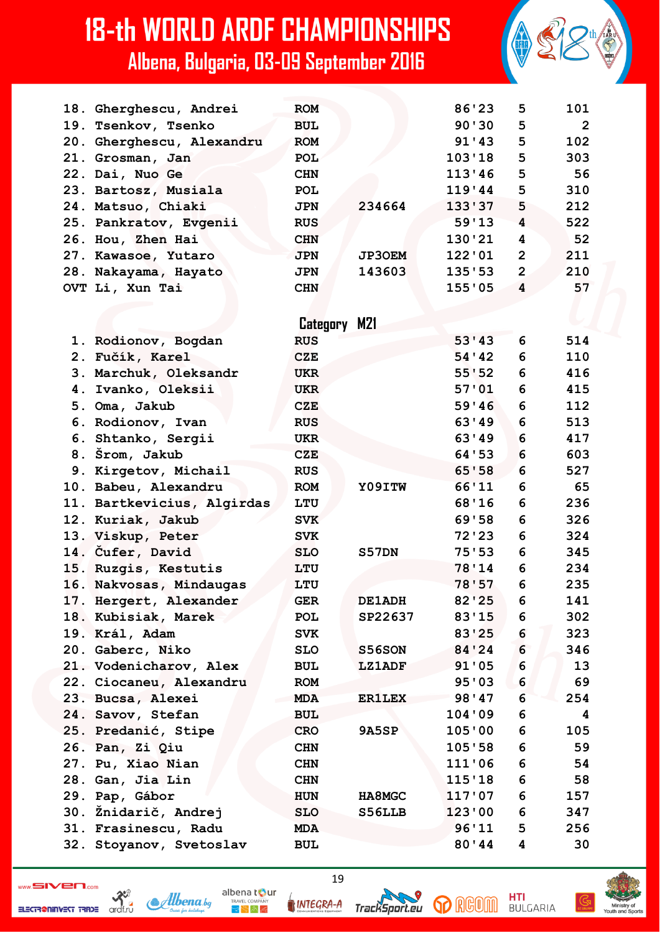| 18. Gherghescu, Andrei     | <b>ROM</b>   |               | 86'23          | 5                       | 101            |
|----------------------------|--------------|---------------|----------------|-------------------------|----------------|
| 19. Tsenkov, Tsenko        | <b>BUL</b>   |               | 90'30          | 5                       | $\overline{2}$ |
| 20. Gherghescu, Alexandru  | <b>ROM</b>   |               | 91'43          | 5                       | 102            |
| 21. Grosman, Jan           | POL          |               | 103'18         | 5                       | 303            |
| 22. Dai, Nuo Ge            | <b>CHN</b>   |               | 113'46         | 5                       | 56             |
| 23. Bartosz, Musiala       | <b>POL</b>   |               | 119'44         | 5                       | 310            |
| 24. Matsuo, Chiaki         | <b>JPN</b>   | 234664        | 133'37         | 5                       | 212            |
| 25. Pankratov, Evgenii     | <b>RUS</b>   |               | 59'13          | 4                       | 522            |
| 26. Hou, Zhen Hai          | <b>CHN</b>   |               | 130'21         | 4                       | 52             |
| 27. Kawasoe, Yutaro        | <b>JPN</b>   | <b>JP3OEM</b> | 122'01         | $\overline{2}$          | 211            |
| 28. Nakayama, Hayato       | <b>JPN</b>   | 143603        | 135'53         | $\overline{2}$          | 210            |
| OVT Li, Xun Tai            | <b>CHN</b>   |               | 155'05         | $\overline{\mathbf{4}}$ | 57             |
|                            |              |               |                |                         |                |
|                            | Category M21 |               |                |                         |                |
|                            | <b>RUS</b>   |               | 53'33          | 6                       | 514            |
| 1. Rodionov, Bogdan        |              |               | 54'42          |                         |                |
| 2. Fučík, Karel            | <b>CZE</b>   |               |                | 6<br>6                  | 110            |
| 3. Marchuk, Oleksandr      | <b>UKR</b>   |               | 55'52<br>57'01 |                         | 416            |
| 4. Ivanko, Oleksii         | <b>UKR</b>   |               |                | 6                       | 415            |
| 5. Oma, Jakub              | <b>CZE</b>   |               | 59'46          | 6                       | 112            |
| 6. Rodionov, Ivan          | <b>RUS</b>   |               | 63'49          | 6                       | 513            |
| 6. Shtanko, Sergii         | <b>UKR</b>   |               | 63'49          | 6                       | 417            |
| 8. Šrom, Jakub             | <b>CZE</b>   |               | 64'53          | 6                       | 603            |
| 9. Kirgetov, Michail       | <b>RUS</b>   |               | 65'58          | 6                       | 527            |
| 10. Babeu, Alexandru       | <b>ROM</b>   | Y09ITW        | 66'11          | 6                       | 65             |
| 11. Bartkevicius, Algirdas | LTU          |               | 68'16          | 6                       | 236            |
| 12. Kuriak, Jakub          | <b>SVK</b>   |               | 69'58          | 6                       | 326            |
| 13. Viskup, Peter          | <b>SVK</b>   |               | 72'23          | 6                       | 324            |
| 14. Cufer, David           | <b>SLO</b>   | S57DN         | 75'53          | 6                       | 345            |
| 15. Ruzgis, Kestutis       | LTU          |               | 78'14          | 6                       | 234            |
| 16. Nakvosas, Mindaugas    | LTU          |               | 78'57          | 6                       | 235            |
| 17. Hergert, Alexander     | GER          | <b>DE1ADH</b> | 82'25          | 6                       | 141            |
| 18. Kubisiak, Marek        | POL          | SP22637       | 83'15          | 6                       | 302            |
| 19. Král, Adam             | <b>SVK</b>   |               | 83'25          | 6                       | 323            |
| 20. Gaberc, Niko           | <b>SLO</b>   | S56SON        | 84'24          | 6                       | 346            |
| 21. Vodenicharov, Alex     | BUL          | <b>LZ1ADF</b> | 91'05          | 6                       | 13             |
| 22. Ciocaneu, Alexandru    | <b>ROM</b>   |               | 95'03          | 6                       | 69             |
| 23. Bucsa, Alexei          | <b>MDA</b>   | <b>ER1LEX</b> | 98'47          | 6                       | 254            |
| 24. Savov, Stefan          | <b>BUL</b>   |               | 104'09         | 6                       | 4              |
| 25. Predanić, Stipe        | <b>CRO</b>   | <b>9A5SP</b>  | 105'00         | 6                       | 105            |
| 26. Pan, Zi Qiu            | <b>CHN</b>   |               | 105'58         | 6                       | 59             |
| 27. Pu, Xiao Nian          | <b>CHN</b>   |               | 111'06         | 6                       | 54             |
| 28. Gan, Jia Lin           | <b>CHN</b>   |               | 115'18         | 6                       | 58             |
| 29. Pap, Gábor             | <b>HUN</b>   | <b>HA8MGC</b> | 117'07         | 6                       | 157            |
| 30. Žnidarič, Andrej       | <b>SLO</b>   | S56LLB        | 123'00         | 6                       | 347            |
| 31. Frasinescu, Radu       | <b>MDA</b>   |               | 96'11          | 5                       | 256            |
| 32. Stoyanov, Svetoslav    | <b>BUL</b>   |               | 80'44          | 4                       | 30             |
|                            |              |               |                |                         |                |

 $\frac{32}{x}$ ELECTR@NINVEST TRADE



INTEGRA-A

albena tour

 $R_{\rm F}$   $\approx$   $R_{\rm F}$ 

19





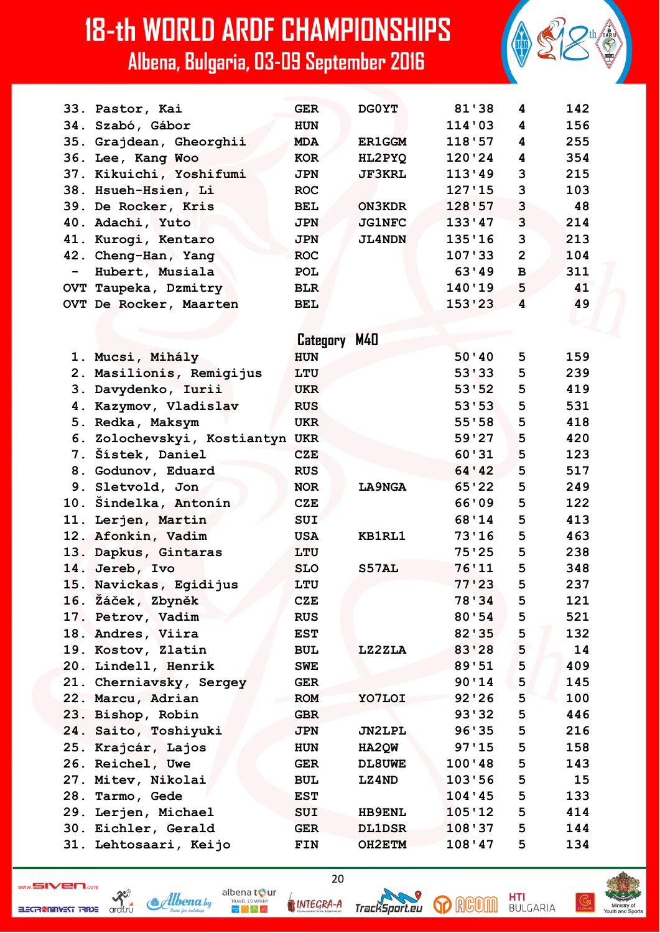|                              | 33. Pastor, Kai                 | <b>GER</b>   | DG0YT         | 81'38   | 4              | 142 |
|------------------------------|---------------------------------|--------------|---------------|---------|----------------|-----|
|                              | 34. Szabó, Gábor                | <b>HUN</b>   |               | 114'03  | 4              | 156 |
|                              | 35. Grajdean, Gheorghii         | <b>MDA</b>   | <b>ER1GGM</b> | 118'57  | 4              | 255 |
|                              | 36. Lee, Kang Woo               | <b>KOR</b>   | HL2PYQ        | 120'24  | 4              | 354 |
|                              | 37. Kikuichi, Yoshifumi         | <b>JPN</b>   | <b>JF3KRL</b> | 113'49  | 3              | 215 |
|                              | 38. Hsueh-Hsien, Li             | <b>ROC</b>   |               | 127'15  | 3              | 103 |
|                              | 39. De Rocker, Kris             | <b>BEL</b>   | <b>ON3KDR</b> | 128'57  | 3              | 48  |
|                              | 40. Adachi, Yuto                | <b>JPN</b>   | <b>JG1NFC</b> | 133'47  | 3              | 214 |
|                              | 41. Kurogi, Kentaro             | <b>JPN</b>   | <b>JL4NDN</b> | 135'16  | 3              | 213 |
|                              | 42. Cheng-Han, Yang             | <b>ROC</b>   |               | 107'33  | $\overline{2}$ | 104 |
| $\qquad \qquad \blacksquare$ | Hubert, Musiala                 | <b>POL</b>   |               | 63'49   | $\mathbf{B}$   | 311 |
|                              | OVT Taupeka, Dzmitry            | <b>BLR</b>   |               | 140'19  | 5              | 41  |
|                              | OVT De Rocker, Maarten          | <b>BEL</b>   |               | 153'23  | 4              | 49  |
|                              |                                 |              |               |         |                |     |
|                              |                                 | Category M40 |               |         |                |     |
|                              | 1. Mucsi, Mihály                | <b>HUN</b>   |               | 50'40   | 5              | 159 |
|                              | 2. Masilionis, Remigijus        | LTU          |               | 53'33   | 5              | 239 |
|                              | 3. Davydenko, Iurii             | <b>UKR</b>   |               | 53'52   | 5              | 419 |
|                              | 4. Kazymov, Vladislav           | <b>RUS</b>   |               | 53'53   | 5              | 531 |
|                              | 5. Redka, Maksym                | <b>UKR</b>   |               | 55'58   | 5              | 418 |
|                              | 6. Zolochevskyi, Kostiantyn UKR |              |               | 59'27   | 5              | 420 |
|                              | 7. Šístek, Daniel               | <b>CZE</b>   |               | 60'31   | 5              | 123 |
|                              | 8. Godunov, Eduard              | <b>RUS</b>   |               | 64 ' 42 | 5              | 517 |
|                              | 9. Sletvold, Jon                | <b>NOR</b>   | LA9NGA        | 65'22   | 5              | 249 |
|                              | 10. Šindelka, Antonín           | <b>CZE</b>   |               | 66'09   | 5              | 122 |
|                              | 11. Lerjen, Martin              | SUI          |               | 68'14   | 5              | 413 |
|                              | 12. Afonkin, Vadim              | <b>USA</b>   | KB1RL1        | 73'16   | 5              | 463 |
|                              | 13. Dapkus, Gintaras            | LTU          |               | 75'25   | 5              | 238 |
|                              | 14. Jereb, Ivo                  | <b>SLO</b>   | S57AL         | 76'11   | 5              | 348 |
|                              | 15. Navickas, Egidijus          | LTU          |               | 77'23   | 5              | 237 |
|                              | 16. Žáček, Zbyněk               | <b>CZE</b>   |               | 78'34   | 5              | 121 |
|                              | 17. Petrov, Vadim               | <b>RUS</b>   |               | 80'54   | 5              | 521 |
|                              | 18. Andres, Viira               | <b>EST</b>   |               | 82'35   | 5              | 132 |
|                              | 19. Kostov, Zlatin              | <b>BUL</b>   | LZ2ZLA        | 83'28   | 5              | 14  |
|                              | 20. Lindell, Henrik             | <b>SWE</b>   |               | 89'51   | 5              | 409 |
|                              | 21. Cherniavsky, Sergey         | <b>GER</b>   |               | 90'14   | 5              | 145 |
|                              | 22. Marcu, Adrian               | <b>ROM</b>   | YO7LOI        | 92'26   | 5              | 100 |
|                              | 23. Bishop, Robin               | <b>GBR</b>   |               | 93'32   | 5              | 446 |
|                              | 24. Saito, Toshiyuki            | <b>JPN</b>   | JN2LPL        | 96'35   | 5              | 216 |
|                              | 25. Krajcár, Lajos              | <b>HUN</b>   | HA2QW         | 97'15   | 5              | 158 |
|                              | 26. Reichel, Uwe                | <b>GER</b>   | DL8UWE        | 100'48  | 5              | 143 |
|                              | 27. Mitev, Nikolai              | <b>BUL</b>   | <b>LZ4ND</b>  | 103'56  | 5              | 15  |
|                              | 28. Tarmo, Gede                 | <b>EST</b>   |               | 104'45  | 5              | 133 |
|                              | 29. Lerjen, Michael             | SUI          | <b>HB9ENL</b> | 105'12  | 5              | 414 |
|                              | 30. Eichler, Gerald             | <b>GER</b>   | <b>DL1DSR</b> | 108'37  | 5              | 144 |
|                              | 31. Lehtosaari, Keijo           | FIN          | <b>OH2ETM</b> | 108'47  | 5              | 134 |

 $\frac{32}{x}$ ELECTR@NINVEST TRADE



INTEGRA-A

albena tour

 $R_{\rm F}$   $\approx$   $R_{\rm F}$ 

20





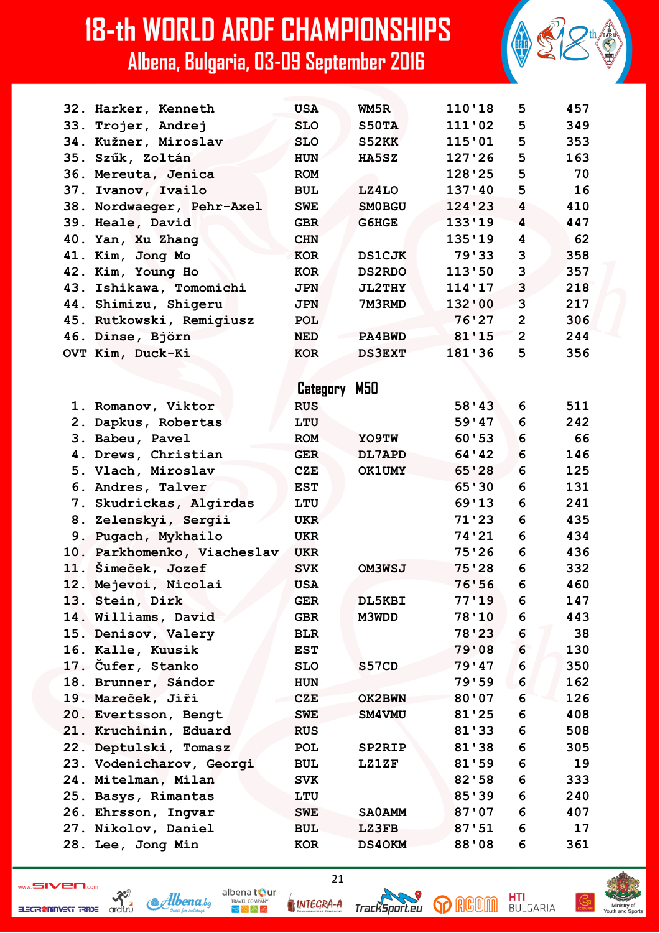| 32. Harker, Kenneth         | <b>USA</b> | WM5R          | 110'18         | 5              | 457 |
|-----------------------------|------------|---------------|----------------|----------------|-----|
| 33. Trojer, Andrej          | <b>SLO</b> | S50TA         | 111'02         | 5              | 349 |
| 34. Kužner, Miroslav        | <b>SLO</b> | S52KK         | 115'01         | 5              | 353 |
| 35. Szűk, Zoltán            | <b>HUN</b> | <b>HA5SZ</b>  | 127'26         | 5              | 163 |
| 36. Mereuta, Jenica         | <b>ROM</b> |               | 128'25         | 5              | 70  |
| 37. Ivanov, Ivailo          | <b>BUL</b> | LZ4LO         | 137'40         | 5              | 16  |
| 38. Nordwaeger, Pehr-Axel   | <b>SWE</b> | <b>SMOBGU</b> | 124'23         | 4              | 410 |
| 39. Heale, David            | <b>GBR</b> | G6HGE         | 133'19         | 4              | 447 |
| 40. Yan, Xu Zhang           | <b>CHN</b> |               | 135'19         | 4              | 62  |
| 41. Kim, Jong Mo            | <b>KOR</b> | <b>DS1CJK</b> | 79'33          | 3              | 358 |
| 42. Kim, Young Ho           | <b>KOR</b> | <b>DS2RDO</b> | 113'50         | 3              | 357 |
| 43. Ishikawa, Tomomichi     | <b>JPN</b> | <b>JL2THY</b> | 114'17         | 3              | 218 |
| 44. Shimizu, Shigeru        | <b>JPN</b> | 7M3RMD        | 132'00         | 3              | 217 |
| 45. Rutkowski, Remigiusz    | <b>POL</b> |               | 76'27          | $\overline{2}$ | 306 |
| 46. Dinse, Björn            | <b>NED</b> | PA4BWD        | 81'15          | $\overline{2}$ | 244 |
| OVT Kim, Duck-Ki            | <b>KOR</b> | <b>DS3EXT</b> | 181'36         | 5              | 356 |
|                             |            |               |                |                |     |
|                             | Category   | M50           |                |                |     |
| 1. Romanov, Viktor          | <b>RUS</b> |               | 58'43          | 6              | 511 |
| 2. Dapkus, Robertas         | LTU        |               | 59'47          | 6              | 242 |
| 3. Babeu, Pavel             | <b>ROM</b> | YO9TW         | 60'53          | 6              | 66  |
| 4. Drews, Christian         | <b>GER</b> | DL7APD        | 64 ' 42        | 6              | 146 |
| 5. Vlach, Miroslav          | <b>CZE</b> | <b>OK1UMY</b> | 65'28          | 6              | 125 |
| 6. Andres, Talver           | <b>EST</b> |               | 65'30          | 6              | 131 |
|                             |            |               | 69'13          | 6              | 241 |
| 7. Skudrickas, Algirdas     | LTU        |               | 71'23          | 6              | 435 |
| 8. Zelenskyi, Sergii        | <b>UKR</b> |               | 74'21          | 6              | 434 |
| 9. Pugach, Mykhailo         | <b>UKR</b> |               | 75'26          | 6              |     |
| 10. Parkhomenko, Viacheslav | <b>UKR</b> |               |                | 6              | 436 |
| 11. Šimeček, Jozef          | <b>SVK</b> | <b>OM3WSJ</b> | 75'28<br>76'56 | 6              | 332 |
| 12. Mejevoi, Nicolai        | <b>USA</b> |               |                |                | 460 |
| 13. Stein, Dirk             | <b>GER</b> | DL5KBI        | 77'19          | 6              | 147 |
| 14. Williams, David         | <b>GBR</b> | M3WDD         | 78'10          | 6              | 443 |
| 15. Denisov, Valery         | <b>BLR</b> |               | 78'23          | 6              | 38  |
| 16. Kalle, Kuusik           | <b>EST</b> |               | 79'08          | 6              | 130 |
| 17. Čufer, Stanko           | <b>SLO</b> | S57CD         | 79'47          | 6              | 350 |
| 18. Brunner, Sándor         | <b>HUN</b> |               | 79'59          | 6              | 162 |
| 19. Mareček, Jiří           | <b>CZE</b> | OK2BWN        | 80'07          | 6              | 126 |
| 20. Evertsson, Bengt        | <b>SWE</b> | SM4VMU        | 81'25          | 6              | 408 |
| 21. Kruchinin, Eduard       | <b>RUS</b> |               | 81'33          | 6              | 508 |
| 22. Deptulski, Tomasz       | POL        | SP2RIP        | 81'38          | 6              | 305 |
| 23. Vodenicharov, Georgi    | <b>BUL</b> | <b>LZ1ZF</b>  | 81'59          | 6              | 19  |
| 24. Mitelman, Milan         | <b>SVK</b> |               | 82'58          | 6              | 333 |
| 25. Basys, Rimantas         | LTU        |               | 85'39          | 6              | 240 |
| 26. Ehrsson, Ingvar         | <b>SWE</b> | <b>SAOAMM</b> | 87'07          | 6              | 407 |
| 27. Nikolov, Daniel         | <b>BUL</b> | LZ3FB         | 87:51          | 6              | 17  |
| 28. Lee, Jong Min           | KOR        | <b>DS40KM</b> | 88'08          | 6              | 361 |

ELECTR@NINVEST TRADE

 $\frac{32}{x}$ 



INTEGRA-A

 $\mathbb{R}^{\mathbb{N}}$  in Eq

 $21$ 

TrackSport.eu



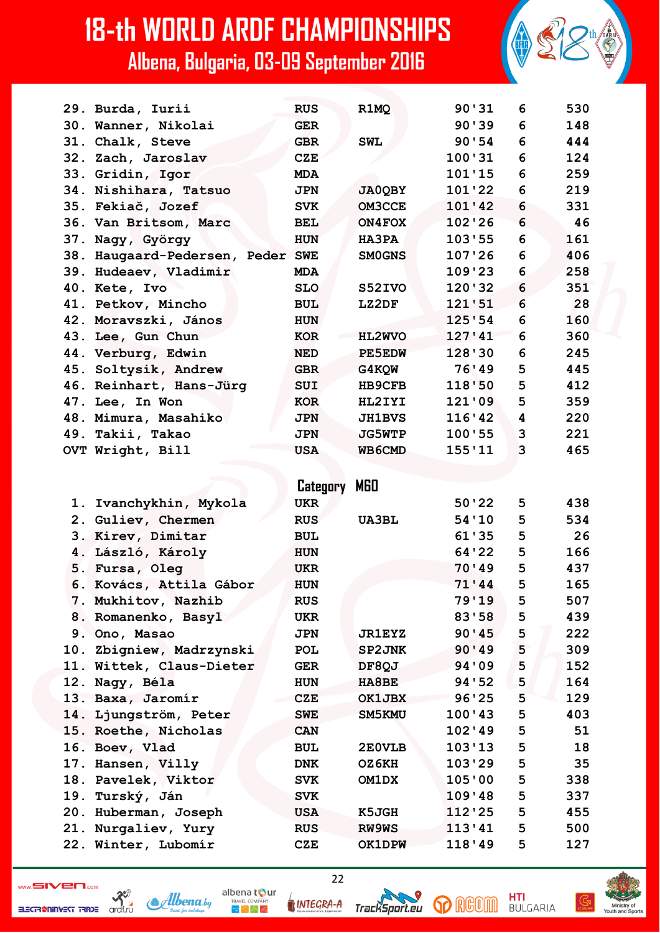| 29. Burda, Iurii                 | <b>RUS</b> | R1MQ          | 90'31  | 6 | 530 |
|----------------------------------|------------|---------------|--------|---|-----|
| 30. Wanner, Nikolai              | <b>GER</b> |               | 90'39  | 6 | 148 |
| 31. Chalk, Steve                 | <b>GBR</b> | <b>SWL</b>    | 90'54  | 6 | 444 |
| 32. Zach, Jaroslav               | <b>CZE</b> |               | 100'31 | 6 | 124 |
| 33. Gridin, Igor                 | <b>MDA</b> |               | 101'15 | 6 | 259 |
| 34. Nishihara, Tatsuo            | <b>JPN</b> | <b>JA0QBY</b> | 101'22 | 6 | 219 |
| 35. Fekiač, Jozef                | <b>SVK</b> | OM3CCE        | 101'42 | 6 | 331 |
| 36. Van Britsom, Marc            | <b>BEL</b> | ON4FOX        | 102'26 | 6 | 46  |
| 37. Nagy, György                 | <b>HUN</b> | HA3PA         | 103'55 | 6 | 161 |
| 38. Haugaard-Pedersen, Peder SWE |            | <b>SMOGNS</b> | 107'26 | 6 | 406 |
| 39. Hudeaev, Vladimir            | <b>MDA</b> |               | 109'23 | 6 | 258 |
| 40. Kete, Ivo                    | <b>SLO</b> | S52IVO        | 120'32 | 6 | 351 |
| 41. Petkov, Mincho               | <b>BUL</b> | LZ2DF         | 121'51 | 6 | 28  |
| 42. Moravszki, János             | <b>HUN</b> |               | 125'54 | 6 | 160 |
| 43. Lee, Gun Chun                | <b>KOR</b> | HL2WVO        | 127'41 | 6 | 360 |
| 44. Verburg, Edwin               | <b>NED</b> | PE5EDW        | 128'30 | 6 | 245 |
| 45. Soltysik, Andrew             | <b>GBR</b> | <b>G4KQW</b>  | 76'49  | 5 | 445 |
| 46. Reinhart, Hans-Jürg          | SUI        | <b>HB9CFB</b> | 118'50 | 5 | 412 |
| 47. Lee, In Won                  | <b>KOR</b> | HL2IYI        | 121'09 | 5 | 359 |
| 48. Mimura, Masahiko             | <b>JPN</b> | <b>JH1BVS</b> | 116'42 | 4 | 220 |
| 49. Takii, Takao                 | <b>JPN</b> | <b>JG5WTP</b> | 100'55 | 3 | 221 |
| OVT Wright, Bill                 | <b>USA</b> | WB6CMD        | 155'11 | 3 | 465 |
|                                  |            |               |        |   |     |

|                          | Category   | <b>MGO</b>    |         |   |     |
|--------------------------|------------|---------------|---------|---|-----|
| 1. Ivanchykhin, Mykola   | <b>UKR</b> |               | 50'22   | 5 | 438 |
| 2. Guliev, Chermen       | <b>RUS</b> | <b>UA3BL</b>  | 54'10   | 5 | 534 |
| 3. Kirev, Dimitar        | <b>BUL</b> |               | 61'35   | 5 | 26  |
| 4. László, Károly        | <b>HUN</b> |               | 64'22   | 5 | 166 |
| 5. Fursa, Oleg           | <b>UKR</b> |               | 70'49   | 5 | 437 |
| 6. Kovács, Attila Gábor  | <b>HUN</b> |               | 71'44   | 5 | 165 |
| 7. Mukhitov, Nazhib      | <b>RUS</b> |               | 79'19   | 5 | 507 |
| 8. Romanenko, Basyl      | <b>UKR</b> |               | 83'58   | 5 | 439 |
| 9. Ono, Masao            | <b>JPN</b> | <b>JR1EYZ</b> | 90'45   | 5 | 222 |
| 10. Zbigniew, Madrzynski | <b>POL</b> | SP2JNK        | 90'49   | 5 | 309 |
| 11. Wittek, Claus-Dieter | <b>GER</b> | DF8QJ         | 94 ' 09 | 5 | 152 |
| 12. Nagy, Béla           | <b>HUN</b> | <b>HA8BE</b>  | 94 ' 52 | 5 | 164 |
| 13. Baxa, Jaromír        | <b>CZE</b> | OK1JBX        | 96'25   | 5 | 129 |
| 14. Ljungström, Peter    | <b>SWE</b> | SM5KMU        | 100'43  | 5 | 403 |
| 15. Roethe, Nicholas     | <b>CAN</b> |               | 102'49  | 5 | 51  |
| 16. Boev, Vlad           | <b>BUL</b> | 2E0VLB        | 103'13  | 5 | 18  |
| 17. Hansen, Villy        | <b>DNK</b> | OZ6KH         | 103'29  | 5 | 35  |
| 18. Pavelek, Viktor      | <b>SVK</b> | OM1DX         | 105'00  | 5 | 338 |
| 19. Turský, Ján          | <b>SVK</b> |               | 109'48  | 5 | 337 |
| 20. Huberman, Joseph     | <b>USA</b> | K5JGH         | 112'25  | 5 | 455 |
| 21. Nurgaliev, Yury      | <b>RUS</b> | RW9WS         | 113'41  | 5 | 500 |
| 22. Winter, Lubomír      | <b>CZE</b> | <b>OK1DPW</b> | 118'49  | 5 | 127 |



INTEGRA-A

albena tour

 $\mathbb{R}^{\mathbb{N}}$  in Eq

 $22$ 

TrackSport.eu



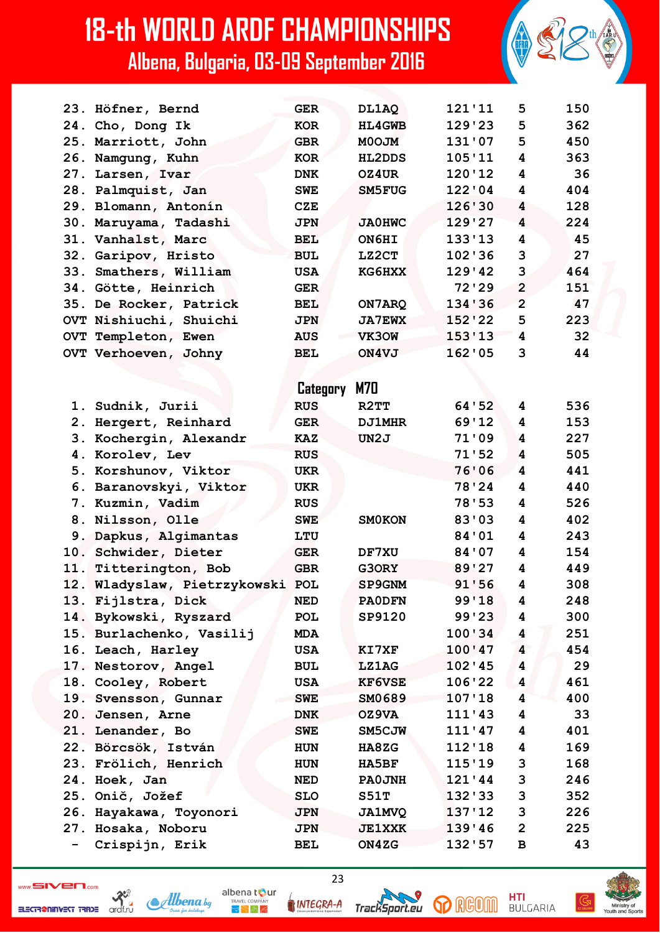|     | 23. Höfner, Bernd            | <b>GER</b> | DL1AQ             | 121'11   | 5              | 150 |
|-----|------------------------------|------------|-------------------|----------|----------------|-----|
|     | 24. Cho, Dong Ik             | <b>KOR</b> | <b>HL4GWB</b>     | 129'23   | 5              | 362 |
|     | 25. Marriott, John           | <b>GBR</b> | <b>MOOJM</b>      | 131'07   | 5              | 450 |
|     | 26. Namgung, Kuhn            | KOR        | <b>HL2DDS</b>     | 105'11   | 4              | 363 |
|     | 27. Larsen, Ivar             | <b>DNK</b> | OZ4UR             | 120'12   | 4              | 36  |
|     | 28. Palmquist, Jan           | <b>SWE</b> | SM5FUG            | 122'04   | 4              | 404 |
|     | 29. Blomann, Antonín         | <b>CZE</b> |                   | 126'30   | 4              | 128 |
|     | 30. Maruyama, Tadashi        | <b>JPN</b> | <b>JA0HWC</b>     | 129'27   | 4              | 224 |
|     | 31. Vanhalst, Marc           | <b>BEL</b> | ON6HI             | 133'13   | 4              | 45  |
|     | 32. Garipov, Hristo          | <b>BUL</b> | LZ2CT             | 102'36   | 3              | 27  |
|     | 33. Smathers, William        | <b>USA</b> | KG6HXX            | 129'42   | 3              | 464 |
|     | 34. Götte, Heinrich          | <b>GER</b> |                   | $72'$ 29 | $\overline{2}$ | 151 |
|     | 35. De Rocker, Patrick       | <b>BEL</b> | ON7ARQ            | 134'36   | $\overline{2}$ | 47  |
|     | OVT Nishiuchi, Shuichi       | <b>JPN</b> | <b>JA7EWX</b>     | 152'22   | 5              | 223 |
|     | OVT Templeton, Ewen          | <b>AUS</b> | VK30W             | 153'13   | 4              | 32  |
|     | OVT Verhoeven, Johny         | <b>BEL</b> | ON4VJ             | 162'05   | 3              | 44  |
|     |                              |            |                   |          |                |     |
|     |                              | Category   | M70               |          |                |     |
|     | 1. Sudnik, Jurii             | <b>RUS</b> | R <sub>2</sub> TT | 64 ' 52  | 4              | 536 |
|     | 2. Hergert, Reinhard         | <b>GER</b> | <b>DJ1MHR</b>     | 69'12    | 4              | 153 |
|     | 3. Kochergin, Alexandr       | <b>KAZ</b> | UN2J              | 71'09    | 4              | 227 |
|     | 4. Korolev, Lev              | <b>RUS</b> |                   | 71'52    | 4              | 505 |
|     | 5. Korshunov, Viktor         | <b>UKR</b> |                   | 76'06    | 4              | 441 |
| 6.  | Baranovskyi, Viktor          | <b>UKR</b> |                   | 78'24    | 4              | 440 |
|     | 7. Kuzmin, Vadim             | <b>RUS</b> |                   | 78'53    | 4              | 526 |
| 8.  | Nilsson, Olle                | <b>SWE</b> | <b>SMOKON</b>     | 83'03    | 4              | 402 |
|     | 9. Dapkus, Algimantas        | LTU        |                   | 84'01    | 4              | 243 |
| 10. | Schwider, Dieter             | <b>GER</b> | DF7XU             | 84'07    | 4              | 154 |
|     | 11. Titterington, Bob        | <b>GBR</b> | G3ORY             | 89'27    | 4              | 449 |
|     | 12. Wladyslaw, Pietrzykowski | POL        | SP9GNM            | 91'56    | 4              | 308 |
|     | 13. Fijlstra, Dick           | NED        | <b>PAODFN</b>     | 99'18    | 4              | 248 |
|     | 14. Bykowski, Ryszard        | POL        | SP9120            | 99'23    | 4              | 300 |
|     | 15. Burlachenko, Vasilij     | <b>MDA</b> |                   | 100'34   | 4              | 251 |
|     | 16. Leach, Harley            | <b>USA</b> | KI7XF             | 100'47   | 4              | 454 |
|     | 17. Nestorov, Angel          | <b>BUL</b> | <b>LZ1AG</b>      | 102'45   | 4              | 29  |
|     | 18. Cooley, Robert           | <b>USA</b> | <b>KF6VSE</b>     | 106'22   | 4              | 461 |
|     | 19. Svensson, Gunnar         | <b>SWE</b> | SM0689            | 107'18   | 4              | 400 |
|     | 20. Jensen, Arne             | <b>DNK</b> | OZ9VA             | 111'43   | 4              | 33  |
|     | 21. Lenander, Bo             | <b>SWE</b> | SM5CJW            | 111'47   | 4              | 401 |
|     | 22. Börcsök, István          | <b>HUN</b> | HA8ZG             | 112'18   | 4              | 169 |
|     | 23. Frölich, Henrich         | HUN        | HA5BF             | 115'19   | 3              | 168 |
|     | 24. Hoek, Jan                | NED        | <b>PAOJNH</b>     | 121'44   | 3              | 246 |
|     | 25. Onič, Jožef              | <b>SLO</b> | S51T              | 132'33   | 3              | 352 |
|     | 26. Hayakawa, Toyonori       | JPN        | <b>JA1MVQ</b>     | 137'12   | 3              | 226 |
|     | 27. Hosaka, Noboru           | <b>JPN</b> | <b>JE1XXK</b>     | 139'46   | $\mathbf{2}$   | 225 |
|     | Crispijn, Erik               | BEL        | ON4ZG             | 132'57   | В              | 43  |

ELECTR@NINVEST TRADE



INTEGRA-A

albena tour

 $R_{\rm F}$   $\approx$   $R_{\rm F}$ 

23



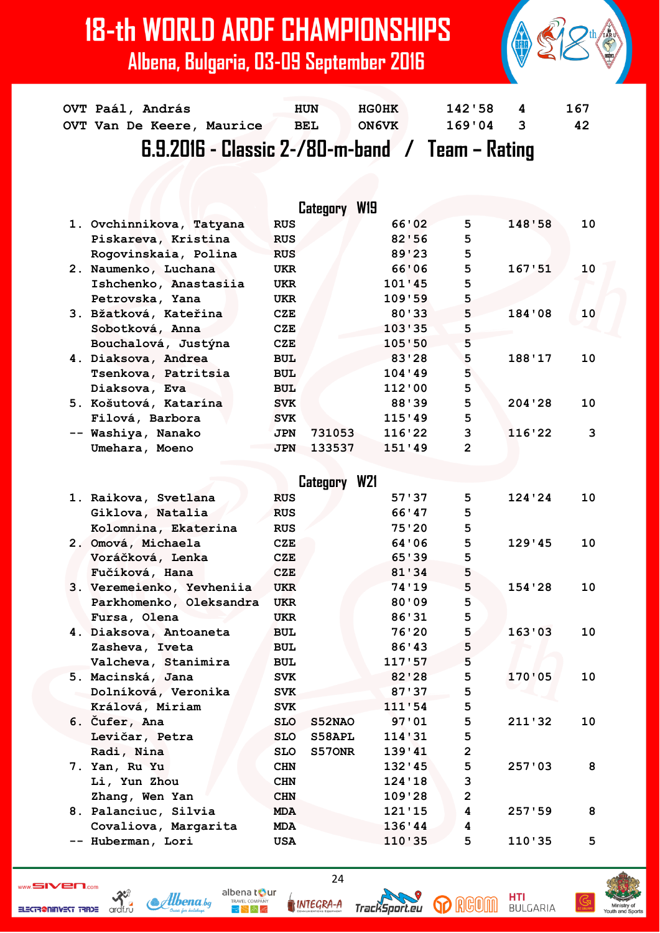| $6.9.2016$ - Classic 2-/80-m-band / Team - Rating |            |              |        |          |     |  |  |  |  |  |
|---------------------------------------------------|------------|--------------|--------|----------|-----|--|--|--|--|--|
| OVT Van De Keere, Maurice                         | <b>BEL</b> | <b>ON6VK</b> | 169'04 | $\sim$ 3 | 42  |  |  |  |  |  |
| OVT Paál, András                                  | <b>HUN</b> | HG0HK        | 142'58 | 4        | 167 |  |  |  |  |  |

|                          | Category             | W19    |   |         |    |
|--------------------------|----------------------|--------|---|---------|----|
| 1. Ovchinnikova, Tatyana | <b>RUS</b>           | 66'02  | 5 | 148'58  | 10 |
| Piskareva, Kristina      | <b>RUS</b>           | 82'56  | 5 |         |    |
| Rogovinskaia, Polina     | <b>RUS</b>           | 89'23  | 5 |         |    |
| 2. Naumenko, Luchana     | <b>UKR</b>           | 66'06  | 5 | 167, 51 | 10 |
| Ishchenko, Anastasiia    | <b>UKR</b>           | 101'45 | 5 |         |    |
| Petrovska, Yana          | <b>UKR</b>           | 109'59 | 5 |         |    |
| 3. Bžatková, Kateřina    | <b>CZE</b>           | 80'33  | 5 | 184'08  | 10 |
| Sobotková, Anna          | CZE                  | 103'35 | 5 |         |    |
| Bouchalová, Justýna      | CZE                  | 105'50 | 5 |         |    |
| 4. Diaksova, Andrea      | <b>BUL</b>           | 83'28  | 5 | 188'17  | 10 |
| Tsenkova, Patritsia      | <b>BUL</b>           | 104'39 | 5 |         |    |
| Diaksova, Eva            | <b>BUL</b>           | 112'00 | 5 |         |    |
| 5. Košutová, Katarína    | <b>SVK</b>           | 88'39  | 5 | 204'28  | 10 |
| Filová, Barbora          | <b>SVK</b>           | 115'49 | 5 |         |    |
| -- Washiya, Nanako       | 731053<br><b>JPN</b> | 116'22 | 3 | 116'22  | 3  |
| Umehara, Moeno           | <b>JPN</b><br>133537 | 151'39 | 2 |         |    |

|  |                           |            | Category W21 |        |                |        |    |
|--|---------------------------|------------|--------------|--------|----------------|--------|----|
|  | 1. Raikova, Svetlana      | <b>RUS</b> |              | 57'37  | 5              | 124'24 | 10 |
|  | Giklova, Natalia          | <b>RUS</b> |              | 66'47  | 5              |        |    |
|  | Kolomnina, Ekaterina      | <b>RUS</b> |              | 75'20  | 5              |        |    |
|  | 2. Omová, Michaela        | <b>CZE</b> |              | 64'06  | 5              | 129'45 | 10 |
|  | Voráčková, Lenka          | CZE        |              | 65'39  | 5              |        |    |
|  | Fučíková, Hana            | CZE        |              | 81'34  | 5              |        |    |
|  | 3. Veremeienko, Yevheniia | <b>UKR</b> |              | 74'19  | 5              | 154'28 | 10 |
|  | Parkhomenko, Oleksandra   | <b>UKR</b> |              | 80'09  | 5              |        |    |
|  | Fursa, Olena              | <b>UKR</b> |              | 86'31  | 5              |        |    |
|  | 4. Diaksova, Antoaneta    | <b>BUL</b> |              | 76'20  | 5              | 163'03 | 10 |
|  | Zasheva, Iveta            | <b>BUL</b> |              | 86'43  | 5              |        |    |
|  | Valcheva, Stanimira       | <b>BUL</b> |              | 117'57 | 5              |        |    |
|  | 5. Macinská, Jana         | <b>SVK</b> |              | 82'28  | 5              | 170'05 | 10 |
|  | Dolníková, Veronika       | <b>SVK</b> |              | 87'37  | 5              |        |    |
|  | Králová, Miriam           | <b>SVK</b> |              | 111'54 | 5              |        |    |
|  | 6. Čufer, Ana             | <b>SLO</b> | S52NAO       | 97:01  | 5              | 211'32 | 10 |
|  | Levičar, Petra            | <b>SLO</b> | S58APL       | 114'31 | 5              |        |    |
|  | Radi, Nina                | <b>SLO</b> | S570NR       | 139'41 | $\overline{2}$ |        |    |
|  | 7. Yan, Ru Yu             | <b>CHN</b> |              | 132'35 | 5              | 257'03 | 8  |
|  | Li, Yun Zhou              | <b>CHN</b> |              | 124'18 | 3              |        |    |
|  | Zhang, Wen Yan            | <b>CHN</b> |              | 109'28 | $\overline{2}$ |        |    |
|  | 8. Palanciuc, Silvia      | <b>MDA</b> |              | 121'15 | 4              | 257:59 | 8  |
|  | Covaliova, Margarita      | <b>MDA</b> |              | 136'44 | 4              |        |    |
|  | -- Huberman, Lori         | <b>USA</b> |              | 110'35 | 5              | 110'35 | 5  |
|  |                           |            |              |        |                |        |    |

ELECTR@NINVEST TRADE

 $\sum_{\substack{\text{ordf.}\n\\ \text{ordf.}\n}}$ 

albena tour Albena bg  $\blacktriangleright$   $\blacktriangleright$   $\bowtie$   $\preccurlyeq$ 

24

TrackSport.eu

**INTEGRA-A** 



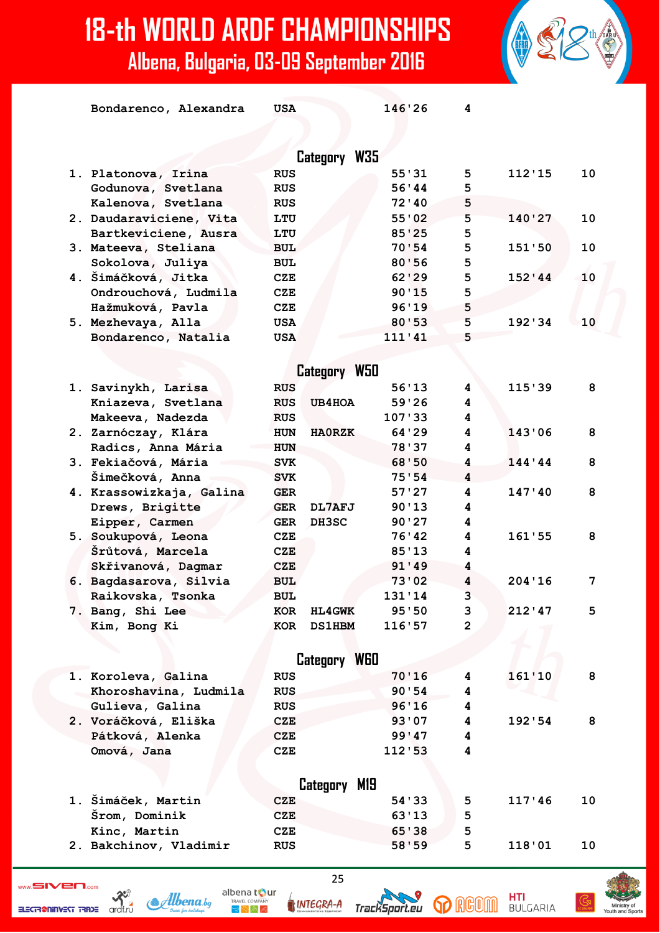| Bondarenco, Alexandra    | <b>USA</b> |               | 146'26  | 4              |         |    |
|--------------------------|------------|---------------|---------|----------------|---------|----|
|                          |            | Category W35  |         |                |         |    |
| 1. Platonova, Irina      | <b>RUS</b> |               | 55'31   | 5              | 112'15  | 10 |
| Godunova, Svetlana       | <b>RUS</b> |               | 56'44   | 5              |         |    |
| Kalenova, Svetlana       | <b>RUS</b> |               | 72'10   | 5              |         |    |
| 2. Daudaraviciene, Vita  | LTU        |               | 55'02   | 5              | 140'27  | 10 |
| Bartkeviciene, Ausra     | LTU        |               | 85'25   | 5              |         |    |
| 3. Mateeva, Steliana     | <b>BUL</b> |               | 70:54   | 5              | 151'50  | 10 |
| Sokolova, Juliya         | <b>BUL</b> |               | 80'56   | 5              |         |    |
| 4. Šimáčková, Jitka      | <b>CZE</b> |               | 62'29   | 5              | 152'44  | 10 |
| Ondrouchová, Ludmila     | CZE        |               | 90'15   | 5              |         |    |
| Hažmuková, Pavla         | CZE        |               | 96'19   | 5              |         |    |
| 5. Mezhevaya, Alla       | <b>USA</b> |               | 80'53   | 5              | 192'34  | 10 |
| Bondarenco, Natalia      | <b>USA</b> |               | 111'41  | 5              |         |    |
|                          |            |               |         |                |         |    |
|                          |            | Category W50  |         |                |         |    |
| 1. Savinykh, Larisa      | <b>RUS</b> |               | 56'13   | 4              | 115'39  | 8  |
| Kniazeva, Svetlana       | <b>RUS</b> | <b>UB4HOA</b> | 59'26   | 4              |         |    |
| Makeeva, Nadezda         | <b>RUS</b> |               | 107'33  | 4              |         |    |
| 2. Zarnóczay, Klára      | <b>HUN</b> | <b>HAORZK</b> | 64 ' 29 | 4              | 143'06  | 8  |
| Radics, Anna Mária       | <b>HUN</b> |               | 78'37   | 4              |         |    |
| 3. Fekiačová, Mária      | <b>SVK</b> |               | 68'50   | 4              | 144'44  | 8  |
| Šimečková, Anna          | <b>SVK</b> |               | 75'54   | 4              |         |    |
| 4. Krassowizkaja, Galina | <b>GER</b> |               | 57'27   | 4              | 147'40  | 8  |
| Drews, Brigitte          | <b>GER</b> | DL7AFJ        | 90'13   | 4              |         |    |
| Eipper, Carmen           | <b>GER</b> | DH3SC         | 90'27   | 4              |         |    |
| 5. Soukupová, Leona      | CZE        |               | 76'42   | 4              | 161'55  | 8  |
| Šrůtová, Marcela         | CZE        |               | 85'13   | 4              |         |    |
| Skřivanová, Dagmar       | <b>CZE</b> |               | 91'49   | 4              |         |    |
| 6. Bagdasarova, Silvia   | <b>BUL</b> |               | 73'02   | 4              | 204'16  | 7  |
| Raikovska, Tsonka        | <b>BUL</b> |               | 131'14  | 3              |         |    |
| 7. Bang, Shi Lee         | KOR        | <b>HL4GWK</b> | 95'50   | 3              | 212' 47 | 5  |
| Kim, Bong Ki             | KOR        | <b>DS1HBM</b> | 116'57  | $\overline{2}$ |         |    |
|                          |            |               |         |                |         |    |
|                          |            | Category W60  |         |                |         |    |
| 1. Koroleva, Galina      | <b>RUS</b> |               | 70'16   | 4              | 161'10  | 8  |
| Khoroshavina, Ludmila    | <b>RUS</b> |               | 90'54   | 4              |         |    |
| Gulieva, Galina          | <b>RUS</b> |               | 96'16   | 4              |         |    |
| 2. Voráčková, Eliška     | CZE        |               | 93'07   | 4              | 192'54  | 8  |
| Pátková, Alenka          | <b>CZE</b> |               | 99'47   | 4              |         |    |
| Omová, Jana              | CZE        |               | 112'53  | 4              |         |    |
|                          |            |               |         |                |         |    |
|                          |            | Category M19  |         |                |         |    |
| 1. Šimáček, Martin       | CZE        |               | 54 ' 33 | 5              | 117'46  | 10 |
| Šrom, Dominik            | <b>CZE</b> |               | 63'13   | 5              |         |    |
| Kinc, Martin             | CZE        |               | 65'38   | 5              |         |    |
| 2. Bakchinov, Vladimir   | <b>RUS</b> |               | 58'59   | 5              | 118'01  | 10 |





albena tour **INTEGRA-A** 

 $\mathbb{R}^{\mathbb{N}}$  in Eq



**HTI**<br>BULGARIA

**p** RGOM

25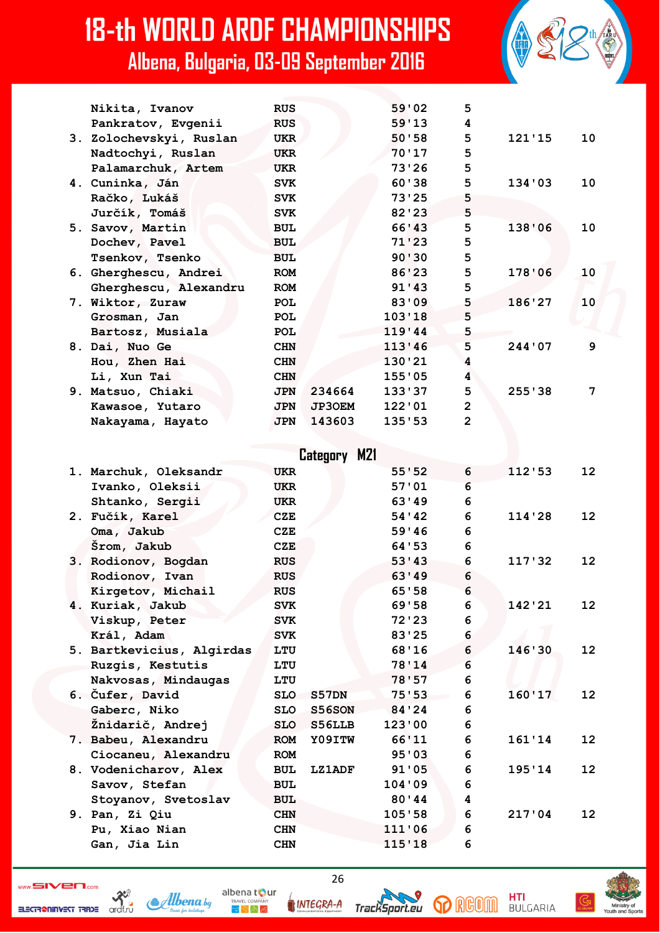| <b>18-th WORLD ARDF CHAMPIONSHIPS</b><br>Albena, Bulgaria, 03-09 September 2016 |            |               |        |                |        |    |
|---------------------------------------------------------------------------------|------------|---------------|--------|----------------|--------|----|
| Nikita, Ivanov                                                                  | <b>RUS</b> |               | 59'02  | 5              |        |    |
| Pankratov, Evgenii                                                              | <b>RUS</b> |               | 59'13  | 4              |        |    |
| 3. Zolochevskyi, Ruslan                                                         | <b>UKR</b> |               | 50'58  | 5              | 121'15 | 10 |
| Nadtochyi, Ruslan                                                               | <b>UKR</b> |               | 70'17  | 5              |        |    |
| Palamarchuk, Artem                                                              | <b>UKR</b> |               | 73'26  | 5              |        |    |
| 4. Cuninka, Ján                                                                 | <b>SVK</b> |               | 60'38  | 5              | 134'03 | 10 |
| Račko, Lukáš                                                                    | <b>SVK</b> |               | 73'25  | 5              |        |    |
| Jurčík, Tomáš                                                                   | <b>SVK</b> |               | 82'23  | 5              |        |    |
| 5. Savov, Martin                                                                | <b>BUL</b> |               | 66'43  | 5              | 138'06 | 10 |
| Dochev, Pavel                                                                   | <b>BUL</b> |               | 71'23  | 5              |        |    |
| Tsenkov, Tsenko                                                                 | <b>BUL</b> |               | 90'30  | 5              |        |    |
| 6. Gherghescu, Andrei                                                           | <b>ROM</b> |               | 86'23  | 5              | 178'06 | 10 |
| Gherghescu, Alexandru                                                           | <b>ROM</b> |               | 91'13  | 5              |        |    |
| 7. Wiktor, Zuraw                                                                | <b>POL</b> |               | 83'09  | 5              | 186'27 | 10 |
| Grosman, Jan                                                                    | <b>POL</b> |               | 103'18 | 5              |        |    |
| Bartosz, Musiala                                                                | <b>POL</b> |               | 119'44 | 5              |        |    |
| 8. Dai, Nuo Ge                                                                  | <b>CHN</b> |               | 113'46 | 5              | 244'07 | 9  |
| Hou, Zhen Hai                                                                   | <b>CHN</b> |               | 130'21 | 4              |        |    |
| Li, Xun Tai                                                                     | <b>CHN</b> |               | 155'05 | 4              |        |    |
| 9. Matsuo, Chiaki                                                               | <b>JPN</b> | 234664        | 133'37 | 5              | 255'38 | 7  |
| Kawasoe, Yutaro                                                                 | <b>JPN</b> | <b>JP30EM</b> | 122'01 | $\overline{2}$ |        |    |
| Nakayama, Hayato                                                                | <b>JPN</b> | 143603        | 135'53 | $\overline{2}$ |        |    |
|                                                                                 |            |               |        |                |        |    |

|  |                           |            | Category M21  |         |   |        |                   |
|--|---------------------------|------------|---------------|---------|---|--------|-------------------|
|  | 1. Marchuk, Oleksandr     | <b>UKR</b> |               | 55:52   | 6 | 112:53 | $12 \,$           |
|  | Ivanko, Oleksii           | <b>UKR</b> |               | 57:01   | 6 |        |                   |
|  | Shtanko, Sergii           | <b>UKR</b> |               | 63'49   | 6 |        |                   |
|  | 2. Fučík, Karel           | <b>CZE</b> |               | 54 ' 42 | 6 | 114'28 | 12                |
|  | Oma, Jakub                | CZE        |               | 59'46   | 6 |        |                   |
|  | Srom, Jakub               | CZE        |               | 64 ' 53 | 6 |        |                   |
|  | 3. Rodionov, Bogdan       | <b>RUS</b> |               | 53'33   | 6 | 117'32 | $12 \,$           |
|  | Rodionov, Ivan            | <b>RUS</b> |               | 63'19   | 6 |        |                   |
|  | Kirgetov, Michail         | <b>RUS</b> |               | 65'58   | 6 |        |                   |
|  | 4. Kuriak, Jakub          | <b>SVK</b> |               | 69'58   | 6 | 142'21 | 12 <sup>2</sup>   |
|  | Viskup, Peter             | <b>SVK</b> |               | 72'23   | 6 |        |                   |
|  | Král, Adam                | <b>SVK</b> |               | 83'25   | 6 |        |                   |
|  | 5. Bartkevicius, Algirdas | LTU        |               | 68'16   | 6 | 146'30 | $12 \overline{ }$ |
|  | Ruzgis, Kestutis          | LTU        |               | 78'14   | 6 |        |                   |
|  | Nakvosas, Mindaugas       | LTU        |               | 78'57   | 6 |        |                   |
|  | 6. Čufer, David           | <b>SLO</b> | S57DN         | 75'53   | 6 | 160'17 | 12                |
|  | Gaberc, Niko              | <b>SLO</b> | <b>S56SON</b> | 84'24   | 6 |        |                   |
|  | Žnidarič, Andrej          | <b>SLO</b> | S56LLB        | 123'00  | 6 |        |                   |
|  | 7. Babeu, Alexandru       | <b>ROM</b> | Y09ITW        | 66'11   | 6 | 161'14 | 12                |
|  | Ciocaneu, Alexandru       | <b>ROM</b> |               | 95'03   | 6 |        |                   |
|  | 8. Vodenicharov, Alex     | <b>BUL</b> | <b>LZ1ADF</b> | 91'05   | 6 | 195'14 | 12                |
|  | Savov, Stefan             | <b>BUL</b> |               | 104'09  | 6 |        |                   |
|  | Stoyanov, Svetoslav       | <b>BUL</b> |               | 80'44   | 4 |        |                   |
|  | 9. Pan, Zi Qiu            | <b>CHN</b> |               | 105'58  | 6 | 217'04 | 12                |
|  | Pu, Xiao Nian             | <b>CHN</b> |               | 111'06  | 6 |        |                   |

ELECTRONING STREET TRIDE ORDER

Albena bg

26

**INTEGRA-A** 

 **Gan, Jia Lin CHN 115'18 6**

albena tour

 $\blacktriangleright$   $\blacktriangleright$   $\bowtie$   $\preccurlyeq$ 



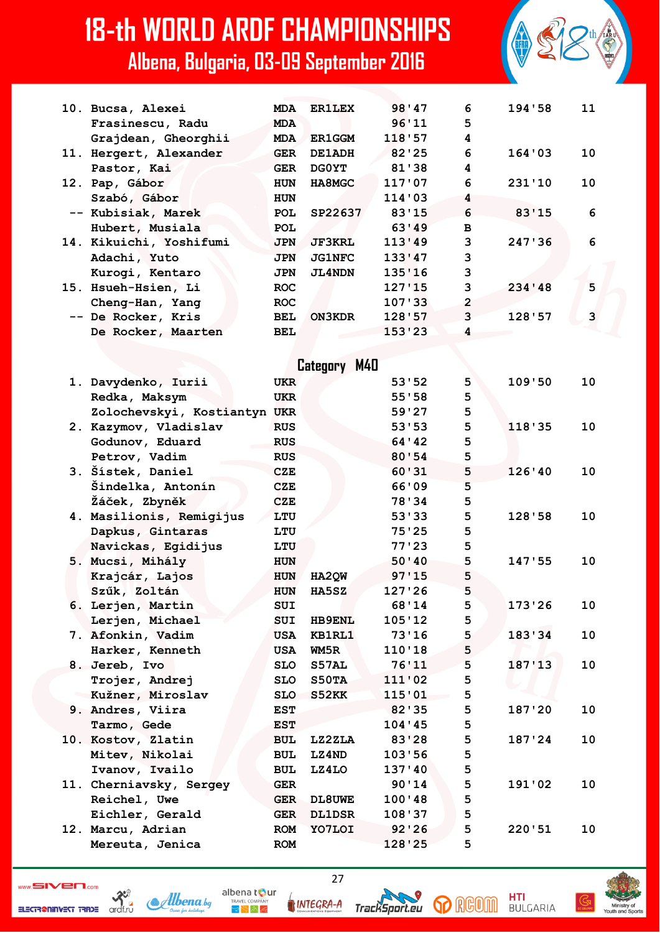| 10. Bucsa, Alexei       | <b>MDA</b> | <b>ER1LEX</b> | 98'47  | 6              | 194'58   | 11 |
|-------------------------|------------|---------------|--------|----------------|----------|----|
| Frasinescu, Radu        | <b>MDA</b> |               | 96'11  | 5              |          |    |
| Grajdean, Gheorghii     | <b>MDA</b> | <b>ER1GGM</b> | 118'57 | 4              |          |    |
| 11. Hergert, Alexander  | <b>GER</b> | DE1ADH        | 82'25  | 6              | 164'03   | 10 |
| Pastor, Kai             | <b>GER</b> | <b>DGOYT</b>  | 81'38  | 4              |          |    |
| 12. Pap, Gábor          | <b>HUN</b> | HA8MGC        | 117'07 | 6              | 231'10   | 10 |
| Szabó, Gábor            | <b>HUN</b> |               | 114'03 | 4              |          |    |
| -- Kubisiak, Marek      | <b>POL</b> | SP22637       | 83'15  | 6              | 83'15    | 6  |
| Hubert, Musiala         | <b>POL</b> |               | 63'49  | $\mathbf{B}$   |          |    |
| 14. Kikuichi, Yoshifumi | <b>JPN</b> | <b>JF3KRL</b> | 113'49 | 3              | 247 ' 36 | 6  |
| Adachi, Yuto            | <b>JPN</b> | <b>JG1NFC</b> | 133'47 | 3              |          |    |
| Kurogi, Kentaro         | <b>JPN</b> | <b>JL4NDN</b> | 135'16 | 3              |          |    |
| 15. Hsueh-Hsien, Li     | <b>ROC</b> |               | 127'15 | 3              | 234'48   | 5  |
| Cheng-Han, Yang         | <b>ROC</b> |               | 107 33 | $\overline{2}$ |          |    |
| -- De Rocker, Kris      | <b>BEL</b> | ON3KDR        | 128'57 | 3              | 128:57   | 3  |
| De Rocker, Maarten      | <b>BEL</b> |               | 153'23 | 4              |          |    |
|                         |            |               |        |                |          |    |

|  |                              |            | Category M40  |         |   |        |    |
|--|------------------------------|------------|---------------|---------|---|--------|----|
|  | 1. Davydenko, Iurii          | <b>UKR</b> |               | 53'52   | 5 | 109'50 | 10 |
|  | Redka, Maksym                | <b>UKR</b> |               | 55'58   | 5 |        |    |
|  | Zolochevskyi, Kostiantyn UKR |            |               | 59'27   | 5 |        |    |
|  | 2. Kazymov, Vladislav        | <b>RUS</b> |               | 53'53   | 5 | 118'35 | 10 |
|  | Godunov, Eduard              | <b>RUS</b> |               | 64 ' 42 | 5 |        |    |
|  | Petrov, Vadim                | <b>RUS</b> |               | 80'54   | 5 |        |    |
|  | 3. Šístek, Daniel            | <b>CZE</b> |               | 60'31   | 5 | 126'40 | 10 |
|  | Šindelka, Antonín            | <b>CZE</b> |               | 66'09   | 5 |        |    |
|  | Žáček, Zbyněk                | <b>CZE</b> |               | 78'34   | 5 |        |    |
|  | 4. Masilionis, Remigijus     | LTU        |               | 53'33   | 5 | 128'58 | 10 |
|  | Dapkus, Gintaras             | LTU        |               | 75'25   | 5 |        |    |
|  | Navickas, Egidijus           | LTU        |               | 77'23   | 5 |        |    |
|  | 5. Mucsi, Mihály             | <b>HUN</b> |               | 50'40   | 5 | 147:55 | 10 |
|  | Krajcár, Lajos               | <b>HUN</b> | HA2QW         | 97'15   | 5 |        |    |
|  | Szűk, Zoltán                 | <b>HUN</b> | <b>HA5SZ</b>  | 127'26  | 5 |        |    |
|  | 6. Lerjen, Martin            | <b>SUI</b> |               | 68'14   | 5 | 173'26 | 10 |
|  | Lerjen, Michael              | <b>SUI</b> | <b>HB9ENL</b> | 105'12  | 5 |        |    |
|  | 7. Afonkin, Vadim            | <b>USA</b> | KB1RL1        | 73'16   | 5 | 183'34 | 10 |
|  | Harker, Kenneth              | USA        | WM5R          | 110'18  | 5 |        |    |
|  | 8. Jereb, Ivo                | <b>SLO</b> | S57AL         | 76'11   | 5 | 187'13 | 10 |
|  | Trojer, Andrej               | <b>SLO</b> | S50TA         | 111'02  | 5 |        |    |
|  | Kužner, Miroslav             | <b>SLO</b> | S52KK         | 115'01  | 5 |        |    |
|  | 9. Andres, Viira             | <b>EST</b> |               | 82 ' 35 | 5 | 187'20 | 10 |
|  | Tarmo, Gede                  | <b>EST</b> |               | 104'45  | 5 |        |    |
|  | 10. Kostov, Zlatin           | <b>BUL</b> | LZ2ZLA        | 83'28   | 5 | 187'24 | 10 |
|  | Mitev, Nikolai               | <b>BUL</b> | LZ4ND         | 103'56  | 5 |        |    |
|  | Ivanov, Ivailo               | <b>BUL</b> | LZ4LO         | 137'40  | 5 |        |    |
|  | 11. Cherniavsky, Sergey      | <b>GER</b> |               | 90'14   | 5 | 191'02 | 10 |
|  | Reichel, Uwe                 | <b>GER</b> | DL8UWE        | 100'48  | 5 |        |    |
|  | Eichler, Gerald              | <b>GER</b> | <b>DL1DSR</b> | 108'37  | 5 |        |    |
|  | 12. Marcu, Adrian            | <b>ROM</b> | YO7LOI        | 92'26   | 5 | 220'51 | 10 |

 **Mereuta, Jenica ROM 128'25 5**

 $\sum_{\text{inert}}$ 



albena tour

 $\mathbb{R}^{n}$  in Eq

27

**INTEGRA-A** 





**HTI**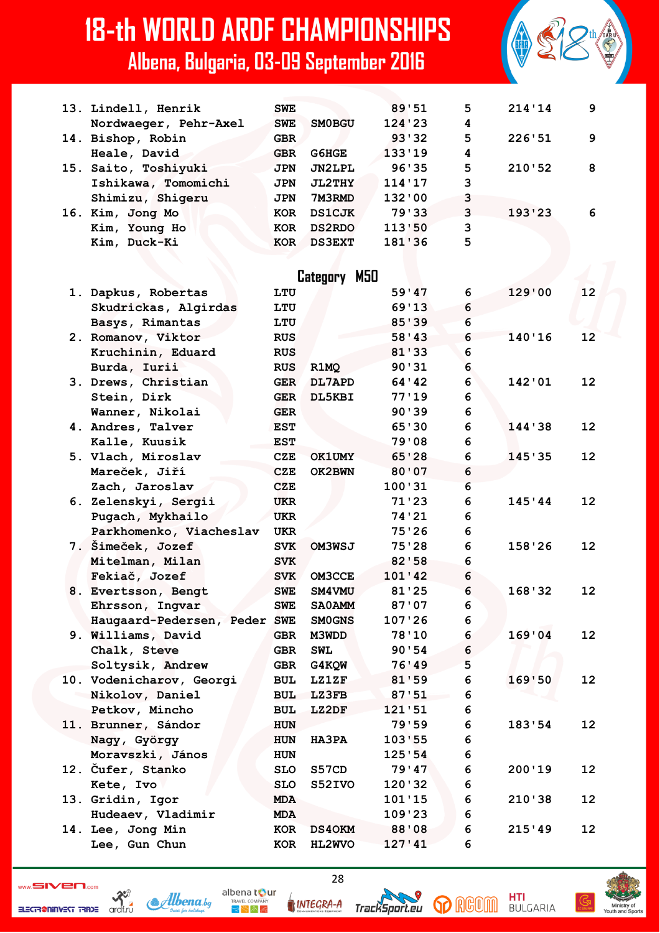| 13. Lindell, Henrik          | <b>SWE</b> |               | 89'51          | 5      | 214'14 | 9                 |
|------------------------------|------------|---------------|----------------|--------|--------|-------------------|
| Nordwaeger, Pehr-Axel        | <b>SWE</b> | <b>SMOBGU</b> | 124'23         | 4      |        |                   |
| 14. Bishop, Robin            | <b>GBR</b> |               | 93'32          | 5      | 226'51 | 9                 |
| Heale, David                 | <b>GBR</b> | G6HGE         | 133'19         | 4      |        |                   |
| 15. Saito, Toshiyuki         | <b>JPN</b> | JN2LPL        | 96'35          | 5      | 210'52 | 8                 |
| Ishikawa, Tomomichi          | JPN        | <b>JL2THY</b> | 114'17         | 3      |        |                   |
| Shimizu, Shigeru             | JPN        | 7M3RMD        | 132'00         | 3      |        |                   |
| 16. Kim, Jong Mo             | <b>KOR</b> | <b>DS1CJK</b> | 79'33          | 3      | 193'23 | 6                 |
| Kim, Young Ho                | KOR        | <b>DS2RDO</b> | 113'50         | 3      |        |                   |
| Kim, Duck-Ki                 | KOR        | <b>DS3EXT</b> | 181'36         | 5      |        |                   |
|                              |            |               |                |        |        |                   |
|                              |            | Category M50  |                |        |        |                   |
| 1. Dapkus, Robertas          | LTU        |               | 59'47          | 6      | 129'00 | 12                |
| Skudrickas, Algirdas         | LTU        |               | 69'13          | 6      |        |                   |
| Basys, Rimantas              | LTU        |               | 85'39          | 6      |        |                   |
| 2. Romanov, Viktor           | <b>RUS</b> |               | 58'33          | 6      | 140'16 | 12                |
| Kruchinin, Eduard            | <b>RUS</b> |               | 81'33          | 6      |        |                   |
| Burda, Iurii                 | <b>RUS</b> | R1MQ          | 90'31          | 6      |        |                   |
| 3. Drews, Christian          | <b>GER</b> | DL7APD        | 64 ' 42        | 6      | 142'01 | $12 \overline{ }$ |
| Stein, Dirk                  | <b>GER</b> | DL5KBI        | 77'19          | 6      |        |                   |
| Wanner, Nikolai              | <b>GER</b> |               | 90'39          | 6      |        |                   |
| 4. Andres, Talver            | <b>EST</b> |               | 65'30          | 6      | 144'38 | 12                |
| Kalle, Kuusik                | <b>EST</b> |               | 79'08          | 6      |        |                   |
| 5. Vlach, Miroslav           | <b>CZE</b> | <b>OK1UMY</b> | 65'28          | 6      | 145'35 | 12                |
| Mareček, Jiří                | <b>CZE</b> | OK2BWN        | 80'07          | 6      |        |                   |
| Zach, Jaroslav               | CZE        |               | 100'31         | 6      |        |                   |
| 6. Zelenskyi, Sergii         | UKR        |               | 71'23          | 6      | 145'44 | $12 \overline{ }$ |
| Pugach, Mykhailo             | <b>UKR</b> |               | 74'21          | 6      |        |                   |
| Parkhomenko, Viacheslav      | <b>UKR</b> |               | 75'26          | 6      |        |                   |
| 7. Šimeček, Jozef            | <b>SVK</b> | OM3WSJ        | 75'28          | 6      | 158'26 | 12                |
| Mitelman, Milan              | <b>SVK</b> |               | 82'58          | 6      |        |                   |
| Fekiač, Jozef                | <b>SVK</b> | <b>OM3CCE</b> | 101'42         | 6      |        |                   |
| 8. Evertsson, Bengt          | <b>SWE</b> | <b>SM4VMU</b> | 81'25          | 6      | 168'32 | 12                |
| Ehrsson, Ingvar              |            | <b>SA0AMM</b> | 87'07          | 6      |        |                   |
| Haugaard-Pedersen, Peder SWE | SWE        | <b>SMOGNS</b> | 107'26         | 6      |        |                   |
| 9. Williams, David           | <b>GBR</b> | M3WDD         | 78'10          | 6      | 169'04 | 12 <sub>2</sub>   |
| Chalk, Steve                 | GBR        | <b>SWL</b>    | 90'54          | 6      |        |                   |
| Soltysik, Andrew             |            | G4KQW         |                | 5      |        |                   |
| 10. Vodenicharov, Georgi     | <b>GBR</b> | <b>LZ1ZF</b>  | 76'49<br>81'59 | 6      |        | 12                |
| Nikolov, Daniel              | <b>BUL</b> |               |                | 6      | 169'50 |                   |
|                              | BUL        | LZ3FB         | 87'51          |        |        |                   |
| Petkov, Mincho               | <b>BUL</b> | LZ2DF         | 121'51         | 6      |        |                   |
| 11. Brunner, Sándor          | <b>HUN</b> |               | 79'59          | 6<br>6 | 183'54 | 12                |
| Nagy, György                 | <b>HUN</b> | <b>HA3PA</b>  | 103'55         |        |        |                   |
| Moravszki, János             | <b>HUN</b> |               | 125'54         | 6      |        |                   |
| 12. Čufer, Stanko            | <b>SLO</b> | S57CD         | 79'47          | 6      | 200'19 | 12                |
| Kete, Ivo                    | <b>SLO</b> | S52IVO        | 120'32         | 6      |        |                   |
| 13. Gridin, Igor             | <b>MDA</b> |               | 101'15         | 6      | 210'38 | 12 <sup>2</sup>   |
| Hudeaev, Vladimir            | <b>MDA</b> |               | 109'23         | 6      |        |                   |
| 14. Lee, Jong Min            | KOR        | <b>DS40KM</b> | 88'08          | 6      | 215'49 | 12 <sup>2</sup>   |
| Lee, Gun Chun                | KOR        | HL2WVO        | 127'41         | 6      |        |                   |

 $\frac{1}{\sqrt{2}}$ Albena.bg ELECTR@NINVEST TRADE

INTEGRA-A

albena tour

 $\mathbb{R}^{\mathbb{N}}$  in Eq

28

TrackSport.eu

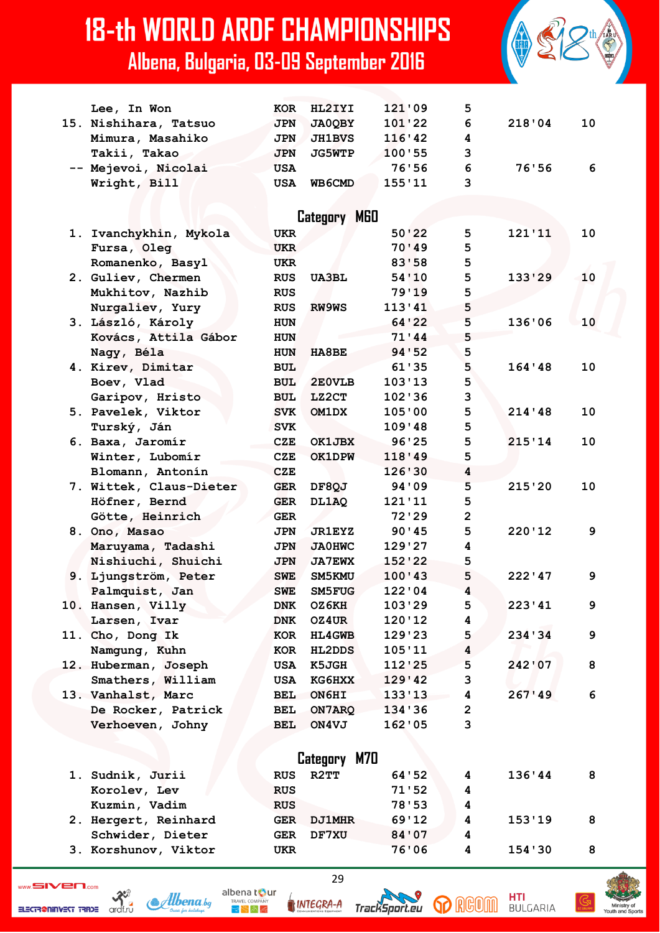

| Lee, In Won             | <b>KOR</b>   | HL2IYI        | 121'09  | 5              |          |    |  |
|-------------------------|--------------|---------------|---------|----------------|----------|----|--|
| 15. Nishihara, Tatsuo   | <b>JPN</b>   | <b>JA0QBY</b> | 101'22  | 6              | 218'04   | 10 |  |
| Mimura, Masahiko        | JPN          | <b>JH1BVS</b> | 116'42  | 4              |          |    |  |
| Takii, Takao            | <b>JPN</b>   | <b>JG5WTP</b> | 100'55  | 3              |          |    |  |
| -- Mejevoi, Nicolai     | <b>USA</b>   |               | 76'56   | 6              | 76'56    | 6  |  |
| Wright, Bill            | USA          | WB6CMD        | 155'11  | 3              |          |    |  |
|                         |              |               |         |                |          |    |  |
|                         |              | Category M60  |         |                |          |    |  |
| 1. Ivanchykhin, Mykola  | <b>UKR</b>   |               | 50'22   | 5              | 121'11   | 10 |  |
| Fursa, Oleg             | <b>UKR</b>   |               | 70'49   | 5              |          |    |  |
| Romanenko, Basyl        | <b>UKR</b>   |               | 83'58   | 5              |          |    |  |
| 2. Guliev, Chermen      | <b>RUS</b>   | <b>UA3BL</b>  | 54'10   | 5              | 133'29   | 10 |  |
| Mukhitov, Nazhib        | <b>RUS</b>   |               | 79'19   | 5              |          |    |  |
| Nurgaliev, Yury         | <b>RUS</b>   | <b>RW9WS</b>  | 113'41  | 5              |          |    |  |
| 3. László, Károly       | <b>HUN</b>   |               | 64 ' 22 | 5              | 136'06   | 10 |  |
| Kovács, Attila Gábor    | <b>HUN</b>   |               | 71'44   | 5              |          |    |  |
| Nagy, Béla              | <b>HUN</b>   | <b>HA8BE</b>  | 94 ' 52 | 5              |          |    |  |
| 4. Kirev, Dimitar       | <b>BUL</b>   |               | 61 ' 35 | 5              | 164 ' 48 | 10 |  |
| Boev, Vlad              | <b>BUL</b>   | 2E0VLB        | 103'13  | 5              |          |    |  |
| Garipov, Hristo         | <b>BUL</b>   | LZ2CT         | 102'36  | 3              |          |    |  |
| 5. Pavelek, Viktor      | <b>SVK</b>   | <b>OM1DX</b>  | 105'00  | 5              | 214'48   | 10 |  |
| Turský, Ján             | <b>SVK</b>   |               | 109'48  | 5              |          |    |  |
| 6. Baxa, Jaromír        | <b>CZE</b>   | OK1JBX        | 96'25   | 5              | 215'14   | 10 |  |
| Winter, Lubomír         | <b>CZE</b>   | <b>OK1DPW</b> | 118'49  | 5              |          |    |  |
|                         | <b>CZE</b>   |               | 126'30  | 4              |          |    |  |
| Blomann, Antonín        |              |               | 94 ' 09 | 5              | 215'20   | 10 |  |
| 7. Wittek, Claus-Dieter | GER          | DF8QJ         |         |                |          |    |  |
| Höfner, Bernd           | <b>GER</b>   | DL1AQ         | 121'11  | 5              |          |    |  |
| Götte, Heinrich         | <b>GER</b>   |               | 72'29   | $\overline{2}$ |          |    |  |
| 8. Ono, Masao           | <b>JPN</b>   | <b>JR1EYZ</b> | 90'45   | 5              | 220'12   | 9  |  |
| Maruyama, Tadashi       | <b>JPN</b>   | <b>JA0HWC</b> | 129'27  | 4              |          |    |  |
| Nishiuchi, Shuichi      | <b>JPN</b>   | <b>JA7EWX</b> | 152'22  | 5              |          |    |  |
| 9. Ljungström, Peter    | <b>SWE</b>   | SM5KMU        | 100'43  | 5              | 222'47   | 9  |  |
| Palmquist, Jan          | <b>SWE</b>   | SM5FUG        | 122'04  | 4              |          |    |  |
| 10. Hansen, Villy       | <b>DNK</b>   | OZ6KH         | 103'29  | 5              | 223'41   | 9  |  |
| Larsen, Ivar            | <b>DNK</b>   | OZ4UR         | 120'12  | 4              |          |    |  |
| 11. Cho, Dong Ik        | KOR          | <b>HL4GWB</b> | 129'23  | 5              | 234 ' 34 | 9  |  |
| Namgung, Kuhn           | KOR          | <b>HL2DDS</b> | 105'11  | 4              |          |    |  |
| 12. Huberman, Joseph    | USA          | <b>K5JGH</b>  | 112'25  | 5              | 242'07   | 8  |  |
| Smathers, William       | <b>USA</b>   | <b>KG6HXX</b> | 129'42  | 3              |          |    |  |
| 13. Vanhalst, Marc      | BEL          | <b>ON6HI</b>  | 133'13  | 4              | 267'49   | 6  |  |
| De Rocker, Patrick      | <b>BEL</b>   | ON7ARQ        | 134'36  | $\mathbf{2}$   |          |    |  |
| Verhoeven, Johny        | <b>BEL</b>   | ON4VJ         | 162'05  | 3              |          |    |  |
|                         |              |               |         |                |          |    |  |
|                         | Category M70 |               |         |                |          |    |  |
| 1. Sudnik, Jurii        | <b>RUS</b>   | R2TT          | 64 ' 52 | 4              | 136'44   | 8  |  |
| Korolev, Lev            | <b>RUS</b>   |               | 71'52   | 4              |          |    |  |
| Kuzmin, Vadim           | <b>RUS</b>   |               | 78'53   | 4              |          |    |  |
| 2. Hergert, Reinhard    |              | GER DJ1MHR    | 69'12   | 4              | 153'19   | 8  |  |
| Schwider, Dieter        | GER          | <b>DF7XU</b>  | 84'07   | 4              |          |    |  |
| 3. Korshunov, Viktor    | UKR          |               | 76'06   | 4              | 154 ' 30 | 8  |  |

ELECTR@NINVEST TRADE



INTEGRA-A

albena tour

 $R_{\rm F}$   $\approx$   $R_{\rm F}$ 



29



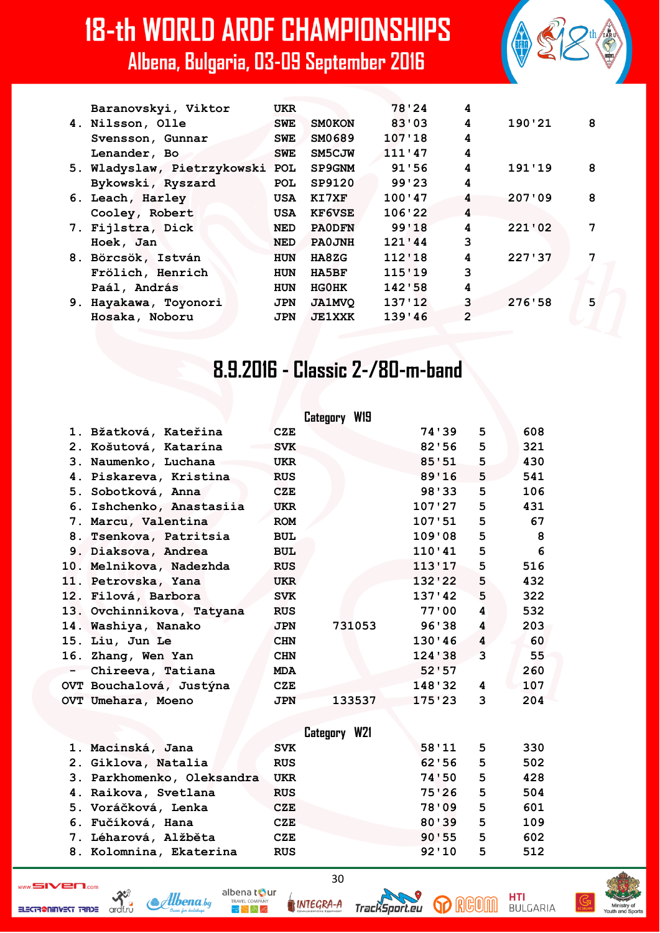| Baranovskyi, Viktor         | <b>UKR</b> |               | 78'24  | 4 |        |   |
|-----------------------------|------------|---------------|--------|---|--------|---|
| 4. Nilsson, Olle            | <b>SWE</b> | <b>SMOKON</b> | 83'03  | 4 | 190'21 | 8 |
| Svensson, Gunnar            | SWE.       | SM0689        | 107'18 | 4 |        |   |
| Lenander, Bo                | <b>SWE</b> | SM5CJW        | 111'47 | 4 |        |   |
| 5. Wladyslaw, Pietrzykowski | <b>POL</b> | <b>SP9GNM</b> | 91'56  | 4 | 191'19 | 8 |
| Bykowski, Ryszard           | <b>POL</b> | SP9120        | 99'23  | 4 |        |   |
| 6. Leach, Harley            | USA        | KI7XF         | 100'47 | 4 | 207'09 | 8 |
| Cooley, Robert              | <b>USA</b> | <b>KF6VSE</b> | 106'22 | 4 |        |   |
| 7. Fijlstra, Dick           | <b>NED</b> | <b>PAODFN</b> | 99'18  | 4 | 221'02 | 7 |
| Hoek, Jan                   | <b>NED</b> | <b>PAOJNH</b> | 121'44 | 3 |        |   |
| 8. Börcsök, István          | <b>HUN</b> | HA8ZG         | 112'18 | 4 | 227'37 | 7 |
| Frölich, Henrich            | HUN        | <b>HA5BF</b>  | 115'19 | 3 |        |   |
| Paál, András                | <b>HUN</b> | <b>HGOHK</b>  | 142'58 | 4 |        |   |
| 9. Hayakawa, Toyonori       | <b>JPN</b> | <b>JA1MVQ</b> | 137'12 | 3 | 276'58 | 5 |
| Hosaka, Noboru              | <b>JPN</b> | <b>JE1XXK</b> | 139'46 | 2 |        |   |
|                             |            |               |        |   |        |   |

#### 8.9.2016 - Classic 2-/80-m-band

|        |                            |            | Category W19 |         |   |     |
|--------|----------------------------|------------|--------------|---------|---|-----|
|        | 1. Bžatková, Kateřina      | <b>CZE</b> |              | 74 ' 39 | 5 | 608 |
|        | 2. Košutová, Katarína      | <b>SVK</b> |              | 82'56   | 5 | 321 |
|        | 3. Naumenko, Luchana       | <b>UKR</b> |              | 85'51   | 5 | 430 |
|        | 4. Piskareva, Kristina     | <b>RUS</b> |              | 89'16   | 5 | 541 |
|        | 5. Sobotková, Anna         | CZE        |              | 98'33   | 5 | 106 |
|        | 6. Ishchenko, Anastasiia   | <b>UKR</b> |              | 107'27  | 5 | 431 |
|        | 7. Marcu, Valentina        | <b>ROM</b> |              | 107:51  | 5 | 67  |
|        | 8. Tsenkova, Patritsia     | <b>BUL</b> |              | 109'08  | 5 | 8   |
|        | 9. Diaksova, Andrea        | <b>BUL</b> |              | 110'41  | 5 | 6   |
|        | 10. Melnikova, Nadezhda    | <b>RUS</b> |              | 113'17  | 5 | 516 |
|        | 11. Petrovska, Yana        | <b>UKR</b> |              | 132'22  | 5 | 432 |
|        | 12. Filová, Barbora        | <b>SVK</b> |              | 137'42  | 5 | 322 |
|        | 13. Ovchinnikova, Tatyana  | <b>RUS</b> |              | 77'00   | 4 | 532 |
|        | 14. Washiya, Nanako        | <b>JPN</b> | 731053       | 96'38   | 4 | 203 |
|        | 15. Liu, Jun Le            | <b>CHN</b> |              | 130'46  | 4 | 60  |
|        | 16. Zhang, Wen Yan         | <b>CHN</b> |              | 124'38  | 3 | 55  |
| $\sim$ | Chireeva, Tatiana          | <b>MDA</b> |              | 52:57   |   | 260 |
|        | OVT Bouchalová, Justýna    | <b>CZE</b> |              | 148'32  | 4 | 107 |
|        | OVT Umehara, Moeno         | <b>JPN</b> | 133537       | 175'23  | 3 | 204 |
|        |                            |            |              |         |   |     |
|        |                            |            | Category W21 |         |   |     |
|        | 1. Macinská, Jana          | <b>SVK</b> |              | 58'11   | 5 | 330 |
|        | 2. Giklova, Natalia        | <b>RUS</b> |              | 62'56   | 5 | 502 |
|        | 3. Parkhomenko, Oleksandra | <b>UKR</b> |              | 74'50   | 5 | 428 |
|        | 4. Raikova, Svetlana       | <b>RUS</b> |              | 75'26   | 5 | 504 |
|        | 5. Voráčková, Lenka        | <b>CZE</b> |              | 78'09   | 5 | 601 |
|        | 6. Fučíková, Hana          | <b>CZE</b> |              | 80'39   | 5 | 109 |
|        | 7. Léharová, Alžběta       | <b>CZE</b> |              | 90'55   | 5 | 602 |
|        | 8. Kolomnina, Ekaterina    | <b>RUS</b> |              | 92'10   | 5 | 512 |

ELECTR@NINVEST TRADE

 $\mathcal{R}^3$ 

 $\mathcal{A}$ lbena bg



30

 $\Omega$  reom

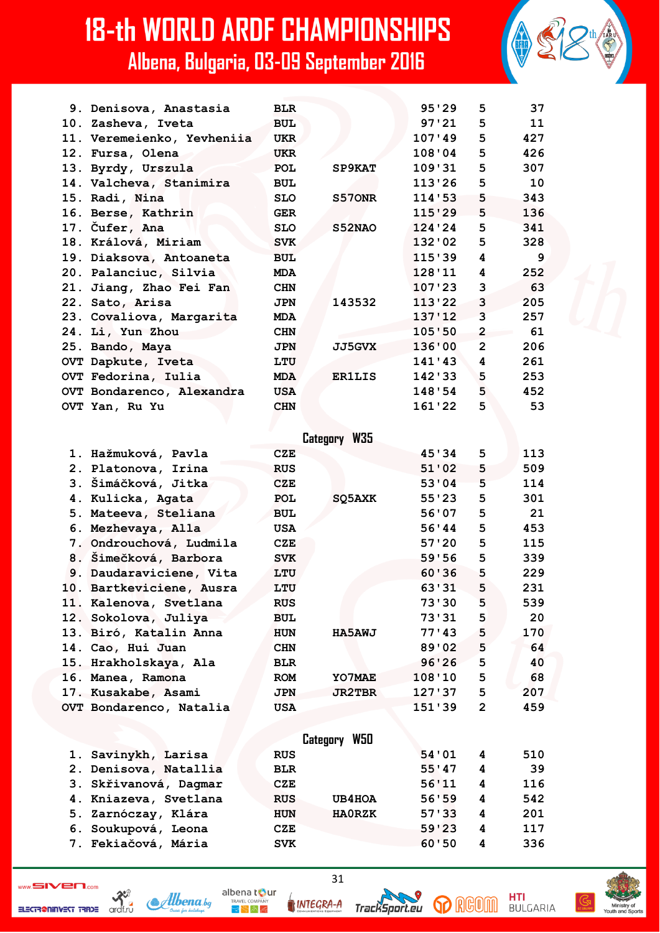| 9. Denisova, Anastasia     | <b>BLR</b> |               | 95'29  | 5              | 37  |
|----------------------------|------------|---------------|--------|----------------|-----|
| 10. Zasheva, Iveta         | <b>BUL</b> |               | 97'21  | 5              | 11  |
| 11. Veremeienko, Yevheniia | <b>UKR</b> |               | 107'49 | 5              | 427 |
| 12. Fursa, Olena           | <b>UKR</b> |               | 108'04 | 5              | 426 |
| 13. Byrdy, Urszula         | <b>POL</b> | SP9KAT        | 109'31 | 5              | 307 |
| 14. Valcheva, Stanimira    | <b>BUL</b> |               | 113'26 | 5              | 10  |
| 15. Radi, Nina             | <b>SLO</b> | S570NR        | 114'53 | 5              | 343 |
| 16. Berse, Kathrin         | <b>GER</b> |               | 115'29 | 5              | 136 |
| 17. Čufer, Ana             | <b>SLO</b> | S52NAO        | 124'24 | 5              | 341 |
| 18. Králová, Miriam        | <b>SVK</b> |               | 132'02 | 5              | 328 |
| 19. Diaksova, Antoaneta    | <b>BUL</b> |               | 115'39 | 4              | - 9 |
| 20. Palanciuc, Silvia      | <b>MDA</b> |               | 128'11 | 4              | 252 |
| 21. Jiang, Zhao Fei Fan    | <b>CHN</b> |               | 107'23 | 3              | 63  |
| 22. Sato, Arisa            | <b>JPN</b> | 143532        | 113'22 | 3              | 205 |
| 23. Covaliova, Margarita   | <b>MDA</b> |               | 137'12 | $\overline{3}$ | 257 |
| 24. Li, Yun Zhou           | <b>CHN</b> |               | 105:50 | $\overline{2}$ | 61  |
| 25. Bando, Maya            | <b>JPN</b> | <b>JJ5GVX</b> | 136'00 | $\overline{2}$ | 206 |
| OVT Dapkute, Iveta         | LTU        |               | 141'43 | 4              | 261 |
| OVT Fedorina, Iulia        | <b>MDA</b> | <b>ER1LIS</b> | 142'33 | 5              | 253 |
| OVT Bondarenco, Alexandra  | <b>USA</b> |               | 148'54 | 5              | 452 |
| OVT Yan, Ru Yu             | <b>CHN</b> |               | 161'22 | 5              | 53  |
|                            |            |               |        |                |     |
|                            |            | Category W35  |        |                |     |
| 1. Hažmuková, Pavla        | CZE        |               | 45'34  | 5              | 113 |
| 2. Platonova, Irina        | <b>RUS</b> |               | 51'02  | 5              | 509 |
| 3. Šimáčková, Jitka        | <b>CZE</b> |               | 53'04  | 5              | 114 |
| 4. Kulicka, Agata          | POT.       | SO5AXK        | 55123  | 5              | 301 |

 **4. Kulicka, Agata POL SQ5AXK 55'23 5 301 5. Mateeva, Steliana BUL 56'07 5 21 6. Mezhevaya, Alla USA 56'44 5 453 7. Ondrouchová, Ludmila CZE 57'20 5 115 8. Šimečková, Barbora SVK 59'56 5 339 9. Daudaraviciene, Vita LTU 60'36 5 229 10. Bartkeviciene, Ausra LTU 63'31 5 231 11. Kalenova, Svetlana RUS 73'30 5 539 12. Sokolova, Juliya BUL 73'31 5 20 13. Biró, Katalin Anna HUN HA5AWJ 77'43 5 170 14. Cao, Hui Juan CHN 89'02 5 64 15. Hrakholskaya, Ala BLR 96'26 5 40 16. Manea, Ramona ROM YO7MAE 108'10 5 68 17. Kusakabe, Asami JPN JR2TBR 127'37 5 207 OVT Bondarenco, Natalia USA 151'39 2 459**

|                       | Category W50                |                   |
|-----------------------|-----------------------------|-------------------|
| 1. Savinykh, Larisa   | <b>RUS</b>                  | 54'01<br>510<br>4 |
| 2. Denisova, Natallia | <b>BLR</b>                  | -39<br>55'47<br>4 |
| 3. Skřivanová, Dagmar | CZE                         | 56'11<br>116<br>4 |
| 4. Kniazeva, Svetlana | <b>RUS</b><br>UB4HOA        | 56'59<br>542<br>4 |
| 5. Zarnóczay, Klára   | <b>HAORZK</b><br><b>HUN</b> | 57'33<br>201<br>4 |
| 6. Soukupová, Leona   | CZE                         | 59'23<br>117<br>4 |
| 7. Fekiačová, Mária   | <b>SVK</b>                  | 60'50<br>336<br>4 |

ELECTR@NINVEST TRADE

ardf.ru



31

Tracks

oort.eu

**INTEGRA-A** 





**HTI**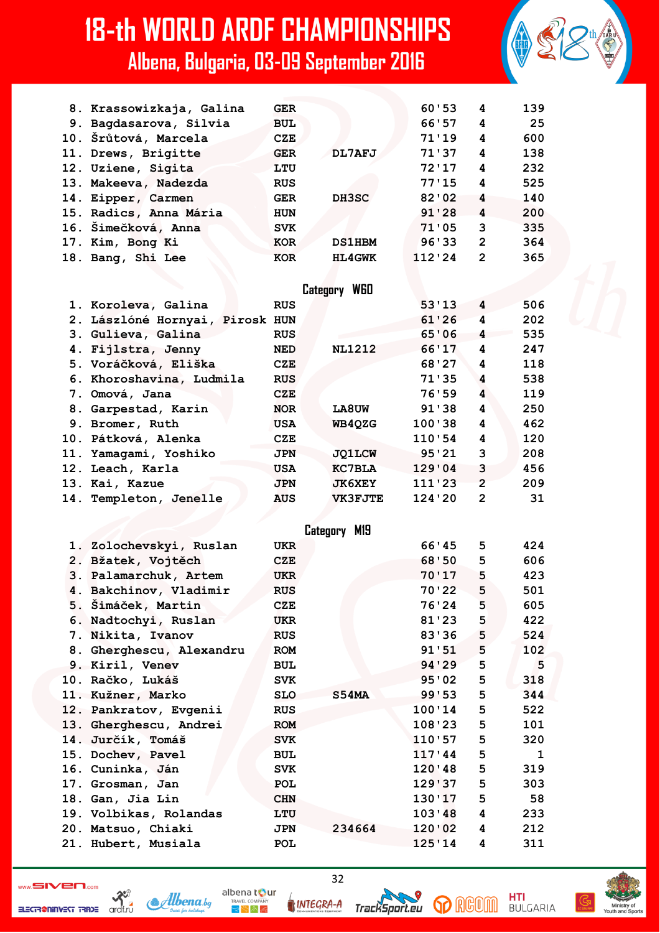| 8. Krassowizkaja, Galina | <b>GER</b> |               | 60'53  | 4              | 139 |
|--------------------------|------------|---------------|--------|----------------|-----|
| 9. Bagdasarova, Silvia   | <b>BUL</b> |               | 66'57  | 4              | 25  |
| 10. Šrůtová, Marcela     | <b>CZE</b> |               | 71'19  | 4              | 600 |
| 11. Drews, Brigitte      | <b>GER</b> | DL7AFJ        | 71'37  | 4              | 138 |
| 12. Uziene, Sigita       | LTU        |               | 72'17  | 4              | 232 |
| 13. Makeeva, Nadezda     | <b>RUS</b> |               | 77'15  | 4              | 525 |
| 14. Eipper, Carmen       | <b>GER</b> | DH3SC         | 82'02  | 4              | 140 |
| 15. Radics, Anna Mária   | <b>HUN</b> |               | 91'28  | 4              | 200 |
| 16. Šimečková, Anna      | <b>SVK</b> |               | 71'05  | 3              | 335 |
| 17. Kim, Bong Ki         | <b>KOR</b> | <b>DS1HBM</b> | 96'33  | $\overline{2}$ | 364 |
| 18. Bang, Shi Lee        | <b>KOR</b> | <b>HL4GWK</b> | 112'24 | $\mathbf{c}$   | 365 |

#### Category W60

| 1. Koroleva, Galina             | <b>RUS</b> |                | 53'13     | 4              | 506 |
|---------------------------------|------------|----------------|-----------|----------------|-----|
| 2. Lászlóné Hornyai, Pirosk HUN |            |                | $61'26$ 4 |                | 202 |
| 3. Gulieva, Galina              | <b>RUS</b> |                | 65'06     | $\overline{4}$ | 535 |
| 4. Fijlstra, Jenny              | <b>NED</b> | <b>NL1212</b>  | 66'17     | 4              | 247 |
| 5. Voráčková, Eliška            | CZE        |                | 68'27     | 4              | 118 |
| 6. Khoroshavina, Ludmila        | <b>RUS</b> |                | 71'35     | 4              | 538 |
| 7. Omová, Jana                  | CZE        |                | 76'59     | 4              | 119 |
| 8. Garpestad, Karin             | <b>NOR</b> | <b>LA8UW</b>   | 91 ' 38   | 4              | 250 |
| 9. Bromer, Ruth                 | <b>USA</b> | WB4QZG         | 100'38    | 4              | 462 |
| 10. Pátková, Alenka             | CZE        |                | 110'54    | 4              | 120 |
| 11. Yamagami, Yoshiko           | <b>JPN</b> | <b>JQ1LCW</b>  | 95'21     | 3              | 208 |
| 12. Leach, Karla                | <b>USA</b> | <b>KC7BLA</b>  | 129'04    | 3              | 456 |
| 13. Kai, Kazue                  | <b>JPN</b> | <b>JK6XEY</b>  | 111'23    | $\overline{2}$ | 209 |
| 14. Templeton, Jenelle          | <b>AUS</b> | <b>VK3FJTE</b> | 124'20    | 2              | 31  |
|                                 |            |                |           |                |     |

|                          |            | Category M19 |        |         |   |     |
|--------------------------|------------|--------------|--------|---------|---|-----|
| 1. Zolochevskyi, Ruslan  | <b>UKR</b> |              |        | 66'45   | 5 | 424 |
| 2. Bžatek, Vojtěch       | CZE        |              |        | 68'50   | 5 | 606 |
| 3. Palamarchuk, Artem    | <b>UKR</b> |              |        | 70'17   | 5 | 423 |
| 4. Bakchinov, Vladimir   | <b>RUS</b> |              |        | 70'22   | 5 | 501 |
| 5. Šimáček, Martin       | CZE        |              |        | 76'24   | 5 | 605 |
| 6. Nadtochyi, Ruslan     | <b>UKR</b> |              |        | 81'23   | 5 | 422 |
| 7. Nikita, Ivanov        | <b>RUS</b> |              |        | 83'36   | 5 | 524 |
| 8. Gherghescu, Alexandru | <b>ROM</b> |              |        | 91'51   | 5 | 102 |
| 9. Kiril, Venev          | <b>BUL</b> |              |        | 94 ' 29 | 5 | 5   |
| 10. Račko, Lukáš         | <b>SVK</b> |              |        | 95'02   | 5 | 318 |
| 11. Kužner, Marko        | <b>SLO</b> | S54MA        |        | 99'53   | 5 | 344 |
| 12. Pankratov, Evgenii   | <b>RUS</b> |              |        | 100'14  | 5 | 522 |
| 13. Gherghescu, Andrei   | <b>ROM</b> |              |        | 108'23  | 5 | 101 |
| 14. Jurčík, Tomáš        | <b>SVK</b> |              |        | 110'57  | 5 | 320 |
| 15. Dochev, Pavel        | <b>BUL</b> |              |        | 117'44  | 5 | 1   |
| 16. Cuninka, Ján         | <b>SVK</b> |              |        | 120'48  | 5 | 319 |
| 17. Grosman, Jan         | <b>POL</b> |              |        | 129'37  | 5 | 303 |
| 18. Gan, Jia Lin         | <b>CHN</b> |              |        | 130'17  | 5 | 58  |
| 19. Volbikas, Rolandas   | LTU        |              |        | 103'48  | 4 | 233 |
| 20. Matsuo, Chiaki       | <b>JPN</b> |              | 234664 | 120'02  | 4 | 212 |
| 21. Hubert, Musiala      | POL        |              |        | 125'14  | 4 | 311 |

ELECTRONINGST TRIDE archive

**INTEGRA-A** 

albena tour

 $\bigtriangledown \bigtriangledown \bigwedge \bigtriangledown$ 

Albena.bq

TrackSport.eu

32



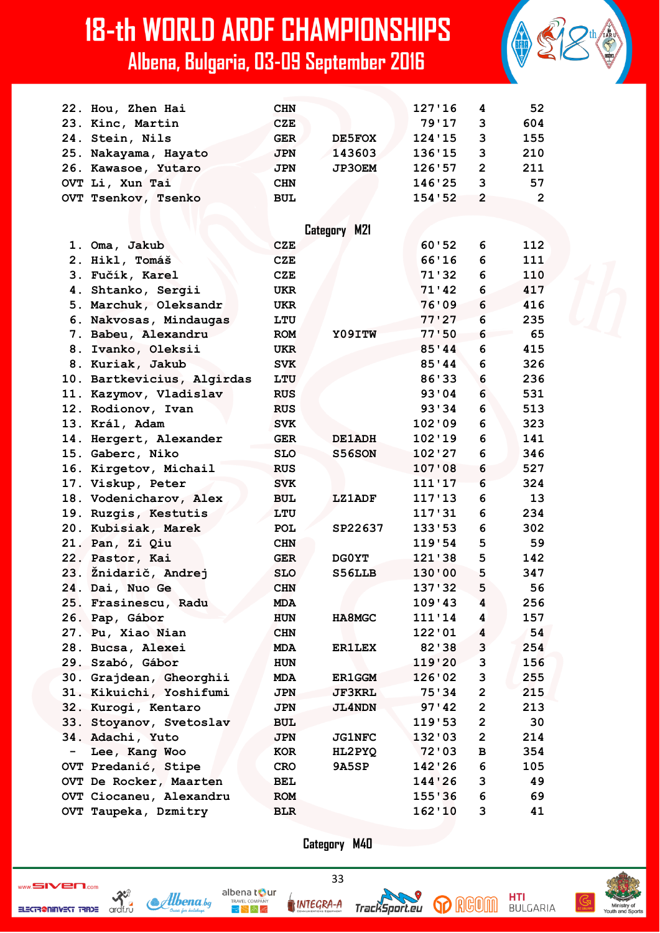|                          | 22. Hou, Zhen Hai          | <b>CHN</b> |               | 127'16  | 4                       | 52             |
|--------------------------|----------------------------|------------|---------------|---------|-------------------------|----------------|
|                          | 23. Kinc, Martin           | <b>CZE</b> |               | 79'17   | 3                       | 604            |
|                          | 24. Stein, Nils            | <b>GER</b> | DE5FOX        | 124'15  | 3                       | 155            |
|                          | 25. Nakayama, Hayato       | <b>JPN</b> | 143603        | 136'15  | 3                       | 210            |
|                          | 26. Kawasoe, Yutaro        | <b>JPN</b> | <b>JP3OEM</b> | 126'57  | $\overline{\mathbf{c}}$ | 211            |
|                          | OVT Li, Xun Tai            | <b>CHN</b> |               | 146'25  | 3                       | 57             |
|                          | OVT Tsenkov, Tsenko        | <b>BUL</b> |               | 154'52  | $\overline{2}$          | $\overline{2}$ |
|                          |                            |            |               |         |                         |                |
|                          |                            |            |               |         |                         |                |
|                          |                            |            | Category M21  |         |                         |                |
|                          | 1. Oma, Jakub              | <b>CZE</b> |               | 60'52   | 6                       | 112            |
|                          | 2. Hikl, Tomáš             | <b>CZE</b> |               | 66'16   | 6                       | 111            |
|                          | 3. Fučík, Karel            | <b>CZE</b> |               | 71 ' 32 | 6                       | 110            |
|                          | 4. Shtanko, Sergii         | <b>UKR</b> |               | 71'42   | 6                       | 417            |
|                          | 5. Marchuk, Oleksandr      | <b>UKR</b> |               | 76'09   | 6                       | 416            |
|                          | 6. Nakvosas, Mindaugas     | LTU        |               | 77'27   | 6                       | 235            |
|                          | 7. Babeu, Alexandru        | <b>ROM</b> | Y09ITW        | 77'50   | 6                       | 65             |
|                          | 8. Ivanko, Oleksii         | <b>UKR</b> |               | 85'44   | 6                       | 415            |
|                          | 8. Kuriak, Jakub           | <b>SVK</b> |               | 85'44   | 6                       | 326            |
|                          | 10. Bartkevicius, Algirdas | LTU        |               | 86'33   | 6                       | 236            |
|                          | 11. Kazymov, Vladislav     | <b>RUS</b> |               | 93'04   | 6                       | 531            |
|                          | 12. Rodionov, Ivan         | <b>RUS</b> |               | 93'34   | 6                       | 513            |
|                          | 13. Král, Adam             | <b>SVK</b> |               | 102'09  | 6                       | 323            |
|                          | 14. Hergert, Alexander     | <b>GER</b> | <b>DE1ADH</b> | 102'19  | 6                       | 141            |
|                          | 15. Gaberc, Niko           | <b>SLO</b> | S56SON        | 102'27  | 6                       | 346            |
|                          | 16. Kirgetov, Michail      | <b>RUS</b> |               | 107'08  | 6                       | 527            |
|                          | 17. Viskup, Peter          | <b>SVK</b> |               | 111'17  | 6                       | 324            |
|                          | 18. Vodenicharov, Alex     | <b>BUL</b> | <b>LZ1ADF</b> | 117'13  | 6                       | 13             |
|                          | 19. Ruzgis, Kestutis       | LTU        |               | 117'31  | 6                       | 234            |
|                          | 20. Kubisiak, Marek        | <b>POL</b> | SP22637       | 133'53  | 6                       | 302            |
|                          | 21. Pan, Zi Qiu            | <b>CHN</b> |               | 119'54  | 5                       | 59             |
|                          | 22. Pastor, Kai            | <b>GER</b> | DG0YT         | 121'38  | 5                       | 142            |
|                          | 23. Žnidarič, Andrej       | <b>SLO</b> | S56LLB        | 130'00  | 5                       | 347            |
|                          | 24. Dai, Nuo Ge            | <b>CHN</b> |               | 137'32  | 5                       | 56             |
|                          | 25. Frasinescu, Radu       | <b>MDA</b> |               | 109'43  | 4                       | 256            |
|                          | 26. Pap, Gábor             | <b>HUN</b> | <b>HA8MGC</b> | 111'14  | 4                       | 157            |
|                          | 27. Pu, Xiao Nian          | <b>CHN</b> |               | 122'01  | 4                       | 54             |
|                          | 28. Bucsa, Alexei          | <b>MDA</b> | <b>ER1LEX</b> | 82'38   | 3                       | 254            |
|                          | 29. Szabó, Gábor           | <b>HUN</b> |               | 119'20  | 3                       | 156            |
|                          | 30. Grajdean, Gheorghii    | MDA        | <b>ER1GGM</b> | 126'02  | 3                       | 255            |
|                          | 31. Kikuichi, Yoshifumi    | <b>JPN</b> | <b>JF3KRL</b> | 75'34   | $\overline{\mathbf{c}}$ | 215            |
|                          | 32. Kurogi, Kentaro        | <b>JPN</b> | <b>JL4NDN</b> | 97'42   | $\mathbf 2$             | 213            |
|                          | 33. Stoyanov, Svetoslav    | <b>BUL</b> |               | 119'53  | $\overline{\mathbf{2}}$ | 30             |
|                          | 34. Adachi, Yuto           | <b>JPN</b> | <b>JG1NFC</b> | 132'03  | $\overline{2}$          | 214            |
| $\overline{\phantom{0}}$ | Lee, Kang Woo              | KOR        | HL2PYQ        | 72'03   | в                       | 354            |
|                          | OVT Predanić, Stipe        | <b>CRO</b> | 9A5SP         | 142'26  | 6                       | 105            |
|                          | OVT De Rocker, Maarten     | <b>BEL</b> |               | 144'26  | 3                       | 49             |
|                          | OVT Ciocaneu, Alexandru    | <b>ROM</b> |               | 155'36  | 6                       | 69             |
|                          | OVT Taupeka, Dzmitry       | <b>BLR</b> |               | 162'10  | 3                       | 41             |
|                          |                            |            |               |         |                         |                |

**Category M40**

33

 $\sum_{\text{SUSY}}$ 



albena tour INTEGRA-A

 $\bigtriangledown \bigtriangledown \bigwedge \bigtriangledown \bigtriangleup$ 





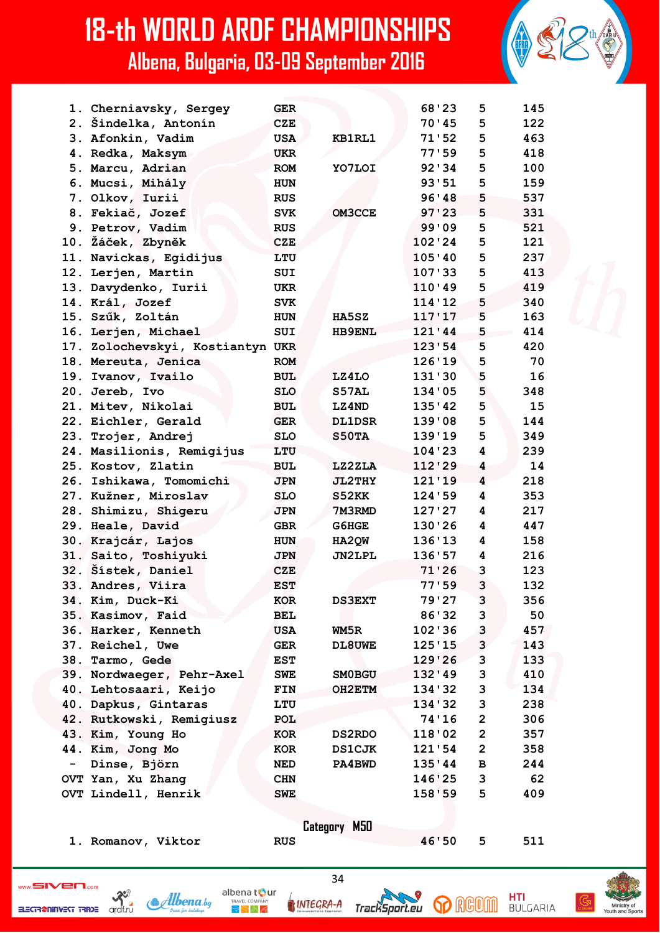|                          | 1. Cherniavsky, Sergey           | <b>GER</b> |               | 68'23    | 5              | 145 |
|--------------------------|----------------------------------|------------|---------------|----------|----------------|-----|
|                          | 2. Šindelka, Antonín             | <b>CZE</b> |               | 70'45    | 5              | 122 |
|                          | 3. Afonkin, Vadim                | <b>USA</b> | <b>KB1RL1</b> | 71'52    | 5              | 463 |
|                          | 4. Redka, Maksym                 | <b>UKR</b> |               | 77'59    | 5              | 418 |
|                          | 5. Marcu, Adrian                 | <b>ROM</b> | YO7LOI        | 92'34    | 5              | 100 |
|                          | 6. Mucsi, Mihály                 | <b>HUN</b> |               | 93'51    | 5              | 159 |
|                          | 7. Olkov, Iurii                  | <b>RUS</b> |               | 96'38    | 5              | 537 |
|                          | 8. Fekiač, Jozef                 | <b>SVK</b> | <b>OM3CCE</b> | 97'23    | 5              | 331 |
|                          | 9. Petrov, Vadim                 | <b>RUS</b> |               | 99'09    | 5              | 521 |
|                          | 10. Žáček, Zbyněk                | <b>CZE</b> |               | 102'24   | 5              | 121 |
|                          | 11. Navickas, Egidijus           | LTU        |               | 105'40   | 5              | 237 |
|                          | 12. Lerjen, Martin               | <b>SUI</b> |               | 107'33   | 5              | 413 |
|                          | 13. Davydenko, Iurii             | <b>UKR</b> |               | 110'49   | 5              | 419 |
|                          | 14. Král, Jozef                  | <b>SVK</b> |               | 114'12   | 5              | 340 |
|                          | 15. Szűk, Zoltán                 | <b>HUN</b> | HA5SZ         | 117'17   | 5              | 163 |
|                          | 16. Lerjen, Michael              | <b>SUI</b> | <b>HB9ENL</b> | 121'44   | 5              | 414 |
|                          | 17. Zolochevskyi, Kostiantyn UKR |            |               | 123'54   | 5              | 420 |
|                          | 18. Mereuta, Jenica              | <b>ROM</b> |               | 126'19   | 5              | 70  |
| 19.                      | Ivanov, Ivailo                   | <b>BUL</b> | LZ4LO         | 131'30   | 5              | 16  |
|                          | 20. Jereb, Ivo                   | <b>SLO</b> | S57AL         | 134'05   | 5              | 348 |
|                          | 21. Mitev, Nikolai               | <b>BUL</b> | LZ4ND         | 135'42   | 5              | 15  |
|                          | 22. Eichler, Gerald              | <b>GER</b> | <b>DL1DSR</b> | 139'08   | 5              | 144 |
|                          | 23. Trojer, Andrej               | <b>SLO</b> | S50TA         | 139'19   | 5              | 349 |
|                          | 24. Masilionis, Remigijus        | LTU        |               | 104 ' 23 | 4              | 239 |
|                          | 25. Kostov, Zlatin               | <b>BUL</b> | LZ2ZLA        | 112'29   | 4              | 14  |
|                          | 26. Ishikawa, Tomomichi          | <b>JPN</b> | <b>JL2THY</b> | 121'19   | 4              | 218 |
| 27.                      | Kužner, Miroslav                 | <b>SLO</b> | S52KK         | 124'59   | 4              | 353 |
|                          | 28. Shimizu, Shigeru             | <b>JPN</b> | 7M3RMD        | 127'27   | 4              | 217 |
|                          | 29. Heale, David                 | <b>GBR</b> | G6HGE         | 130'26   | 4              | 447 |
|                          | 30. Krajcár, Lajos               | <b>HUN</b> | HA2QW         | 136'13   | 4              | 158 |
|                          | 31. Saito, Toshiyuki             | <b>JPN</b> | <b>JN2LPL</b> | 136'57   | 4              | 216 |
|                          | 32. Šístek, Daniel               | <b>CZE</b> |               | 71'26    | 3              | 123 |
|                          | 33. Andres, Viira                | <b>EST</b> |               | 77'59    | 3              | 132 |
|                          | 34. Kim, Duck-Ki                 | KOR        | <b>DS3EXT</b> | 79'27    | 3              | 356 |
|                          | 35. Kasimov, Faid                | BEL        |               | 86'32    | 3              | 50  |
|                          | 36. Harker, Kenneth              | <b>USA</b> | WM5R          | 102'36   | 3              | 457 |
|                          | 37. Reichel, Uwe                 | GER        | <b>DL8UWE</b> | 125'15   | 3              | 143 |
|                          | 38. Tarmo, Gede                  | EST        |               | 129'26   | 3              | 133 |
|                          | 39. Nordwaeger, Pehr-Axel        | <b>SWE</b> | <b>SMOBGU</b> | 132'49   | 3              | 410 |
|                          | 40. Lehtosaari, Keijo            | FIN        | OH2ETM        | 134'32   | 3              | 134 |
|                          | 40. Dapkus, Gintaras             | LTU        |               | 134 ' 32 | 3              | 238 |
|                          | 42. Rutkowski, Remigiusz         | POL        |               | 74'16    | $\overline{2}$ | 306 |
|                          | 43. Kim, Young Ho                | KOR        | <b>DS2RDO</b> | 118'02   | $\mathbf{2}$   | 357 |
|                          | 44. Kim, Jong Mo                 | KOR        | <b>DS1CJK</b> | 121'54   | $\overline{2}$ | 358 |
| $\overline{\phantom{0}}$ | Dinse, Björn                     | NED        | <b>PA4BWD</b> | 135'44   | $\mathbf B$    | 244 |
|                          | OVT Yan, Xu Zhang                | <b>CHN</b> |               | 146'25   | 3              | 62  |
|                          | OVT Lindell, Henrik              | <b>SWE</b> |               | 158'59   | 5              | 409 |
|                          |                                  |            |               |          |                |     |
|                          |                                  |            | Category M50  |          |                |     |
|                          | 1. Romanov, Viktor               | <b>RUS</b> |               | 46'50    | 5              | 511 |
|                          |                                  |            |               |          |                |     |

ELECTRONINGST TRACE archive



INTEGRA-A

albena tour

 $R_{\rm F}$   $\approx$   $R_{\rm F}$ 

34





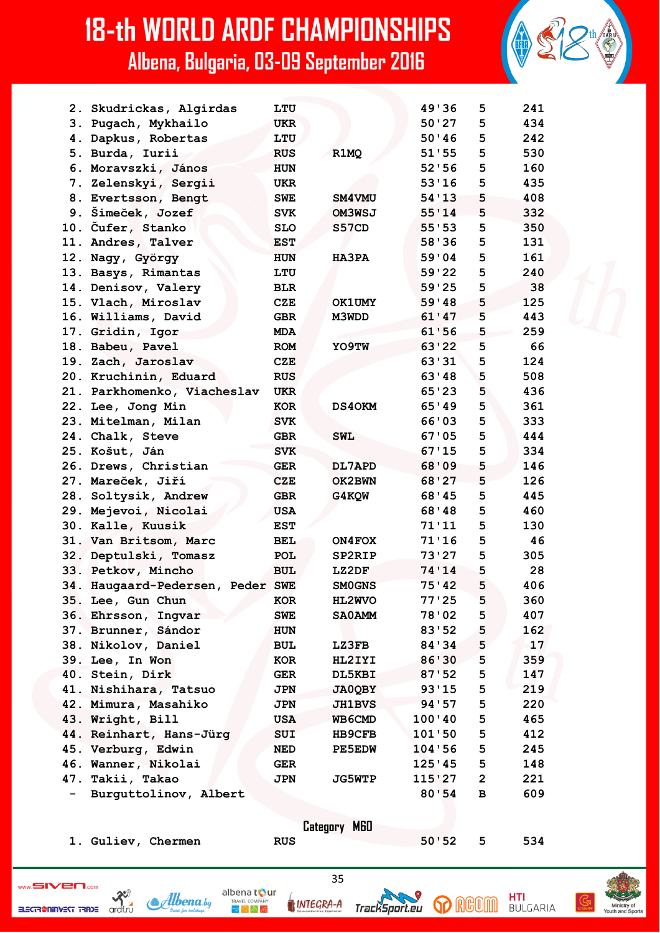|                              | 2. Skudrickas, Algirdas          | LTU        |               | 49'36   | 5              | 241 |
|------------------------------|----------------------------------|------------|---------------|---------|----------------|-----|
|                              | 3. Pugach, Mykhailo              | <b>UKR</b> |               | 50'27   | 5              | 434 |
|                              | 4. Dapkus, Robertas              | LTU        |               | 50'36   | 5              | 242 |
|                              | 5. Burda, Iurii                  | <b>RUS</b> | R1MQ          | 51'55   | 5              | 530 |
|                              | 6. Moravszki, János              | <b>HUN</b> |               | 52'56   | 5              | 160 |
|                              | 7. Zelenskyi, Sergii             | <b>UKR</b> |               | 53'16   | 5              | 435 |
|                              | 8. Evertsson, Bengt              | <b>SWE</b> | SM4VMU        | 54'13   | 5              | 408 |
|                              | 9. Šimeček, Jozef                | <b>SVK</b> | OM3WSJ        | 55'14   | 5              | 332 |
|                              | 10. Čufer, Stanko                | <b>SLO</b> | S57CD         | 55'53   | 5              | 350 |
|                              | 11. Andres, Talver               | <b>EST</b> |               | 58'36   | 5              | 131 |
|                              | 12. Nagy, György                 | <b>HUN</b> | <b>HA3PA</b>  | 59'04   | 5              | 161 |
|                              | 13. Basys, Rimantas              | LTU        |               | 59'22   | 5              | 240 |
|                              | 14. Denisov, Valery              | <b>BLR</b> |               | 59'25   | 5              | 38  |
|                              | 15. Vlach, Miroslav              | <b>CZE</b> | <b>OK1UMY</b> | 59'48   | 5              | 125 |
|                              | 16. Williams, David              | <b>GBR</b> | M3WDD         | 61'47   | 5              | 443 |
|                              | 17. Gridin, Igor                 | <b>MDA</b> |               | 61'56   | 5              | 259 |
|                              | 18. Babeu, Pavel                 | <b>ROM</b> | YO9TW         | 63'22   | 5              | 66  |
|                              | 19. Zach, Jaroslav               | <b>CZE</b> |               | 63'31   | 5              | 124 |
|                              | 20. Kruchinin, Eduard            | <b>RUS</b> |               | 63'48   | 5              | 508 |
|                              | 21. Parkhomenko, Viacheslav      | <b>UKR</b> |               | 65'23   | 5              | 436 |
|                              | 22. Lee, Jong Min                | <b>KOR</b> | <b>DS40KM</b> | 65'49   | 5              | 361 |
|                              | 23. Mitelman, Milan              | <b>SVK</b> |               | 66'03   | 5              | 333 |
|                              | 24. Chalk, Steve                 | <b>GBR</b> | <b>SWL</b>    | 67'05   | 5              | 444 |
|                              | 25. Košut, Ján                   | <b>SVK</b> |               | 67'15   | 5              | 334 |
|                              | 26. Drews, Christian             | <b>GER</b> | DL7APD        | 68'09   | 5              | 146 |
|                              | 27. Mareček, Jiří                | <b>CZE</b> | OK2BWN        | 68'27   | 5              | 126 |
|                              | 28. Soltysik, Andrew             | <b>GBR</b> | G4KQW         | 68'45   | 5              | 445 |
|                              | 29. Mejevoi, Nicolai             | <b>USA</b> |               | 68'48   | 5              | 460 |
|                              | 30. Kalle, Kuusik                | <b>EST</b> |               | 71'11   | 5              | 130 |
|                              | 31. Van Britsom, Marc            | <b>BEL</b> | ON4FOX        | 71'16   | 5              | 46  |
|                              | 32. Deptulski, Tomasz            | POL        | SP2RIP        | 73'27   | 5              | 305 |
|                              | 33. Petkov, Mincho               | <b>BUL</b> | LZ2DF         | 74'14   | 5              | 28  |
|                              | 34. Haugaard-Pedersen, Peder SWE |            | <b>SMOGNS</b> | 75'42   | 5              | 406 |
|                              | 35. Lee, Gun Chun                | KOR        | <b>HL2WVO</b> | 77'25   | 5              | 360 |
|                              | 36. Ehrsson, Ingvar              | <b>SWE</b> | <b>SA0AMM</b> | 78'02   | 5              | 407 |
|                              | 37. Brunner, Sándor              | <b>HUN</b> |               | 83'52   | 5              | 162 |
|                              | 38. Nikolov, Daniel              | <b>BUL</b> | <b>LZ3FB</b>  | 84 ' 34 | 5              | 17  |
|                              | 39. Lee, In Won                  | <b>KOR</b> | HL2IYI        | 86'30   | 5              | 359 |
|                              | 40. Stein, Dirk                  | <b>GER</b> | DL5KBI        | 87'52   | 5              | 147 |
|                              | 41. Nishihara, Tatsuo            | <b>JPN</b> | <b>JA0QBY</b> | 93'15   | 5              | 219 |
|                              | 42. Mimura, Masahiko             | <b>JPN</b> | <b>JH1BVS</b> | 94 ' 57 | 5              | 220 |
|                              | 43. Wright, Bill                 | USA        | WB6CMD        | 100'40  | 5              | 465 |
|                              | 44. Reinhart, Hans-Jürg          | SUI        | <b>HB9CFB</b> | 101'50  | 5              | 412 |
|                              | 45. Verburg, Edwin               | NED        | <b>PE5EDW</b> | 104:56  | 5              | 245 |
|                              | 46. Wanner, Nikolai              | <b>GER</b> |               | 125'45  | 5              | 148 |
|                              | 47. Takii, Takao                 | <b>JPN</b> | <b>JG5WTP</b> | 115'27  | $\overline{2}$ | 221 |
| $\qquad \qquad \blacksquare$ | Burguttolinov, Albert            |            |               | 80'54   | B              | 609 |
|                              |                                  |            |               |         |                |     |
|                              |                                  |            |               |         |                |     |
|                              |                                  |            | Category M60  |         |                |     |
|                              | 1. Guliev, Chermen               | <b>RUS</b> |               | 50:52   | 5              | 534 |
|                              |                                  |            |               |         |                |     |

ELECTRONICS TRIDE ORDER



35 INTEGRA-A TrackSport.eu



**HTI**<br>BULGARIA

**p** RGOM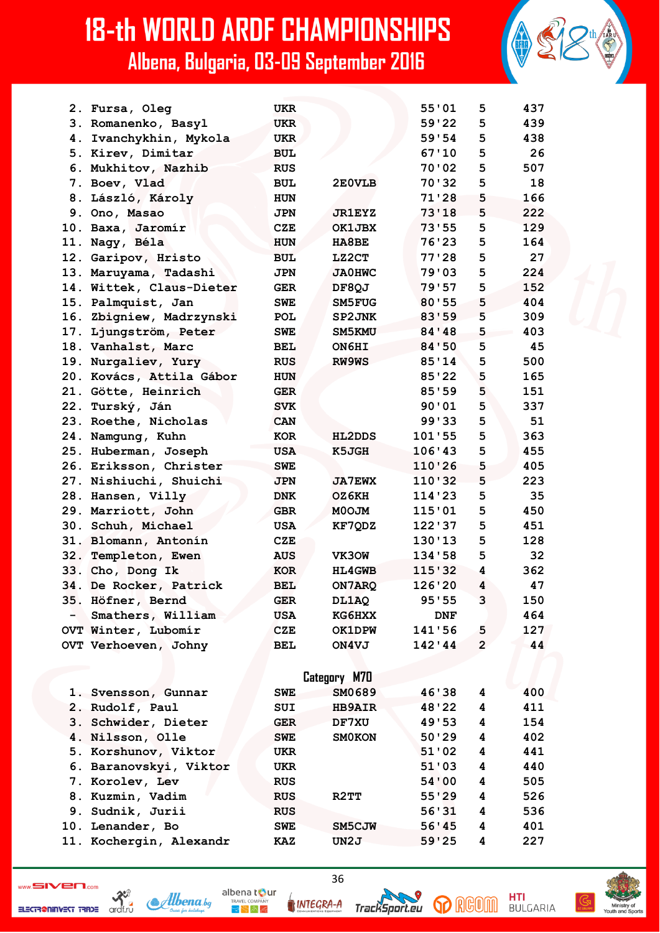|     | 2. Fursa, Oleg           | <b>UKR</b> |               | 55'01   | 5              | 437 |
|-----|--------------------------|------------|---------------|---------|----------------|-----|
|     | 3. Romanenko, Basyl      | <b>UKR</b> |               | 59'22   | 5              | 439 |
|     | 4. Ivanchykhin, Mykola   | <b>UKR</b> |               | 59'54   | 5              | 438 |
|     | 5. Kirev, Dimitar        | <b>BUL</b> |               | 67'10   | 5              | 26  |
|     | 6. Mukhitov, Nazhib      | <b>RUS</b> |               | 70'02   | 5              | 507 |
|     | 7. Boev, Vlad            | <b>BUL</b> | 2E0VLB        | 70'32   | 5              | 18  |
|     | 8. László, Károly        | <b>HUN</b> |               | 71'28   | 5              | 166 |
|     | 9. Ono, Masao            | <b>JPN</b> | <b>JR1EYZ</b> | 73'18   | 5              | 222 |
|     | 10. Baxa, Jaromír        | <b>CZE</b> | OK1JBX        | 73'55   | 5              | 129 |
| 11. | Nagy, Béla               | <b>HUN</b> | <b>HA8BE</b>  | 76'23   | 5              | 164 |
|     | 12. Garipov, Hristo      | <b>BUL</b> | LZ2CT         | 77'28   | 5              | 27  |
|     | 13. Maruyama, Tadashi    | <b>JPN</b> | <b>JA0HWC</b> | 79'03   | 5              | 224 |
|     | 14. Wittek, Claus-Dieter | <b>GER</b> | DF8QJ         | 79'57   | 5              | 152 |
| 15. | Palmquist, Jan           | <b>SWE</b> | SM5FUG        | 80'55   | 5              | 404 |
|     | 16. Zbigniew, Madrzynski | <b>POL</b> | SP2JNK        | 83'59   | 5              | 309 |
|     | 17. Ljungström, Peter    | <b>SWE</b> | SM5KMU        | 84 ' 48 | 5              | 403 |
|     | 18. Vanhalst, Marc       | BEL        | ON6HI         | 84'50   | 5              | 45  |
| 19. | Nurgaliev, Yury          | <b>RUS</b> | RW9WS         | 85'14   | 5              | 500 |
|     | 20. Kovács, Attila Gábor | <b>HUN</b> |               | 85'22   | 5              | 165 |
|     | 21. Götte, Heinrich      | <b>GER</b> |               | 85'59   | 5              | 151 |
|     | 22. Turský, Ján          | <b>SVK</b> |               | 90'01   | 5              | 337 |
|     | 23. Roethe, Nicholas     | <b>CAN</b> |               | 99'33   | 5              | 51  |
|     | 24. Namgung, Kuhn        | <b>KOR</b> | <b>HL2DDS</b> | 101'55  | 5              | 363 |
|     | 25. Huberman, Joseph     | <b>USA</b> | K5JGH         | 106'43  | 5              | 455 |
| 26. | Eriksson, Christer       | <b>SWE</b> |               | 110'26  | 5              | 405 |
| 27. | Nishiuchi, Shuichi       | <b>JPN</b> | <b>JA7EWX</b> | 110'32  | 5              | 223 |
| 28. | Hansen, Villy            | <b>DNK</b> | OZ6KH         | 114'23  | 5              | 35  |
|     | 29. Marriott, John       | <b>GBR</b> | MOOJM         | 115'01  | 5              | 450 |
|     | 30. Schuh, Michael       | <b>USA</b> | KF7QDZ        | 122'37  | 5              | 451 |
| 31. | Blomann, Antonín         | <b>CZE</b> |               | 130'13  | 5              | 128 |
|     | 32. Templeton, Ewen      | <b>AUS</b> | VK30W         | 134'58  | 5              | 32  |
|     | 33. Cho, Dong Ik         | <b>KOR</b> | <b>HL4GWB</b> | 115'32  | 4              | 362 |
|     | 34. De Rocker, Patrick   | <b>BEL</b> | ON7ARQ        | 126'20  | 4              | 47  |
|     | 35. Höfner, Bernd        | GER        | DL1AQ         | 95'55   | 3              | 150 |
| $-$ | Smathers, William        | USA        | <b>KG6HXX</b> | DNF     |                | 464 |
|     | OVT Winter, Lubomír      | <b>CZE</b> | <b>OK1DPW</b> | 141'56  | 5              | 127 |
|     | OVT Verhoeven, Johny     | <b>BEL</b> | ON4VJ         | 142'44  | $\overline{2}$ | 44  |
|     |                          |            |               |         |                |     |
|     |                          |            | Category M70  |         |                |     |
|     | 1. Svensson, Gunnar      | <b>SWE</b> | SM0689        | 46'38   | 4              | 400 |
|     | 2. Rudolf, Paul          | SUI        | <b>HB9AIR</b> | 48'22   | 4              | 411 |
|     | 3. Schwider, Dieter      | <b>GER</b> | DF7XU         | 49'53   | 4              | 154 |
|     | 4. Nilsson, Olle         | <b>SWE</b> | <b>SMOKON</b> | 50'29   | 4              | 402 |
|     | 5. Korshunov, Viktor     | UKR        |               | 51'02   | 4              | 441 |
|     | 6. Baranovskyi, Viktor   | UKR        |               | 51'03   | 4              | 440 |
|     | 7. Korolev, Lev          | <b>RUS</b> |               | 54'00   | 4              | 505 |
|     | 8. Kuzmin, Vadim         | <b>RUS</b> | R2TT          | 55'29   | 4              | 526 |
|     | 9. Sudnik, Jurii         | <b>RUS</b> |               | 56'31   | 4              | 536 |
|     | 10. Lenander, Bo         | <b>SWE</b> | SM5CJW        | 56'45   | 4              | 401 |

ELECTRONING STRIPE ORDER

 $\mathcal{A}$ lbenaby

11. Kochergin, Alexandr

albena tour  $\mathbb{R} \times \mathbb{A}$ 

**KAZ** 



 $UN2J$ 

36

**IRIGIO** SD

 $\overline{\mathbf{4}}$ 

227

**HTI**<br>BULGARIA

 $59'25$ 

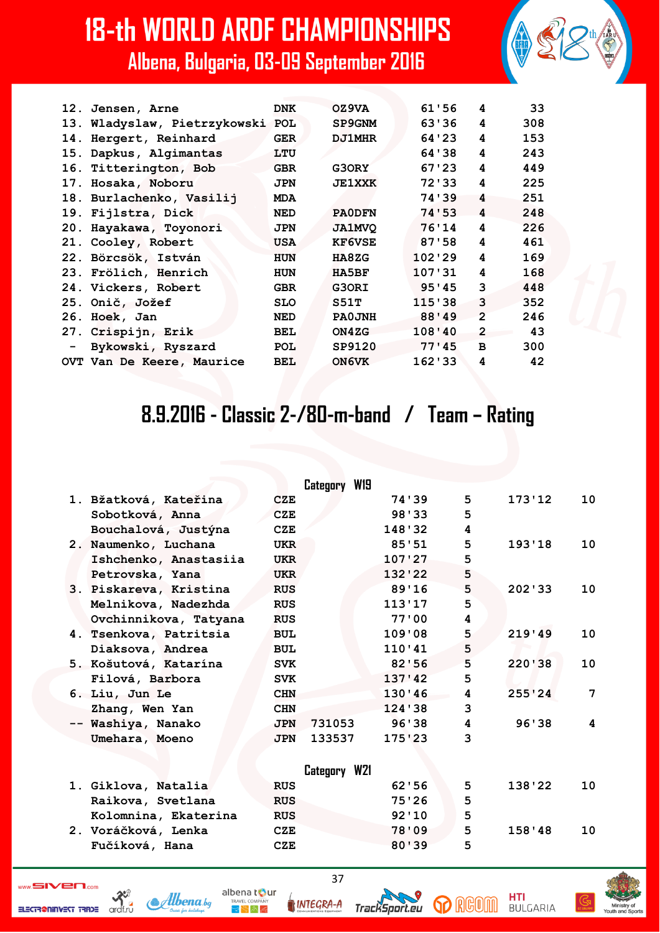| 12. Jensen, Arne                 | <b>DNK</b> | OZ9VA         | 61'56   | 4              | 33  |
|----------------------------------|------------|---------------|---------|----------------|-----|
| 13. Wladyslaw, Pietrzykowski POL |            | SP9GNM        | 63'36   | 4              | 308 |
| 14. Hergert, Reinhard            | <b>GER</b> | <b>DJ1MHR</b> | 64 ' 23 | 4              | 153 |
| 15. Dapkus, Algimantas           | LTU        |               | 64 ' 38 | 4              | 243 |
| 16. Titterington, Bob            | <b>GBR</b> | G3ORY         | 67 ' 23 | 4              | 449 |
| 17. Hosaka, Noboru               | <b>JPN</b> | <b>JE1XXK</b> | 72'33   | 4              | 225 |
| 18. Burlachenko, Vasilij         | <b>MDA</b> |               | 74'39   | 4              | 251 |
| 19. Fijlstra, Dick               | <b>NED</b> | <b>PAODFN</b> | 74'53   | 4              | 248 |
| 20. Hayakawa, Toyonori           | <b>JPN</b> | <b>JA1MVQ</b> | 76'14   | 4              | 226 |
| 21. Cooley, Robert               | <b>USA</b> | <b>KF6VSE</b> | 87'58   | 4              | 461 |
| 22. Börcsök, István              | <b>HUN</b> | HA8ZG         | 102'29  | 4              | 169 |
| 23. Frölich, Henrich             | <b>HUN</b> | HA5BF         | 107'31  | 4              | 168 |
| 24. Vickers, Robert              | <b>GBR</b> | G3ORI         | 95'45   | 3              | 448 |
| 25. Onič, Jožef                  | <b>SLO</b> | S51T          | 115'38  | 3              | 352 |
| 26. Hoek, Jan                    | <b>NED</b> | PA0JNH        | 88'49   | $\overline{2}$ | 246 |
| 27. Crispijn, Erik               | <b>BEL</b> | ON4ZG         | 108'40  | $\overline{2}$ | 43  |
| - Bykowski, Ryszard              | <b>POL</b> | SP9120        | 77'45   | в              | 300 |
| OVT Van De Keere, Maurice        | <b>BEL</b> | ON6VK         | 162'33  | 4              | 42  |
|                                  |            |               |         |                |     |

#### **8.9.2016 - Classic 2-/80-m-band / Team – Rating**

|  |                        |            | Category W19 |          |                         |        |    |
|--|------------------------|------------|--------------|----------|-------------------------|--------|----|
|  | 1. Bžatková, Kateřina  | CZE        |              | 74'39    | 5                       | 173'12 | 10 |
|  | Sobotková, Anna        | <b>CZE</b> |              | 98'33    | 5                       |        |    |
|  | Bouchalová, Justýna    | CZE        |              | 148'32   | 4                       |        |    |
|  | 2. Naumenko, Luchana   | <b>UKR</b> |              | 85'51    | 5.                      | 193'18 | 10 |
|  | Ishchenko, Anastasiia  | <b>UKR</b> |              | 107'27   | 5                       |        |    |
|  | Petrovska, Yana        | <b>UKR</b> |              | 132'22   | 5                       |        |    |
|  | 3. Piskareva, Kristina | <b>RUS</b> |              | 89'16    | 5                       | 202'33 | 10 |
|  | Melnikova, Nadezhda    | <b>RUS</b> |              | 113'17   | 5                       |        |    |
|  | Ovchinnikova, Tatyana  | <b>RUS</b> |              | 77'00    | 4                       |        |    |
|  | 4. Tsenkova, Patritsia | <b>BUL</b> |              | 109'08   | 5                       | 219'49 | 10 |
|  | Diaksova, Andrea       | <b>BUL</b> |              | 110'41   | 5                       |        |    |
|  | 5. Košutová, Katarína  | <b>SVK</b> |              | 82'56    | 5                       | 220'38 | 10 |
|  | Filová, Barbora        | <b>SVK</b> |              | 137'42   | 5                       |        |    |
|  | 6. Liu, Jun Le         | <b>CHN</b> |              | 130'46   | 4                       | 255'24 | 7  |
|  | Zhang, Wen Yan         | <b>CHN</b> |              | 124 ' 38 | 3                       |        |    |
|  | -- Washiya, Nanako     | <b>JPN</b> | 731053       | 96'38    | $\overline{\mathbf{4}}$ | 96'38  | 4  |
|  | Umehara, Moeno         | <b>JPN</b> | 133537       | 175'23   | 3                       |        |    |
|  |                        |            |              |          |                         |        |    |
|  |                        |            | Category W21 |          |                         |        |    |
|  | 1. Giklova, Natalia    | <b>RUS</b> |              | 62'56    | 5                       | 138'22 | 10 |
|  | Raikova, Svetlana      | <b>RUS</b> |              | 75'26    | 5                       |        |    |
|  | Kolomnina, Ekaterina   | <b>RUS</b> |              | 92'10    | 5                       |        |    |
|  | 2. Voráčková, Lenka    | <b>CZE</b> |              | 78'09    | 5                       | 158'48 | 10 |
|  | Fučíková, Hana         | <b>CZE</b> |              | 80'39    | 5                       |        |    |
|  |                        |            |              |          |                         |        |    |

ELECTR@NINVEST TRADE

 $\sum_{\substack{\text{ordif.}\\\text{ordif.}\\\text{ord}}}$ 



37

TrackSport.eu

INTEGRA-A

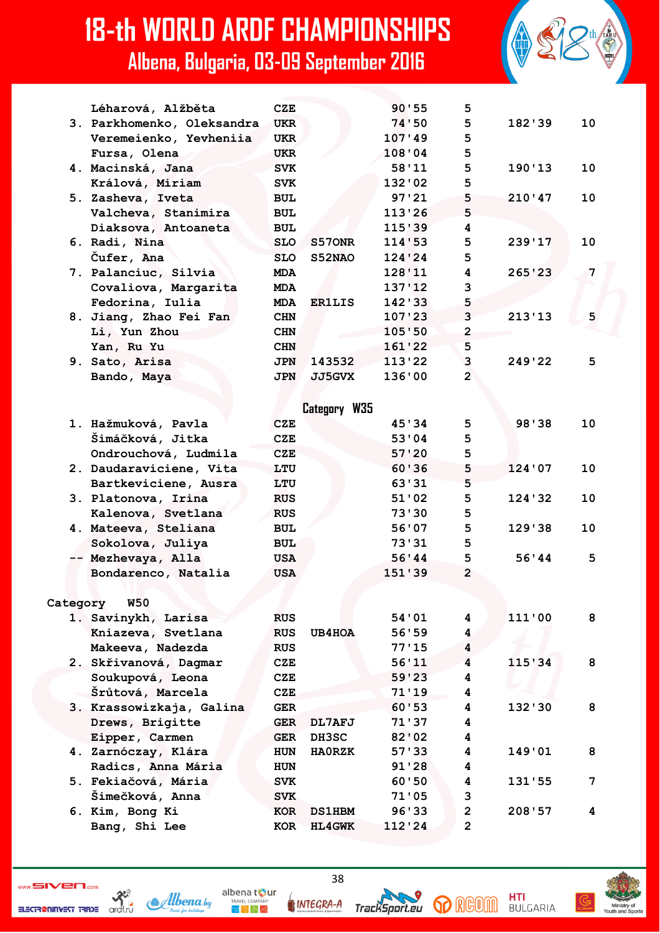|          | Léharová, Alžběta          | CZE        |               | 90'55   | 5.                      |          |                |
|----------|----------------------------|------------|---------------|---------|-------------------------|----------|----------------|
|          | 3. Parkhomenko, Oleksandra | <b>UKR</b> |               | 74'50   | 5                       | 182'39   | 10             |
|          | Veremeienko, Yevheniia     | <b>UKR</b> |               | 107'49  | 5                       |          |                |
|          | Fursa, Olena               | <b>UKR</b> |               | 108'04  | 5                       |          |                |
|          | 4. Macinská, Jana          | <b>SVK</b> |               | 58'11   | 5                       | 190'13   | 10             |
|          | Králová, Miriam            | <b>SVK</b> |               | 132'02  | 5                       |          |                |
|          | 5. Zasheva, Iveta          | <b>BUL</b> |               | 97'21   | 5                       | 210'47   | 10             |
|          | Valcheva, Stanimira        | <b>BUL</b> |               | 113'26  | 5                       |          |                |
|          | Diaksova, Antoaneta        | <b>BUL</b> |               | 115'39  | 4                       |          |                |
|          | 6. Radi, Nina              | <b>SLO</b> | S570NR        | 114'53  | 5                       | 239'17   | 10             |
|          | Cufer, Ana                 | <b>SLO</b> | <b>S52NAO</b> | 124'24  | 5                       |          |                |
|          | 7. Palanciuc, Silvia       | <b>MDA</b> |               | 128'11  | 4                       | 265'23   | $\overline{7}$ |
|          | Covaliova, Margarita       | <b>MDA</b> |               | 137'12  | 3                       |          |                |
|          | Fedorina, Iulia            | <b>MDA</b> | <b>ER1LIS</b> | 142'33  | 5                       |          |                |
|          | 8. Jiang, Zhao Fei Fan     | <b>CHN</b> |               | 107'23  | 3                       | 213'13   | 5              |
|          | Li, Yun Zhou               | <b>CHN</b> |               | 105:50  | $\overline{2}$          |          |                |
|          | Yan, Ru Yu                 | <b>CHN</b> |               | 161'22  | 5                       |          |                |
|          | 9. Sato, Arisa             | <b>JPN</b> | 143532        | 113'22  | 3                       | 249'22   | 5              |
|          | Bando, Maya                | <b>JPN</b> | <b>JJ5GVX</b> | 136'00  | $\overline{2}$          |          |                |
|          |                            |            |               |         |                         |          |                |
|          |                            |            | Category W35  |         |                         |          |                |
|          | 1. Hažmuková, Pavla        | <b>CZE</b> |               | 45'34   | 5                       | 98'38    | 10             |
|          | Šimáčková, Jitka           | <b>CZE</b> |               | 53'04   | 5                       |          |                |
|          | Ondrouchová, Ludmila       | CZE        |               | 57'20   | 5                       |          |                |
|          | 2. Daudaraviciene, Vita    | LTU        |               | 60'36   | 5                       | 124'07   | 10             |
|          | Bartkeviciene, Ausra       | LTU        |               | 63'31   | 5                       |          |                |
|          |                            | <b>RUS</b> |               | 51'02   | 5                       | 124 ' 32 | 10             |
|          | 3. Platonova, Irina        |            |               | 73'30   | 5.                      |          |                |
|          | Kalenova, Svetlana         | <b>RUS</b> |               |         |                         |          |                |
|          | 4. Mateeva, Steliana       | <b>BUL</b> |               | 56'07   | 5                       | 129'38   | 10             |
|          | Sokolova, Juliya           | <b>BUL</b> |               | 73'31   | 5                       |          |                |
|          | -- Mezhevaya, Alla         | USA        |               | 56'44   | 5                       | 56'44    | 5              |
|          | Bondarenco, Natalia        | <b>USA</b> |               | 151 '39 | $\overline{2}$          |          |                |
|          |                            |            |               |         |                         |          |                |
| Category | <b>W50</b>                 |            |               |         |                         |          |                |
|          | 1. Savinykh, Larisa        | <b>RUS</b> |               | 54'01   | 4                       | 111'00   | 8              |
|          | Kniazeva, Svetlana         | <b>RUS</b> | <b>UB4HOA</b> | 56'59   | 4                       |          |                |
|          | Makeeva, Nadezda           | <b>RUS</b> |               | 77'15   | 4                       |          |                |
|          | 2. Skřivanová, Dagmar      | <b>CZE</b> |               | 56'11   | $\overline{\mathbf{4}}$ | 115'34   | 8              |
|          | Soukupová, Leona           | <b>CZE</b> |               | 59'23   | 4                       |          |                |
|          | Šrůtová, Marcela           | <b>CZE</b> |               | 71'19   | 4                       |          |                |
|          | 3. Krassowizkaja, Galina   | <b>GER</b> |               | 60'53   | 4                       | 132'30   | 8              |
|          | Drews, Brigitte            | <b>GER</b> | <b>DL7AFJ</b> | 71'37   | 4                       |          |                |
|          | Eipper, Carmen             | <b>GER</b> | <b>DH3SC</b>  | 82'02   | 4                       |          |                |
|          | 4. Zarnóczay, Klára        | <b>HUN</b> | <b>HAORZK</b> | 57'33   | 4                       | 149'01   | 8              |
|          | Radics, Anna Mária         | <b>HUN</b> |               | 91'28   | 4                       |          |                |
|          | 5. Fekiačová, Mária        | <b>SVK</b> |               | 60'50   | 4                       | 131'55   | 7              |
|          | Šimečková, Anna            | <b>SVK</b> |               | 71'05   | 3                       |          |                |
|          | 6. Kim, Bong Ki            | KOR        | <b>DS1HBM</b> | 96'33   | $\overline{2}$          | 208'57   | 4              |
|          | Bang, Shi Lee              | <b>KOR</b> | <b>HL4GWK</b> | 112'24  | $\mathbf{2}$            |          |                |
|          |                            |            |               |         |                         |          |                |





TrackSport.eu

INTEGRA-A

**HTI**<br>BULGARIA

**p** RGOM

albena tour

 $\mathbb{R}^{\mathbb{N}}$  in Eq

Albena.bg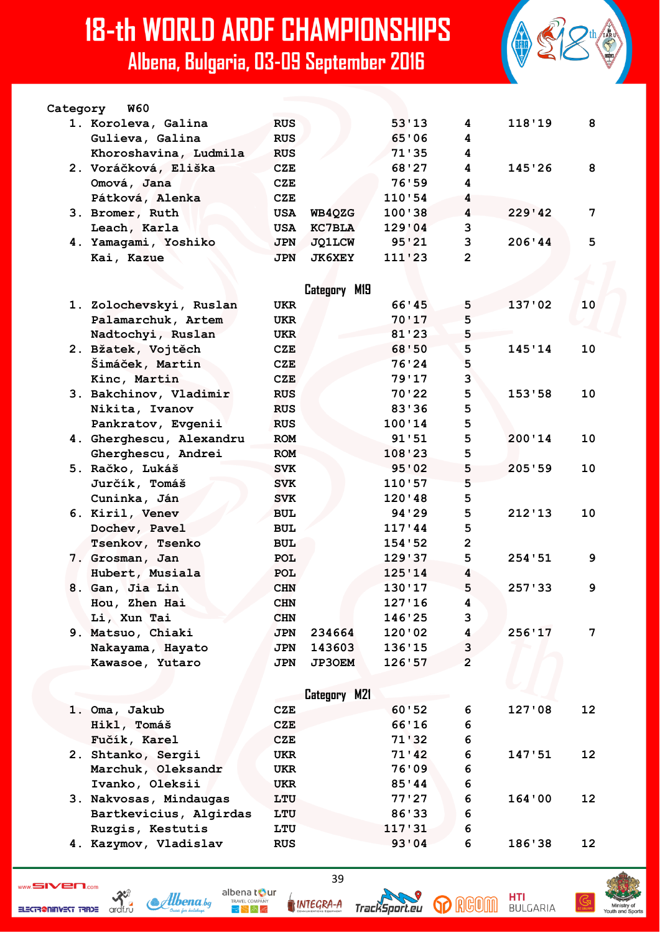

| <b>W60</b><br>Category |            |               |        |   |        |    |
|------------------------|------------|---------------|--------|---|--------|----|
| 1. Koroleva, Galina    | <b>RUS</b> |               | 53'13  | 4 | 118'19 | 8  |
| Gulieva, Galina        | <b>RUS</b> |               | 65'06  | 4 |        |    |
| Khoroshavina, Ludmila  | <b>RUS</b> |               | 71'35  | 4 |        |    |
| 2. Voráčková, Eliška   | CZE        |               | 68'27  | 4 | 145'26 | 8  |
| Omová, Jana            | CZE        |               | 76'59  | 4 |        |    |
| Pátková, Alenka        | CZE        |               | 110:54 | 4 |        |    |
| 3. Bromer, Ruth        | USA        | WB40ZG        | 100'38 | 4 | 229'42 | 7  |
| Leach, Karla           | USA        | <b>KC7BLA</b> | 129'04 | 3 |        |    |
| 4. Yamagami, Yoshiko   | <b>JPN</b> | <b>JO1LCW</b> | 95'21  | 3 | 206'44 | .5 |
| Kai, Kazue             | <b>JPN</b> | <b>JK6XEY</b> | 111'23 | 2 |        |    |

|                          |            | Category M19        |         |                |          |    |
|--------------------------|------------|---------------------|---------|----------------|----------|----|
| 1. Zolochevskyi, Ruslan  | <b>UKR</b> |                     | 66'45   | 5              | 137'02   | 10 |
| Palamarchuk, Artem       | <b>UKR</b> |                     | 70'17   | 5              |          |    |
| Nadtochyi, Ruslan        | <b>UKR</b> |                     | 81'23   | 5              |          |    |
| 2. Bžatek, Vojtěch       | <b>CZE</b> |                     | 68'50   | 5              | 145'14   | 10 |
| Šimáček, Martin          | <b>CZE</b> |                     | 76'24   | 5              |          |    |
| Kinc, Martin             | <b>CZE</b> |                     | 79'17   | 3              |          |    |
| 3. Bakchinov, Vladimir   | <b>RUS</b> |                     | 70'22   | 5              | 153'58   | 10 |
| Nikita, Ivanov           | <b>RUS</b> |                     | 83'36   | 5              |          |    |
| Pankratov, Evgenii       | <b>RUS</b> |                     | 100'14  | 5              |          |    |
| 4. Gherghescu, Alexandru | <b>ROM</b> |                     | 91'51   | 5              | 200'14   | 10 |
| Gherghescu, Andrei       | <b>ROM</b> |                     | 108'23  | 5              |          |    |
| 5. Račko, Lukáš          | <b>SVK</b> |                     | 95'02   | 5              | 205'59   | 10 |
| Jurčík, Tomáš            | <b>SVK</b> |                     | 110'57  | 5              |          |    |
| Cuninka, Ján             | <b>SVK</b> |                     | 120'48  | 5              |          |    |
| 6. Kiril, Venev          | <b>BUL</b> |                     | 94 ' 29 | 5              | 212'13   | 10 |
| Dochev, Pavel            | <b>BUL</b> |                     | 117'44  | 5              |          |    |
| Tsenkov, Tsenko          | <b>BUL</b> |                     | 154 '52 | $\overline{2}$ |          |    |
| 7. Grosman, Jan          | POL        |                     | 129'37  | 5              | 254:51   | 9  |
| Hubert, Musiala          | POL        |                     | 125'14  | 4              |          |    |
| 8. Gan, Jia Lin          | <b>CHN</b> |                     | 130'17  | 5              | 257 ' 33 | 9  |
| Hou, Zhen Hai            | <b>CHN</b> |                     | 127'16  | 4              |          |    |
| Li, Xun Tai              | <b>CHN</b> |                     | 146'25  | 3              |          |    |
| 9. Matsuo, Chiaki        | <b>JPN</b> | 234664              | 120'02  | 4              | 256'17   | 7  |
| Nakayama, Hayato         | <b>JPN</b> | 143603              | 136'15  | 3              |          |    |
| Kawasoe, Yutaro          | <b>JPN</b> | <b>JP3OEM</b>       | 126'57  | $\overline{2}$ |          |    |
|                          |            |                     |         |                |          |    |
|                          |            | <b>Category M21</b> |         |                |          |    |
| 1. Oma, Jakub            | <b>CZE</b> |                     | 60'52   | 6              | 127'08   | 12 |
| Hikl, Tomáš              | <b>CZE</b> |                     | 66'16   | 6              |          |    |
| Fučík, Karel             | <b>CZE</b> |                     | 71'32   | 6              |          |    |

- **2. Shtanko, Sergii UKR 71'42 6 147'51 12** Marchuk, Oleksandr **UKR** 76'09 6 Ivanko, Oleksii UKR 85'44 6  **3. Nakvosas, Mindaugas LTU 77'27 6 164'00 12**
- **Bartkevicius, Algirdas LTU 86'33 6 Ruzgis, Kestutis LTU 117'31 6 4. Kazymov, Vladislav RUS 93'04 6 186'38 12**



ardf.ru

ELECTR@NINVEST TRADE



**INTEGRA-A** 

albena tour

 $\mathbb{R} \times \mathbb{A}$ 

39







**HTI**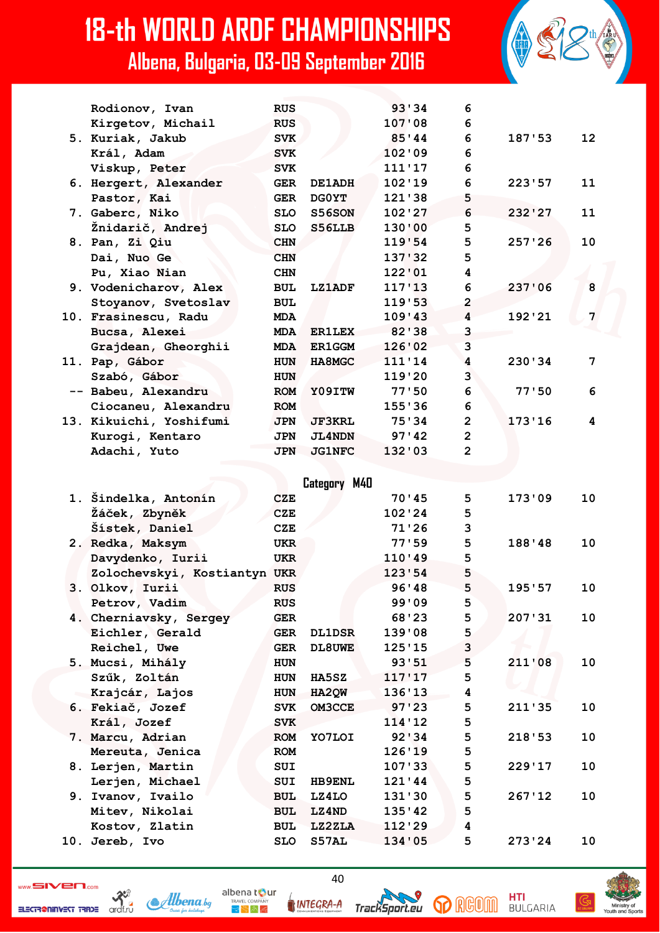| Rodionov, Ivan          | <b>RUS</b> |               | 93'34   | 6                       |        |                 |
|-------------------------|------------|---------------|---------|-------------------------|--------|-----------------|
| Kirgetov, Michail       | <b>RUS</b> |               | 107'08  | 6                       |        |                 |
| 5. Kuriak, Jakub        | <b>SVK</b> |               | 85'34   | 6                       | 187'53 | 12 <sup>2</sup> |
| Král, Adam              | <b>SVK</b> |               | 102'09  | 6                       |        |                 |
| Viskup, Peter           | <b>SVK</b> |               | 111'17  | 6                       |        |                 |
| 6. Hergert, Alexander   | <b>GER</b> | <b>DE1ADH</b> | 102'19  | 6                       | 223'57 | 11              |
| Pastor, Kai             | <b>GER</b> | <b>DGOYT</b>  | 121'38  | 5                       |        |                 |
| 7. Gaberc, Niko         | <b>SLO</b> | S56SON        | 102'27  | 6                       | 232'27 | 11              |
| Žnidarič, Andrej        | <b>SLO</b> | <b>S56LLB</b> | 130'00  | 5                       |        |                 |
| 8. Pan, Zi Qiu          | <b>CHN</b> |               | 119'54  | 5                       | 257'26 | 10              |
| Dai, Nuo Ge             | <b>CHN</b> |               | 137'32  | 5                       |        |                 |
| Pu, Xiao Nian           | <b>CHN</b> |               | 122'01  | 4                       |        |                 |
| 9. Vodenicharov, Alex   | <b>BUL</b> | <b>LZ1ADF</b> | 117'13  | 6                       | 237'06 | 8               |
| Stoyanov, Svetoslav     | <b>BUL</b> |               | 119.53  | $\overline{2}$          |        |                 |
| 10. Frasinescu, Radu    | <b>MDA</b> |               | 109'43  | $\overline{\mathbf{4}}$ | 192'21 | 7               |
| Bucsa, Alexei           | <b>MDA</b> | <b>ER1LEX</b> | 82 ' 38 | 3                       |        |                 |
| Grajdean, Gheorghii     | <b>MDA</b> | <b>ER1GGM</b> | 126'02  | 3                       |        |                 |
| 11. Pap, Gábor          | <b>HUN</b> | HA8MGC        | 111'14  | 4                       | 230'34 | 7               |
| Szabó, Gábor            | <b>HUN</b> |               | 119'20  | $\overline{3}$          |        |                 |
| -- Babeu, Alexandru     | <b>ROM</b> | Y09ITW        | 77'50   | 6                       | 77'50  | 6               |
| Ciocaneu, Alexandru     | <b>ROM</b> |               | 155'36  | 6                       |        |                 |
| 13. Kikuichi, Yoshifumi | <b>JPN</b> | <b>JF3KRL</b> | 75'34   | $\overline{2}$          | 173'16 | 4               |
| Kurogi, Kentaro         | <b>JPN</b> | <b>JL4NDN</b> | 97'42   | $\overline{2}$          |        |                 |
| Adachi, Yuto            | <b>JPN</b> | <b>JG1NFC</b> | 132'03  | $\overline{2}$          |        |                 |
|                         |            |               |         |                         |        |                 |

**Category M40 1. Šindelka, Antonín CZE 70'45 5 173'09 10 Žáček, Zbyněk CZE 102'24 5 Šístek, Daniel CZE 71'26 3 2. Redka, Maksym UKR 77'59 5 188'48 10 Davydenko, Iurii UKR 110'49 5 Zolochevskyi, Kostiantyn UKR 123'54 5 3. Olkov, Iurii RUS 96'48 5 195'57 10 Petrov, Vadim RUS** RUS 99'09 5  **4. Cherniavsky, Sergey GER 68'23 5 207'31 10 Eichler, Gerald GER DL1DSR 139'08 5** Reichel, Uwe GER DL8UWE 125'15 3  **5. Mucsi, Mihály HUN 93'51 5 211'08 10 Szűk, Zoltán HUN HA5SZ 117'17 5 Krajcár, Lajos HUN HA2QW 136'13 4 6. Fekiač, Jozef SVK OM3CCE 97'23 5 211'35 10 Král, Jozef SVK 114'12 5 7. Marcu, Adrian ROM YO7LOI 92'34 5 218'53 10 Mereuta, Jenica ROM 126'19 5 8. Lerjen, Martin SUI 107'33 5 229'17 10** Lerjen, Michael SUI HB9ENL 121'44 5  **9. Ivanov, Ivailo BUL LZ4LO 131'30 5 267'12 10 Mitev, Nikolai BUL LZ4ND 135'42 5 Kostov, Zlatin BUL LZ2ZLA 112'29 4 10. Jereb, Ivo SLO S57AL 134'05 5 273'24 10**

ELECTR@NINVEST TRADE



40 INTEGRA-A

albena t**o**ur

 $3 - 2 - 2$ 





**HTI**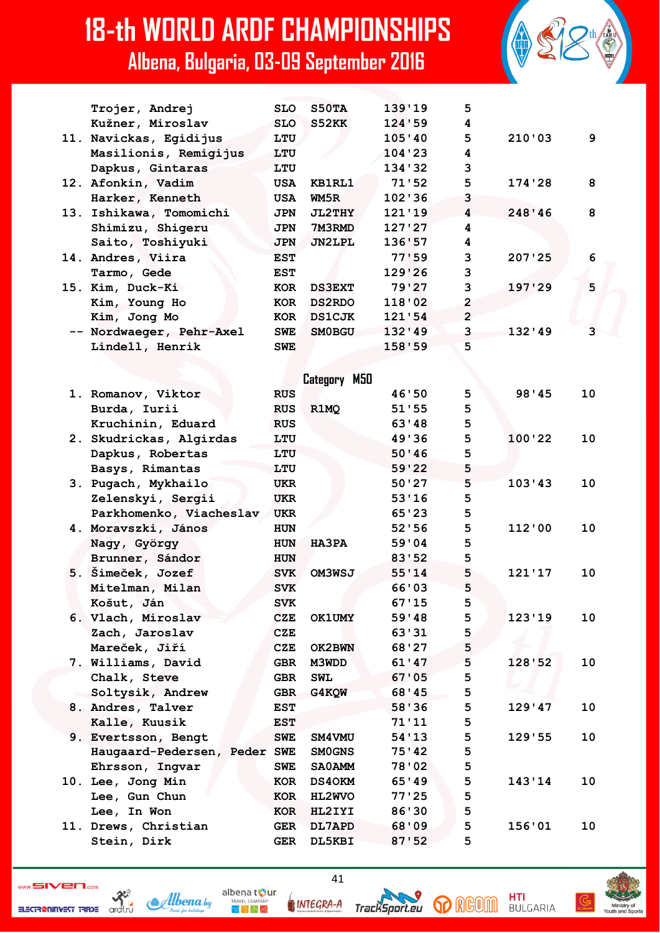

ELECTR@NINVEST TRADE



HNTEGRA-A

albena t**o**ur

 $\mathbb{R}^{\mathbb{N},\mathbb{A}}$ 

41





HTI

**BULGARIA**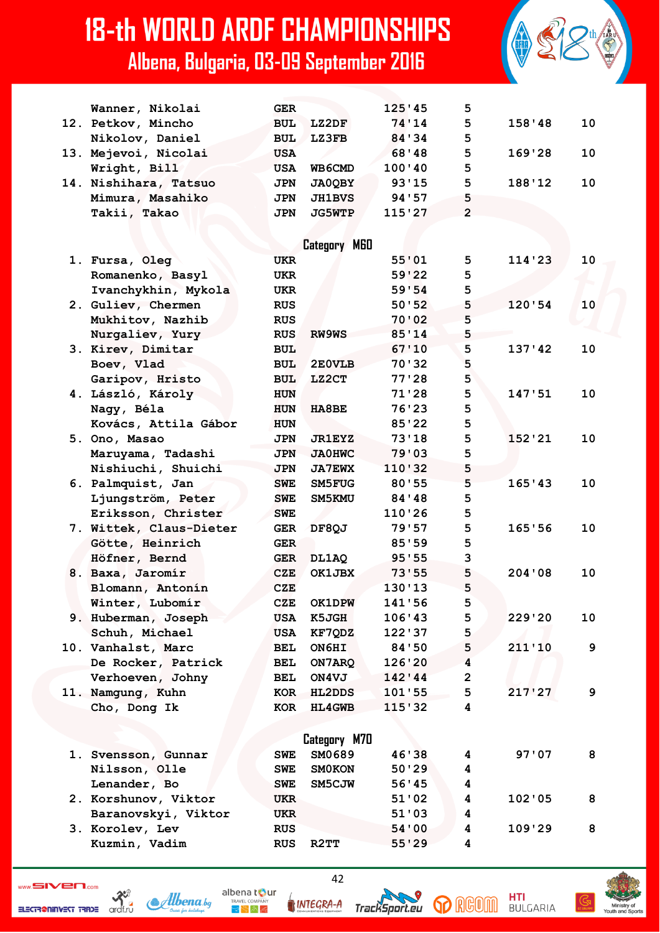

| Wanner, Nikolai         | <b>GER</b> |               | 125'45  | 5              |        |    |
|-------------------------|------------|---------------|---------|----------------|--------|----|
| 12. Petkov, Mincho      | <b>BUL</b> | LZ2DF         | 74'14   | 5              | 158'38 | 10 |
| Nikolov, Daniel         | <b>BUL</b> | <b>LZ3FB</b>  | 84 ' 34 | 5              |        |    |
| 13. Mejevoi, Nicolai    | <b>USA</b> |               | 68'48   | 5              | 169'28 | 10 |
| Wright, Bill            | <b>USA</b> | <b>WB6CMD</b> | 100'40  | 5              |        |    |
| 14. Nishihara, Tatsuo   | <b>JPN</b> | <b>JA0QBY</b> | 93'15   | 5              | 188'12 | 10 |
| Mimura, Masahiko        | <b>JPN</b> | <b>JH1BVS</b> | 94 ' 57 | 5              |        |    |
| Takii, Takao            | <b>JPN</b> | <b>JG5WTP</b> | 115'27  | $\overline{2}$ |        |    |
|                         |            |               |         |                |        |    |
|                         |            | Category M60  |         |                |        |    |
| 1. Fursa, Oleg          | <b>UKR</b> |               | 55'01   | 5              | 114'23 | 10 |
|                         | UKR        |               | 59'22   | 5              |        |    |
| Romanenko, Basyl        |            |               |         | 5              |        |    |
| Ivanchykhin, Mykola     | UKR        |               | 59'54   | 5              | 120'54 |    |
| 2. Guliev, Chermen      | <b>RUS</b> |               | 50:52   | 5              |        | 10 |
| Mukhitov, Nazhib        | <b>RUS</b> |               | 70'02   |                |        |    |
| Nurgaliev, Yury         | <b>RUS</b> | RW9WS         | 85'14   | 5              |        |    |
| 3. Kirev, Dimitar       | <b>BUL</b> |               | 67'10   | 5              | 137'42 | 10 |
| Boev, Vlad              | <b>BUL</b> | 2E0VLB        | 70'32   | 5              |        |    |
| Garipov, Hristo         | <b>BUL</b> | <b>LZ2CT</b>  | 77'28   | 5              |        |    |
| 4. László, Károly       | <b>HUN</b> |               | 71'28   | 5              | 147'51 | 10 |
| Nagy, Béla              | <b>HUN</b> | HA8BE         | 76'23   | 5              |        |    |
| Kovács, Attila Gábor    | <b>HUN</b> |               | 85'22   | 5              |        |    |
| 5. Ono, Masao           | <b>JPN</b> | <b>JR1EYZ</b> | 73'18   | 5              | 152'21 | 10 |
| Maruyama, Tadashi       | <b>JPN</b> | <b>JA0HWC</b> | 79'03   | 5              |        |    |
| Nishiuchi, Shuichi      | <b>JPN</b> | <b>JA7EWX</b> | 110'32  | 5              |        |    |
| 6. Palmquist, Jan       | <b>SWE</b> | SM5FUG        | 80'55   | 5              | 165'43 | 10 |
| Ljungström, Peter       | <b>SWE</b> | SM5KMU        | 84 ' 48 | 5              |        |    |
| Eriksson, Christer      | <b>SWE</b> |               | 110'26  | 5              |        |    |
| 7. Wittek, Claus-Dieter | <b>GER</b> | DF8QJ         | 79'57   | 5              | 165'56 | 10 |
| Götte, Heinrich         | <b>GER</b> |               | 85'59   | 5              |        |    |
| Höfner, Bernd           | GER        | DL1AQ         | 95'55   | 3              |        |    |
| 8. Baxa, Jaromír        | CZE        | OK1JBX        | 73'55   | 5              | 204'08 | 10 |
| Blomann, Antonín        | <b>CZE</b> |               | 130'13  | 5              |        |    |
| Winter, Lubomír         | CZE        | <b>OK1DPW</b> | 141'56  | 5              |        |    |
| 9. Huberman, Joseph     | USA        | <b>K5JGH</b>  | 106'43  | 5              | 229'20 | 10 |
| Schuh, Michael          | <b>USA</b> | KF7QDZ        | 122'37  | 5              |        |    |
| 10. Vanhalst, Marc      | BEL        | ON6HI         | 84'50   | 5              | 211'10 | 9  |
| De Rocker, Patrick      | BEL        | ON7ARQ        | 126'20  | 4              |        |    |
| Verhoeven, Johny        | BEL        | ON4VJ         | 142'44  | $\overline{2}$ |        |    |
| 11. Namgung, Kuhn       | KOR        | <b>HL2DDS</b> | 101'55  | 5              | 217'27 | 9  |
| Cho, Dong Ik            | KOR        | <b>HL4GWB</b> | 115'32  | 4              |        |    |
|                         |            |               |         |                |        |    |
|                         |            | Category M70  |         |                |        |    |
| 1. Svensson, Gunnar     | <b>SWE</b> | SM0689        | 46'38   | 4              | 97'07  | 8  |
| Nilsson, Olle           | SWE        | <b>SMOKON</b> | 50'29   | 4              |        |    |
| Lenander, Bo            | <b>SWE</b> | SM5CJW        | 56'45   | 4              |        |    |
| 2. Korshunov, Viktor    | UKR        |               | 51'02   | 4              | 102'05 | 8  |
| Baranovskyi, Viktor     | UKR        |               | 51'03   | 4              |        |    |
| 3. Korolev, Lev         | <b>RUS</b> |               | 54'00   | 4              | 109'29 | 8  |
| Kuzmin, Vadim           | <b>RUS</b> | R2TT          | 55'29   | 4              |        |    |
|                         |            |               |         |                |        |    |

ELECTRONINGET TRADE archive Albena.bg





42

**p** RGOM TrackSport.eu